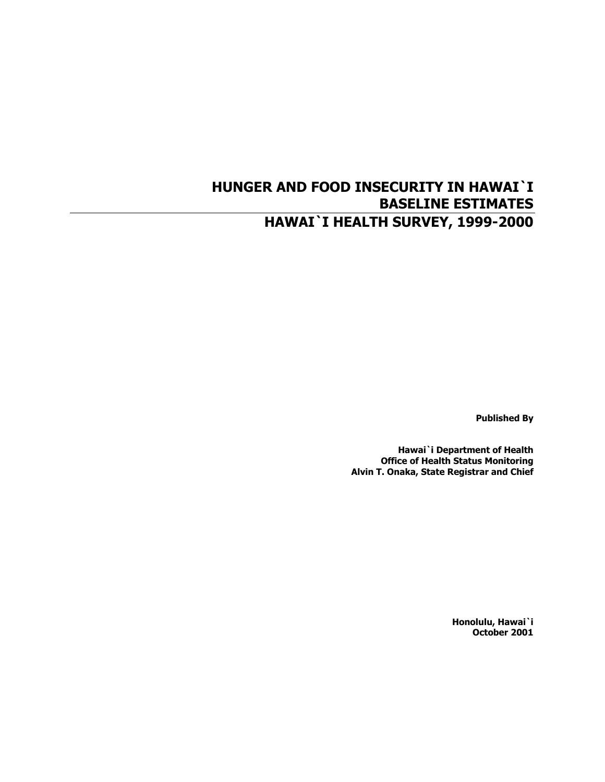# **HUNGER AND FOOD INSECURITY IN HAWAI`I BASELINE ESTIMATES HAWAI`I HEALTH SURVEY, 1999-2000**

**Published By** 

**Hawai`i Department of Health Office of Health Status Monitoring Alvin T. Onaka, State Registrar and Chief** 

> **Honolulu, Hawai`i October 2001**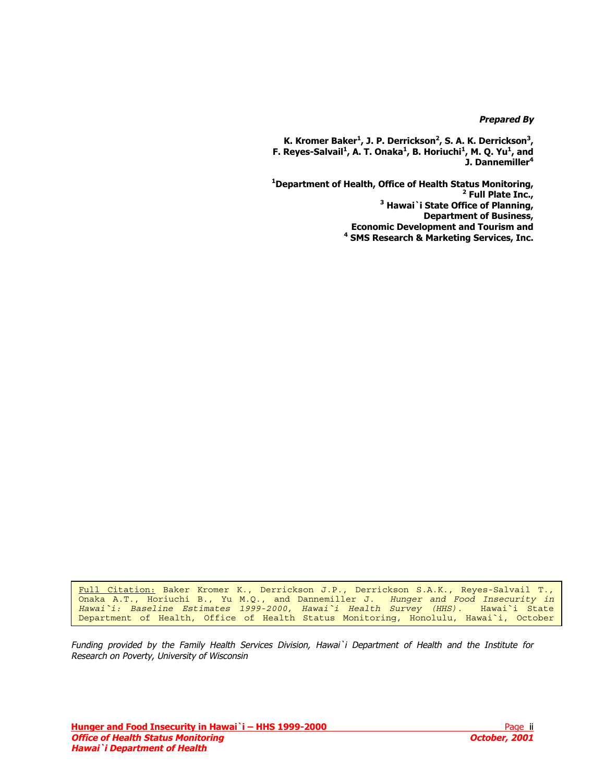### **Prepared By**

K. Kromer Baker<sup>1</sup>, J. P. Derrickson<sup>2</sup>, S. A. K. Derrickson<sup>3</sup>, **F. Reyes-Salvail<sup>1</sup>, A. T. Onaka<sup>1</sup>, B. Horiuchi<sup>1</sup>, M. Q. Yu<sup>1</sup>, and J. Dannemiller<sup>4</sup>**

 **Department of Health, Office of Health Status Monitoring, Full Plate Inc., Hawai`i State Office of Planning, Department of Business, Economic Development and Tourism and SMS Research & Marketing Services, Inc.** 

Full Citation: Baker Kromer K., Derrickson J.P., Derrickson S.A.K., Reyes-Salvail T., Onaka A.T., Horiuchi B., Yu M.Q., and Dannemiller J. *Hunger and Food Insecurity in Hawai`i: Baseline Estimates 1999-2000, Hawai`i Health Survey (HHS).* Hawai`i State Department of Health, Office of Health Status Monitoring, Honolulu, Hawai`i, October

Funding provided by the Family Health Services Division, Hawai`i Department of Health and the Institute for Research on Poverty, University of Wisconsin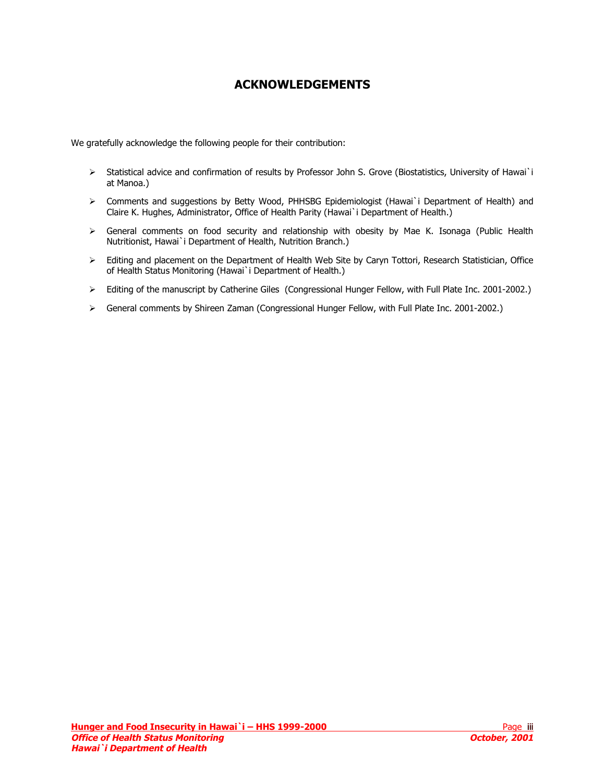## **ACKNOWLEDGEMENTS**

<span id="page-2-0"></span>We gratefully acknowledge the following people for their contribution:

- ¾ Statistical advice and confirmation of results by Professor John S. Grove (Biostatistics, University of Hawai`i at Manoa.)
- ¾ Comments and suggestions by Betty Wood, PHHSBG Epidemiologist (Hawai`i Department of Health) and Claire K. Hughes, Administrator, Office of Health Parity (Hawai`i Department of Health.)
- ¾ General comments on food security and relationship with obesity by Mae K. Isonaga (Public Health Nutritionist, Hawai`i Department of Health, Nutrition Branch.)
- ¾ Editing and placement on the Department of Health Web Site by Caryn Tottori, Research Statistician, Office of Health Status Monitoring (Hawai`i Department of Health.)
- ¾ Editing of the manuscript by Catherine Giles (Congressional Hunger Fellow, with Full Plate Inc. 2001-2002.)
- ¾ General comments by Shireen Zaman (Congressional Hunger Fellow, with Full Plate Inc. 2001-2002.)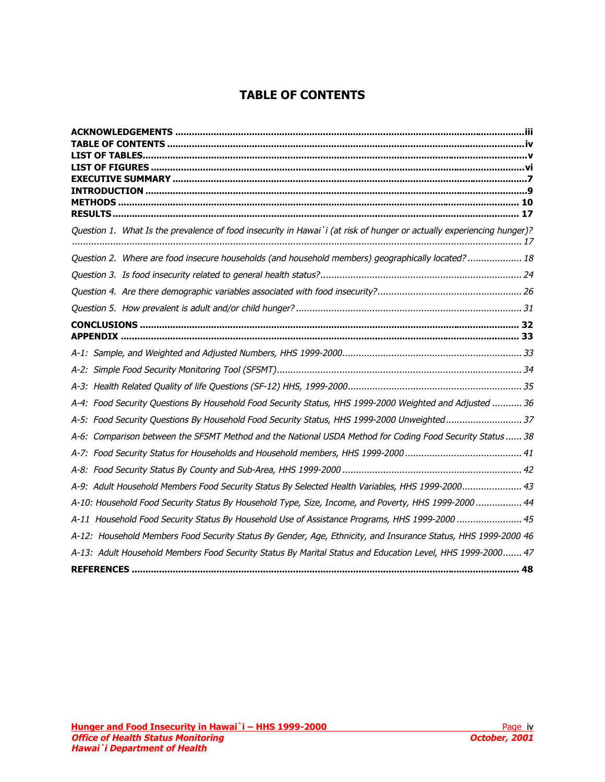# **TABLE OF CONTENTS**

| Question 1. What Is the prevalence of food insecurity in Hawai`i (at risk of hunger or actually experiencing hunger)? |
|-----------------------------------------------------------------------------------------------------------------------|
| Question 2. Where are food insecure households (and household members) geographically located?  18                    |
|                                                                                                                       |
|                                                                                                                       |
|                                                                                                                       |
|                                                                                                                       |
|                                                                                                                       |
|                                                                                                                       |
|                                                                                                                       |
|                                                                                                                       |
| A-4: Food Security Questions By Household Food Security Status, HHS 1999-2000 Weighted and Adjusted  36               |
| A-5: Food Security Questions By Household Food Security Status, HHS 1999-2000 Unweighted37                            |
| A-6: Comparison between the SFSMT Method and the National USDA Method for Coding Food Security Status  38             |
|                                                                                                                       |
|                                                                                                                       |
| A-9: Adult Household Members Food Security Status By Selected Health Variables, HHS 1999-2000 43                      |
| A-10: Household Food Security Status By Household Type, Size, Income, and Poverty, HHS 1999-2000 44                   |
| A-11 Household Food Security Status By Household Use of Assistance Programs, HHS 1999-2000  45                        |
| A-12: Household Members Food Security Status By Gender, Age, Ethnicity, and Insurance Status, HHS 1999-2000 46        |
| A-13: Adult Household Members Food Security Status By Marital Status and Education Level, HHS 1999-2000 47            |
|                                                                                                                       |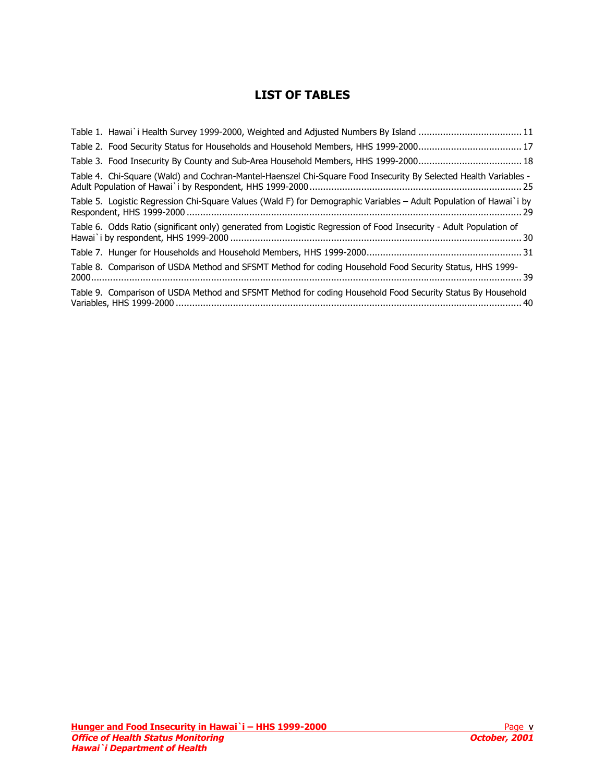# **LIST OF TABLES**

<span id="page-4-0"></span>

| Table 1. Hawai`i Health Survey 1999-2000, Weighted and Adjusted Numbers By Island 11                               |
|--------------------------------------------------------------------------------------------------------------------|
|                                                                                                                    |
|                                                                                                                    |
| Table 4. Chi-Square (Wald) and Cochran-Mantel-Haenszel Chi-Square Food Insecurity By Selected Health Variables -   |
| Table 5. Logistic Regression Chi-Square Values (Wald F) for Demographic Variables - Adult Population of Hawai`i by |
| Table 6. Odds Ratio (significant only) generated from Logistic Regression of Food Insecurity - Adult Population of |
|                                                                                                                    |
| Table 8. Comparison of USDA Method and SFSMT Method for coding Household Food Security Status, HHS 1999-           |
| Table 9. Comparison of USDA Method and SFSMT Method for coding Household Food Security Status By Household         |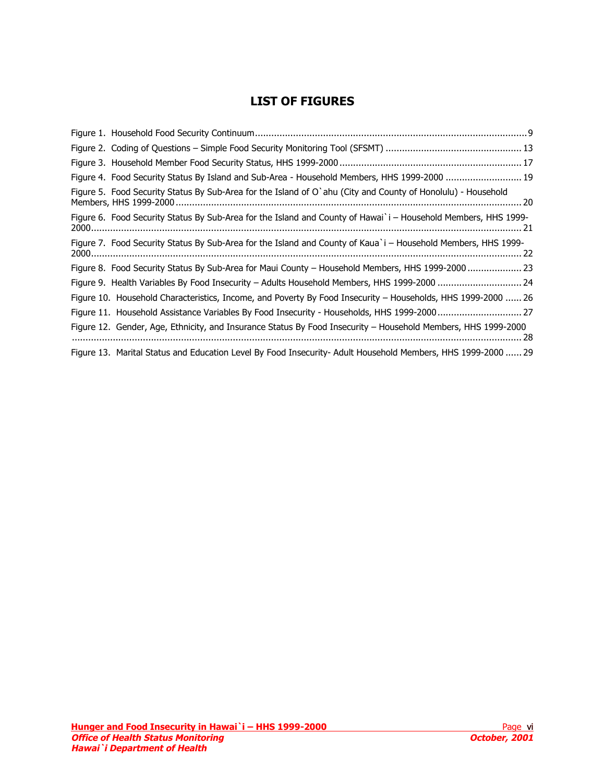## **LIST OF FIGURES**

<span id="page-5-0"></span>

| Figure 4. Food Security Status By Island and Sub-Area - Household Members, HHS 1999-2000  19                   |  |
|----------------------------------------------------------------------------------------------------------------|--|
| Figure 5. Food Security Status By Sub-Area for the Island of O`ahu (City and County of Honolulu) - Household   |  |
| Figure 6. Food Security Status By Sub-Area for the Island and County of Hawai`i - Household Members, HHS 1999- |  |
| Figure 7. Food Security Status By Sub-Area for the Island and County of Kaua`i - Household Members, HHS 1999-  |  |
| Figure 8. Food Security Status By Sub-Area for Maui County – Household Members, HHS 1999-2000 23               |  |
| Figure 9. Health Variables By Food Insecurity - Adults Household Members, HHS 1999-2000  24                    |  |
| Figure 10. Household Characteristics, Income, and Poverty By Food Insecurity – Households, HHS 1999-2000  26   |  |
| Figure 11. Household Assistance Variables By Food Insecurity - Households, HHS 1999-2000 27                    |  |
| Figure 12. Gender, Age, Ethnicity, and Insurance Status By Food Insecurity - Household Members, HHS 1999-2000  |  |
| Figure 13. Marital Status and Education Level By Food Insecurity- Adult Household Members, HHS 1999-2000  29   |  |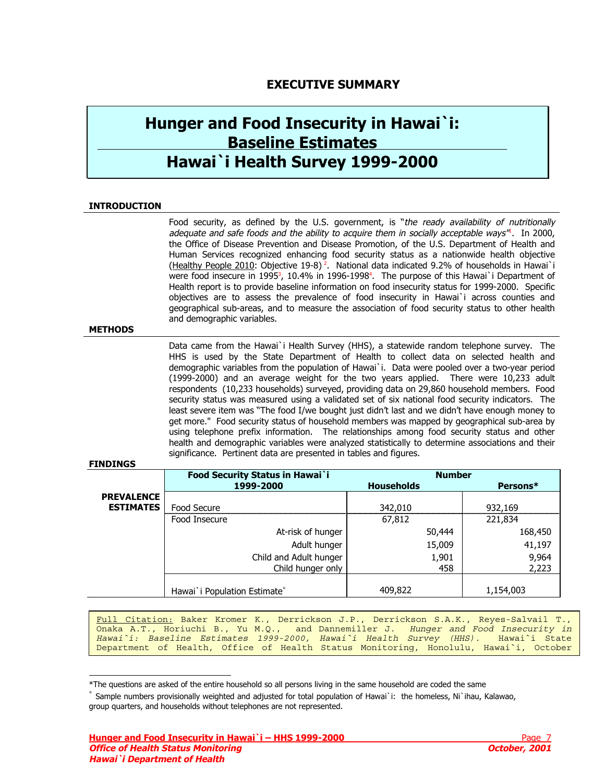## **EXECUTIVE SUMMARY**

# <span id="page-6-0"></span>**Hunger and Food Insecurity in Hawai`i: Baseline Estimates Hawai`i Health Survey 1999-2000**

### **INTRODUCTION**

Food security, as defi[n](#page-48-0)ed by the U.S. government, is "the ready availability of nutritionally adequate and safe foods and the ability to acquire them in socially acceptable ways'<sup>n</sup>. In 2000, the Office of Disease Prevention and Disease Promotion, of the U.S. Department of Health and Human Services recognized enhancing food security status as a nationwide health objective (Healthy People 2010: Obj[ect](#page-48-0)ive 19-8)<sup>2</sup>. National [d](#page-48-0)ata indicated 9.2% of households in Hawai`i were food insecure in 1995<sup>3</sup>, 10.4% in 1996-1998<sup>4</sup>. The purpose of this Hawai`i Department of Health report is to provide baseline information on food insecurity status for 1999-2000. Specific objectives are to assess the prevalence of food insecurity in Hawai`i across counties and geographical sub-areas, and to measure the association of food security status to other health and demographic variables.

#### **METHODS**

Data came from the Hawai`i Health Survey (HHS), a statewide random telephone survey. The HHS is used by the State Department of Health to collect data on selected health and demographic variables from the population of Hawai`i. Data were pooled over a two-year period (1999-2000) and an average weight for the two years applied. There were 10,233 adult respondents (10,233 households) surveyed, providing data on 29,860 household members. Food security status was measured using a validated set of six national food security indicators. The least severe item was "The food I/we bought just didn't last and we didn't have enough money to get more." Food security status of household members was mapped by geographical sub-area by using telephone prefix information. The relationships among food security status and other health and demographic variables were analyzed statistically to determine associations and their significance. Pertinent data are presented in tables and figures.

#### **FINDINGS**

|                   | Food Security Status in Hawai`i | <b>Number</b>     |           |  |  |
|-------------------|---------------------------------|-------------------|-----------|--|--|
|                   | 1999-2000                       | <b>Households</b> | Persons*  |  |  |
| <b>PREVALENCE</b> |                                 |                   |           |  |  |
| <b>ESTIMATES</b>  | Food Secure                     | 342,010           | 932,169   |  |  |
|                   | Food Insecure                   | 67,812            | 221,834   |  |  |
|                   | At-risk of hunger               | 50,444            | 168,450   |  |  |
|                   | Adult hunger                    | 15,009            | 41,197    |  |  |
|                   | Child and Adult hunger          | 1,901             | 9,964     |  |  |
|                   | Child hunger only               | 458               | 2,223     |  |  |
|                   |                                 |                   |           |  |  |
|                   | Hawai`i Population Estimate*    | 409,822           | 1,154,003 |  |  |

Full Citation: Baker Kromer K., Derrickson J.P., Derrickson S.A.K., Reyes-Salvail T., Onaka A.T., Horiuchi B., Yu M.Q., and Dannemiller J. *Hunger and Food Insecurity in Hawai`i: Baseline Estimates 1999-2000, Hawai`i Health Survey (HHS).* Hawai`i State Department of Health, Office of Health Status Monitoring, Honolulu, Hawai`i, October

l \*The questions are asked of the entire household so all persons living in the same household are coded the same

Sample numbers provisionally weighted and adjusted for total population of Hawai`i: the homeless, Ni`ihau, Kalawao, group quarters, and households without telephones are not represented.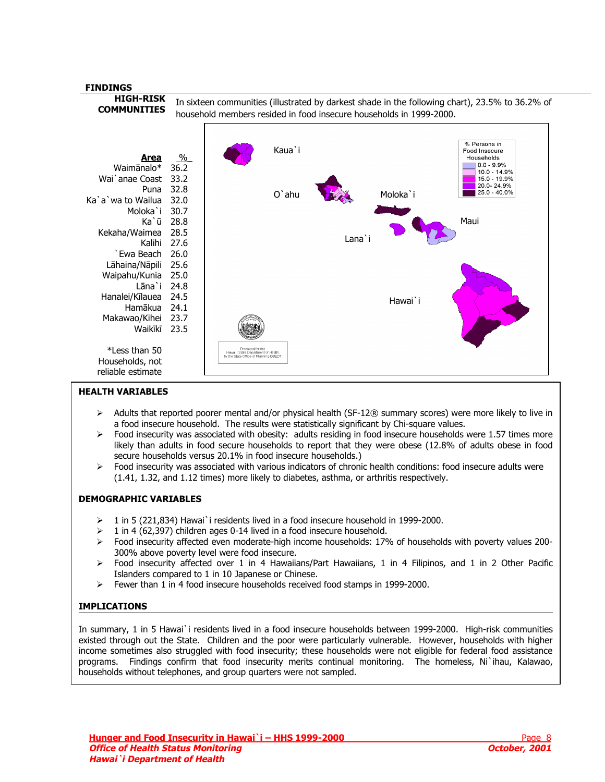

### **HEALTH VARIABLES**

- ¾ Adults that reported poorer mental and/or physical health (SF-12® summary scores) were more likely to live in a food insecure household. The results were statistically significant by Chi-square values.
- $\triangleright$  Food insecurity was associated with obesity: adults residing in food insecure households were 1.57 times more likely than adults in food secure households to report that they were obese (12.8% of adults obese in food secure households versus 20.1% in food insecure households.)
- ¾ Food insecurity was associated with various indicators of chronic health conditions: food insecure adults were (1.41, 1.32, and 1.12 times) more likely to diabetes, asthma, or arthritis respectively.

#### **DEMOGRAPHIC VARIABLES**

- ¾ 1 in 5 (221,834) Hawai`i residents lived in a food insecure household in 1999-2000.
- ¾ 1 in 4 (62,397) children ages 0-14 lived in a food insecure household.
- $\triangleright$  Food insecurity affected even moderate-high income households: 17% of households with poverty values 200-300% above poverty level were food insecure.
- $\triangleright$  Food insecurity affected over 1 in 4 Hawaiians/Part Hawaiians, 1 in 4 Filipinos, and 1 in 2 Other Pacific Islanders compared to 1 in 10 Japanese or Chinese.
- $\triangleright$  Fewer than 1 in 4 food insecure households received food stamps in 1999-2000.

## **IMPLICATIONS**

In summary, 1 in 5 Hawai`i residents lived in a food insecure households between 1999-2000. High-risk communities existed through out the State. Children and the poor were particularly vulnerable. However, households with higher income sometimes also struggled with food insecurity; these households were not eligible for federal food assistance programs. Findings confirm that food insecurity merits continual monitoring. The homeless, Ni`ihau, Kalawao, households without telephones, and group quarters were not sampled.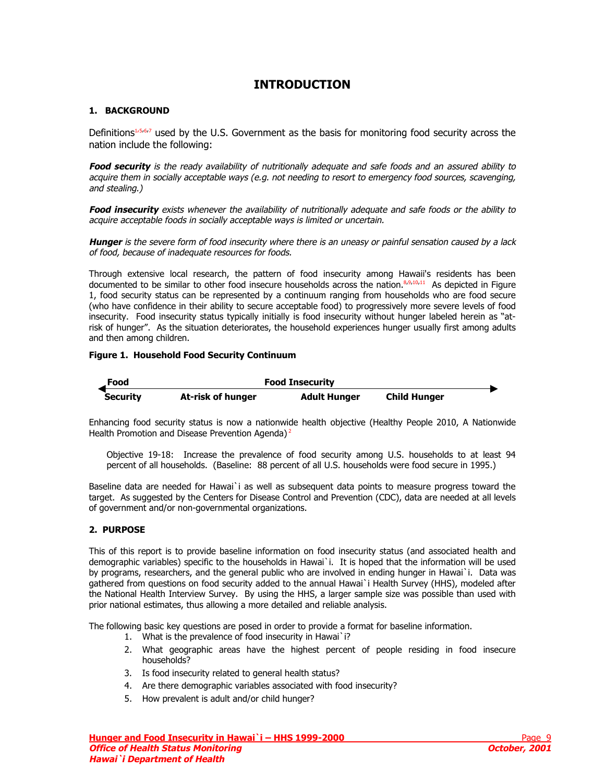## **INTRODUCTION**

## <span id="page-8-0"></span>**1. BACKGROUND**

Definitions<sup>1[,5,6,7](#page-48-0)</sup>used by the U.S. Government as the basis for monitoring food security across the nation include the following:

**Food security** is the ready availability of nutritionally adequate and safe foods and an assured ability to acquire them in socially acceptable ways (e.g. not needing to resort to emergency food sources, scavenging, and stealing.)

**Food insecurity** exists whenever the availability of nutritionally adequate and safe foods or the ability to acquire acceptable foods in socially acceptable ways is limited or uncertain.

**Hunger** is the severe form of food insecurity where there is an uneasy or painful sensation caused by a lack of food, because of inadequate resources for foods.

Through extensive local research, the pattern of food insecurity among Hawaii's residents has been documented to be similar to other food insecure households across the nation.<sup>8,9,10,11</sup> As depicted in Figure 1, food security status can be represented by a continuum ranging from households who are food secure (who have confidence in their ability to secure acceptable food) to progressively more severe levels of food insecurity. Food insecurity status typically initially is food insecurity without hunger labeled herein as "atrisk of hunger". As the situation deteriorates, the household experiences hunger usually first among adults and then among children.

## **Figure 1. Household Food Security Continuum**



Enhancing food security status is now a nationwide health objective (Healthy People 2010, A Nationwide Health Promotion and Disease Prevention Agenda)<sup>[2](#page-6-0)</sup>

Objective 19-18: Increase the prevalence of food security among U.S. households to at least 94 percent of all households. (Baseline: 88 percent of all U.S. households were food secure in 1995.)

Baseline data are needed for Hawai`i as well as subsequent data points to measure progress toward the target. As suggested by the Centers for Disease Control and Prevention (CDC), data are needed at all levels of government and/or non-governmental organizations.

## **2. PURPOSE**

This of this report is to provide baseline information on food insecurity status (and associated health and demographic variables) specific to the households in Hawai`i. It is hoped that the information will be used by programs, researchers, and the general public who are involved in ending hunger in Hawai`i. Data was gathered from questions on food security added to the annual Hawai`i Health Survey (HHS), modeled after the National Health Interview Survey. By using the HHS, a larger sample size was possible than used with prior national estimates, thus allowing a more detailed and reliable analysis.

The following basic key questions are posed in order to provide a format for baseline information.

- 1. What is the prevalence of food insecurity in Hawai`i?
- 2. What geographic areas have the highest percent of people residing in food insecure households?
- 3. Is food insecurity related to general health status?
- 4. Are there demographic variables associated with food insecurity?
- 5. How prevalent is adult and/or child hunger?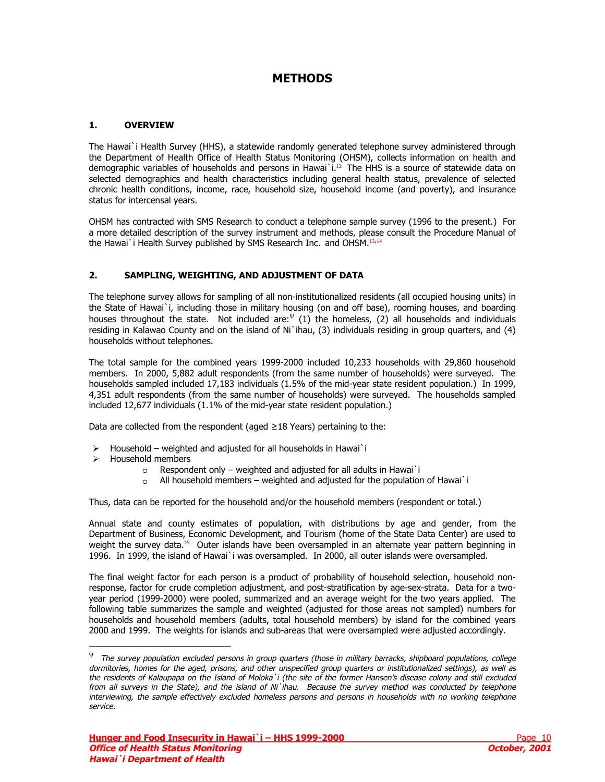## **METHODS**

## <span id="page-9-0"></span>**1. OVERVIEW**

The Hawai`i Health Survey (HHS), a statewide randomly generated telephone survey administered through the Department of Health Office of Health Status Monitoring [\(O](#page-48-0)HSM), collects information on health and demographic variables of households and persons in Hawai<sup>'</sup>i.<sup>12</sup> The HHS is a source of statewide data on selected demographics and health characteristics including general health status, prevalence of selected chronic health conditions, income, race, household size, household income (and poverty), and insurance status for intercensal years.

OHSM has contracted with SMS Research to conduct a telephone sample survey (1996 to the present.) For a more detailed description of the survey instrument and methods, please consult the Procedure Manual of the Hawai`i Health Survey published by SMS Research Inc. and OHSM.<sup>[13](#page-48-0),[14](#page-48-0)</sup>

## **2. SAMPLING, WEIGHTING, AND ADJUSTMENT OF DATA**

The telephone survey allows for sampling of all non-institutionalized residents (all occupied housing units) in the State of Hawai`i, including those in military housing (on and off base), rooming houses, and boarding houses throughout the state. Not included are:  $\Psi$  (1) the homeless, (2) all households and individuals residing in Kalawao County and on the island of Ni`ihau, (3) individuals residing in group quarters, and (4) households without telephones.

The total sample for the combined years 1999-2000 included 10,233 households with 29,860 household members. In 2000, 5,882 adult respondents (from the same number of households) were surveyed. The households sampled included 17,183 individuals (1.5% of the mid-year state resident population.) In 1999, 4,351 adult respondents (from the same number of households) were surveyed. The households sampled included 12,677 individuals (1.1% of the mid-year state resident population.)

Data are collected from the respondent (aged  $\geq$ 18 Years) pertaining to the:

- $\triangleright$  Household weighted and adjusted for all households in Hawai`i
- $\triangleright$  Household members

j

- o Respondent only weighted and adjusted for all adults in Hawai`i
- o All household members weighted and adjusted for the population of Hawai`i

Thus, data can be reported for the household and/or the household members (respondent or total.)

Annual state and county estimates of population, with distributions by age and gender, from the Department of Business, Economic Development, and Tourism (home of the State Data Center) are used to weight the survey data.<sup>15</sup> Outer islands have been oversampled in an alternate year pattern beginning in 1996. In 1999, the island of Hawai`i was oversampled. In 2000, all outer islands were oversampled.

The final weight factor for each person is a product of probability of household selection, household nonresponse, factor for crude completion adjustment, and post-stratification by age-sex-strata. Data for a twoyear period (1999-2000) were pooled, summarized and an average weight for the two years applied. The following table summarizes the sample and weighted (adjusted for those areas not sampled) numbers for households and household members (adults, total household members) by island for the combined years 2000 and 1999. The weights for islands and sub-areas that were oversampled were adjusted accordingly.

ψ The survey population excluded persons in group quarters (those in military barracks, shipboard populations, college dormitories, homes for the aged, prisons, and other unspecified group quarters or institutionalized settings), as well as the residents of Kalaupapa on the Island of Moloka`i (the site of the former Hansen's disease colony and still excluded from all surveys in the State), and the island of Ni`ihau. Because the survey method was conducted by telephone interviewing, the sample effectively excluded homeless persons and persons in households with no working telephone service.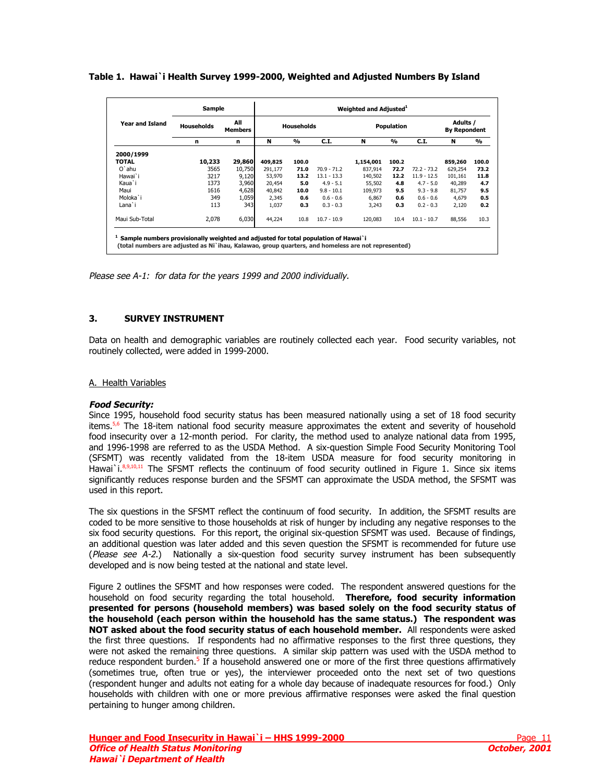### <span id="page-10-0"></span>**Table 1. Hawai`i Health Survey 1999-2000, Weighted and Adjusted Numbers By Island**

|                        | Sample     |                       |                   |               |               | Weighted and Adjusted <sup>1</sup> |               |               |                                 |       |
|------------------------|------------|-----------------------|-------------------|---------------|---------------|------------------------------------|---------------|---------------|---------------------------------|-------|
| <b>Year and Island</b> | Households | All<br><b>Members</b> | <b>Households</b> |               |               | <b>Population</b>                  |               |               | Adults /<br><b>By Repondent</b> |       |
|                        | n          | n                     | N                 | $\frac{9}{6}$ | C.I.          | N                                  | $\frac{9}{6}$ | C.I.          | N                               | %     |
| 2000/1999              |            |                       |                   |               |               |                                    |               |               |                                 |       |
| <b>TOTAL</b>           | 10,233     | 29,860                | 409,825           | 100.0         |               | 1,154,001                          | 100.2         |               | 859,260                         | 100.0 |
| O'ahu                  | 3565       | 10,750                | 291,177           | 71.0          | $70.9 - 71.2$ | 837,914                            | 72.7          | $72.2 - 73.2$ | 629,254                         | 73.2  |
| Hawai`i                | 3217       | 9,120                 | 53,970            | 13.2          | $13.1 - 13.3$ | 140,502                            | 12.2          | $11.9 - 12.5$ | 101,161                         | 11.8  |
| Kaua`i                 | 1373       | 3,960                 | 20.454            | 5.0           | $4.9 - 5.1$   | 55,502                             | 4.8           | $4.7 - 5.0$   | 40.289                          | 4.7   |
| Maui                   | 1616       | 4,628                 | 40,842            | 10.0          | $9.8 - 10.1$  | 109,973                            | 9.5           | $9.3 - 9.8$   | 81,757                          | 9.5   |
| Moloka`i               | 349        | 1,059                 | 2,345             | 0.6           | $0.6 - 0.6$   | 6.867                              | 0.6           | $0.6 - 0.6$   | 4,679                           | 0.5   |
| Lana`i                 | 113        | 343                   | 1,037             | 0.3           | $0.3 - 0.3$   | 3,243                              | 0.3           | $0.2 - 0.3$   | 2,120                           | 0.2   |
| Maui Sub-Total         | 2,078      | 6,030                 | 44,224            | 10.8          | $10.7 - 10.9$ | 120,083                            | 10.4          | $10.1 - 10.7$ | 88,556                          | 10.3  |

Please see [A-1](#page-32-0): for data for the years 1999 and 2000 individually.

### **3. SURVEY INSTRUMENT**

Data on health and demographic variables are routinely collected each year. Food security variables, not routinely collected, were added in 1999-2000.

#### A. Health Variables

#### **Food Security:**

Since 1995, household food security status has been measured nationally using a set of 18 food security items.[5,6](#page-8-0) The 18-item national food security measure approximates the extent and severity of household food insecurity over a 12-month period. For clarity, the method used to analyze national data from 1995, and 1996-1998 are referred to as the USDA Method. A six-question Simple Food Security Monitoring Tool (SFSMT) w[a](#page-8-0)srecently validated from the 18-item USDA measure for food security monitoring in Hawai`i.<sup>8,9,10,11</sup> The SFSMT reflects the continuum of food security outlined in Figure 1. Since six items significantly reduces response burden and the SFSMT can approximate the USDA method, the SFSMT was used in this report.

The six questions in the SFSMT reflect the continuum of food security. In addition, the SFSMT results are coded to be more sensitive to those households at risk of hunger by including any negative responses to the six food security questions. For this report, the original six-question SFSMT was used. Because of findings, an additional question was later added and this seven question the SFSMT is recommended for future use (Please see [A-2](#page-33-0).) Nationally a six-question food security survey instrument has been subsequently developed and is now being tested at the national and state level.

Figure 2 outlines the SFSMT and how responses were coded. The respondent answered questions for the household on food security regarding the total household. **Therefore, food security information presented for persons (household members) was based solely on the food security status of the household (each person within the household has the same status.) The respondent was NOT asked about the food security status of each household member.** All respondents were asked the first three questions. If respondents had no affirmative responses to the first three questions, they were not asked the remaining three questions. A similar skip pattern was used with the USDA method to reduce respondent burden.<sup>[5](#page-8-0)</sup> If a household answered one or more of the first three questions affirmatively (sometimes true, often true or yes), the interviewer proceeded onto the next set of two questions (respondent hunger and adults not eating for a whole day because of inadequate resources for food.) Only households with children with one or more previous affirmative responses were asked the final question pertaining to hunger among children.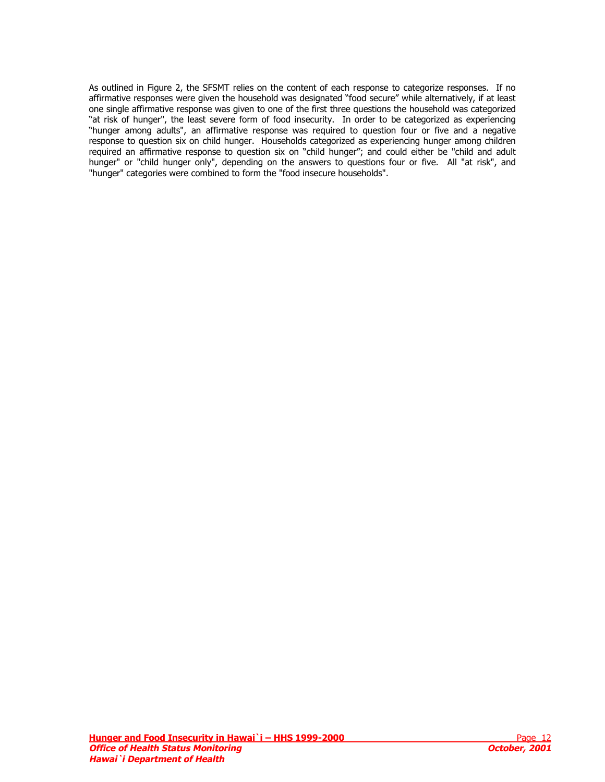As outlined in Figure 2, the SFSMT relies on the content of each response to categorize responses. If no affirmative responses were given the household was designated "food secure" while alternatively, if at least one single affirmative response was given to one of the first three questions the household was categorized "at risk of hunger", the least severe form of food insecurity. In order to be categorized as experiencing "hunger among adults", an affirmative response was required to question four or five and a negative response to question six on child hunger. Households categorized as experiencing hunger among children required an affirmative response to question six on "child hunger"; and could either be "child and adult hunger" or "child hunger only", depending on the answers to questions four or five. All "at risk", and "hunger" categories were combined to form the "food insecure households".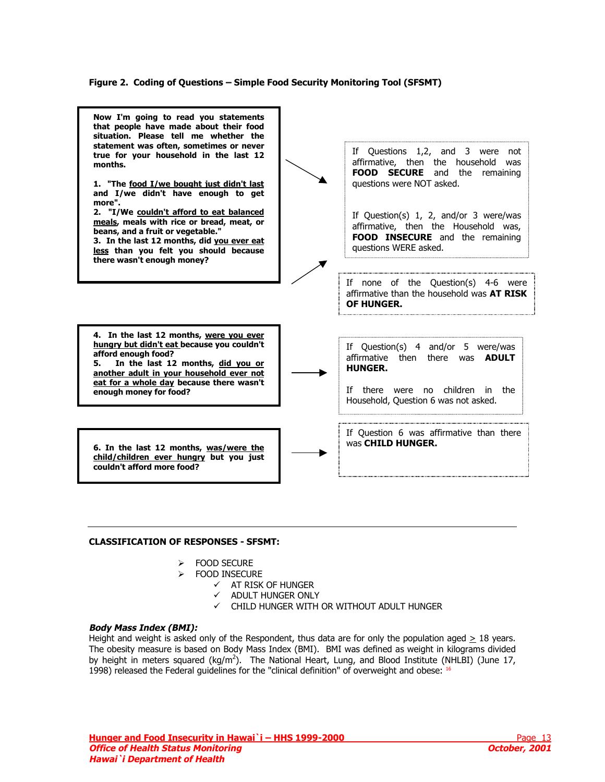### **Figure 2. Coding of Questions – Simple Food Security Monitoring Tool (SFSMT)**

<span id="page-12-0"></span>

#### **CLASSIFICATION OF RESPONSES - SFSMT:**

- ¾ FOOD SECURE
- ¾ FOOD INSECURE
	- $\checkmark$  AT RISK OF HUNGER
		- $\checkmark$  ADULT HUNGER ONLY
		- $\checkmark$  CHILD HUNGER WITH OR WITHOUT ADULT HUNGER

#### **Body Mass Index (BMI):**

Height and weight is asked only of the Respondent, thus data are for only the population aged  $\geq 18$  years. The obesity measure is based on Body Mass Index (BMI). BMI was defined as weight in kilograms divided by height in meters squared  $(kg/m^2)$ . The National Heart, Lung, and Blood Institute (NHLBI) (June 17, 1998) released the Federal guidelines for the "clinical definition" of overweight and obese: [16](#page-48-0)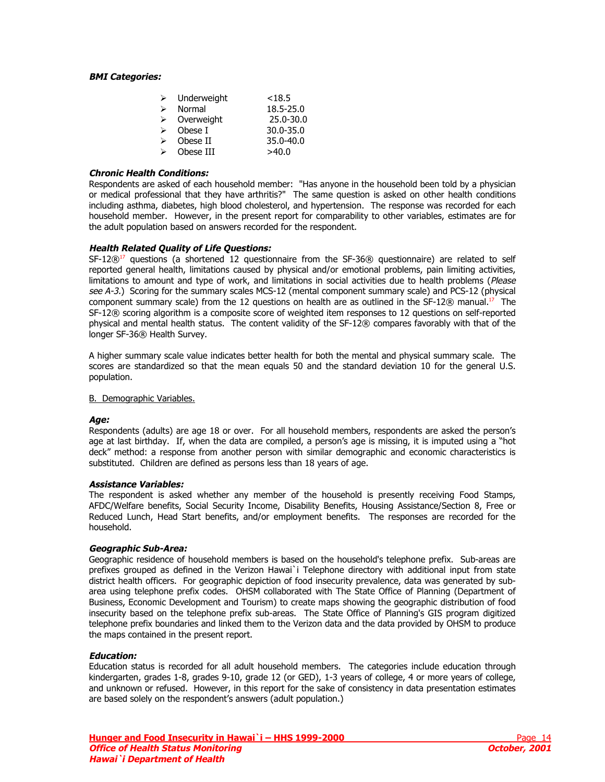#### <span id="page-13-0"></span>**BMI Categories:**

| ⋗ | Underweight | < 18.5        |
|---|-------------|---------------|
| ↘ | Normal      | 18.5-25.0     |
| ⋗ | Overweight  | 25.0-30.0     |
| ↘ | Obese I     | $30.0 - 35.0$ |
| ↘ | Obese II    | 35.0-40.0     |
| ↘ | Obese III   | >40.0         |

### **Chronic Health Conditions:**

Respondents are asked of each household member: "Has anyone in the household been told by a physician or medical professional that they have arthritis?" The same question is asked on other health conditions including asthma, diabetes, high blood cholesterol, and hypertension. The response was recorded for each household member. However, in the present report for comparability to other variables, estimates are for the adult population based on answers recorded for the respondent.

#### **Health Related Quality of Life Questions:**

 $SF-12@^{17}$  questions (a shortened 12 questionnaire from the  $SF-36@$  questionnaire) are related to self reported general health, limitations caused by physical and/or emotional problems, pain limiting activities, limitations to amount and type of work, and limitations in social activities due to health problems (Please see A-3.) Scoring for the summary scales MCS-12 (mental component summary scale) and PCS-12 (physical component summary scale) from the 12 questions on health are as outlined in the SF-12 $@$  manual.<sup>17</sup> The SF-12® scoring algorithm is a composite score of weighted item responses to 12 questions on self-reported physical and mental health status. The content validity of the SF-12® compares favorably with that of the longer SF-36® Health Survey.

A higher summary scale value indicates better health for both the mental and physical summary scale. The scores are standardized so that the mean equals 50 and the standard deviation 10 for the general U.S. population.

#### B. Demographic Variables.

## **Age:**

Respondents (adults) are age 18 or over. For all household members, respondents are asked the person's age at last birthday. If, when the data are compiled, a person's age is missing, it is imputed using a "hot deck" method: a response from another person with similar demographic and economic characteristics is substituted. Children are defined as persons less than 18 years of age.

#### **Assistance Variables:**

The respondent is asked whether any member of the household is presently receiving Food Stamps, AFDC/Welfare benefits, Social Security Income, Disability Benefits, Housing Assistance/Section 8, Free or Reduced Lunch, Head Start benefits, and/or employment benefits. The responses are recorded for the household.

## **Geographic Sub-Area:**

Geographic residence of household members is based on the household's telephone prefix. Sub-areas are prefixes grouped as defined in the Verizon Hawai`i Telephone directory with additional input from state district health officers. For geographic depiction of food insecurity prevalence, data was generated by subarea using telephone prefix codes. OHSM collaborated with The State Office of Planning (Department of Business, Economic Development and Tourism) to create maps showing the geographic distribution of food insecurity based on the telephone prefix sub-areas. The State Office of Planning's GIS program digitized telephone prefix boundaries and linked them to the Verizon data and the data provided by OHSM to produce the maps contained in the present report.

#### **Education:**

Education status is recorded for all adult household members. The categories include education through kindergarten, grades 1-8, grades 9-10, grade 12 (or GED), 1-3 years of college, 4 or more years of college, and unknown or refused. However, in this report for the sake of consistency in data presentation estimates are based solely on the respondent's answers (adult population.)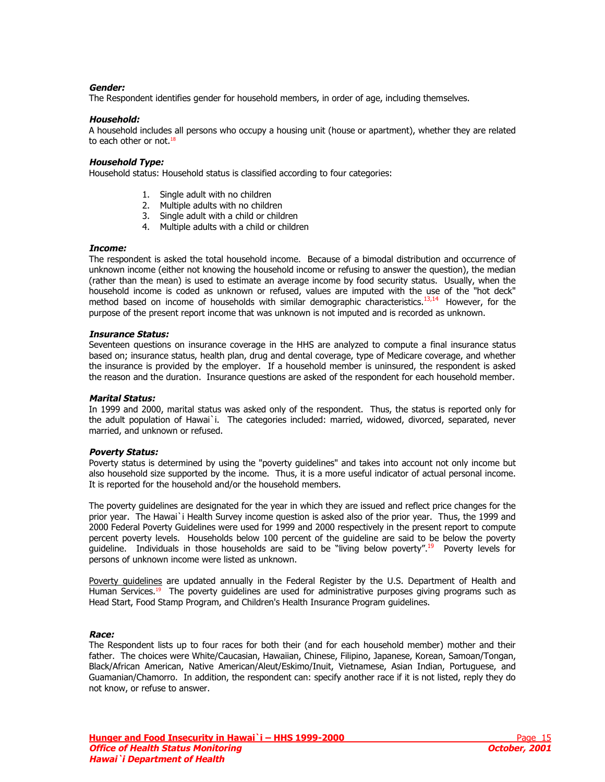### **Gender:**

The Respondent identifies gender for household members, in order of age, including themselves.

### **Household:**

A household includes all persons who occupy a housing unit (house or apartment), whether they are related to each other or not. $18$ 

### **Household Type:**

Household status: Household status is classified according to four categories:

- 1. Single adult with no children
- 2. Multiple adults with no children
- 3. Single adult with a child or children
- 4. Multiple adults with a child or children

#### **Income:**

The respondent is asked the total household income. Because of a bimodal distribution and occurrence of unknown income (either not knowing the household income or refusing to answer the question), the median (rather than the mean) is used to estimate an average income by food security status. Usually, when the household income is coded as unknown or refused, values are imputed with the [use of the "hot deck"](#page-9-0)  method based on income of households with similar demographic characteristics.<sup>13,14</sup> However, for the purpose of the present report income that was unknown is not imputed and is recorded as unknown.

#### **Insurance Status:**

Seventeen questions on insurance coverage in the HHS are analyzed to compute a final insurance status based on; insurance status, health plan, drug and dental coverage, type of Medicare coverage, and whether the insurance is provided by the employer. If a household member is uninsured, the respondent is asked the reason and the duration. Insurance questions are asked of the respondent for each household member.

#### **Marital Status:**

In 1999 and 2000, marital status was asked only of the respondent. Thus, the status is reported only for the adult population of Hawai`i. The categories included: married, widowed, divorced, separated, never married, and unknown or refused.

#### **Poverty Status:**

Poverty status is determined by using the "poverty guidelines" and takes into account not only income but also household size supported by the income. Thus, it is a more useful indicator of actual personal income. It is reported for the household and/or the household members.

The poverty guidelines are designated for the year in which they are issued and reflect price changes for the prior year. The Hawai`i Health Survey income question is asked also of the prior year. Thus, the 1999 and 2000 Federal Poverty Guidelines were used for 1999 and 2000 respectively in the present report to compute percent poverty levels. Households below 100 percent of the guideline are said to be below the poverty guideline. Individuals in those households are said to be "living below poverty".<sup>19</sup> Poverty levels for persons of unknown income were listed as unknown.

Poverty quidelines are updated annually in the Federal Register by the U.S. Department of Health and Human Services.<sup>19</sup> The poverty quidelines are used for administrative purposes giving programs such as Head Start, Food Stamp Program, and Children's Health Insurance Program guidelines.

## **Race:**

The Respondent lists up to four races for both their (and for each household member) mother and their father. The choices were White/Caucasian, Hawaiian, Chinese, Filipino, Japanese, Korean, Samoan/Tongan, Black/African American, Native American/Aleut/Eskimo/Inuit, Vietnamese, Asian Indian, Portuguese, and Guamanian/Chamorro. In addition, the respondent can: specify another race if it is not listed, reply they do not know, or refuse to answer.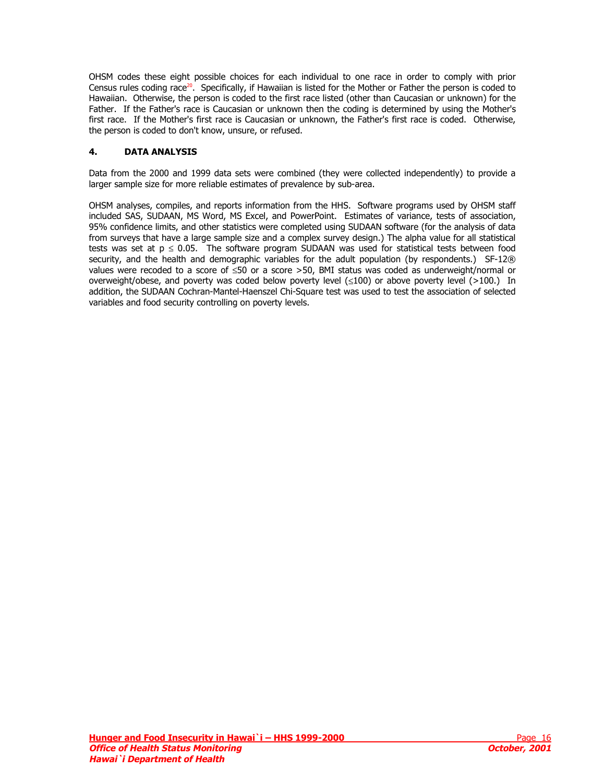OHSM codes these eight possible choices for each individual to one race in order to comply with prior Census rules coding race<sup>20</sup>. Specifically, if Hawaiian is listed for the Mother or Father the person is coded to Hawaiian. Otherwise, the person is coded to the first race listed (other than Caucasian or unknown) for the Father. If the Father's race is Caucasian or unknown then the coding is determined by using the Mother's first race. If the Mother's first race is Caucasian or unknown, the Father's first race is coded. Otherwise, the person is coded to don't know, unsure, or refused.

## **4. DATA ANALYSIS**

Data from the 2000 and 1999 data sets were combined (they were collected independently) to provide a larger sample size for more reliable estimates of prevalence by sub-area.

OHSM analyses, compiles, and reports information from the HHS. Software programs used by OHSM staff included SAS, SUDAAN, MS Word, MS Excel, and PowerPoint. Estimates of variance, tests of association, 95% confidence limits, and other statistics were completed using SUDAAN software (for the analysis of data from surveys that have a large sample size and a complex survey design.) The alpha value for all statistical tests was set at  $p \le 0.05$ . The software program SUDAAN was used for statistical tests between food security, and the health and demographic variables for the adult population (by respondents.) SF-12® values were recoded to a score of ≤50 or a score >50, BMI status was coded as underweight/normal or overweight/obese, and poverty was coded below poverty level (≤100) or above poverty level (>100.) In addition, the SUDAAN Cochran-Mantel-Haenszel Chi-Square test was used to test the association of selected variables and food security controlling on poverty levels.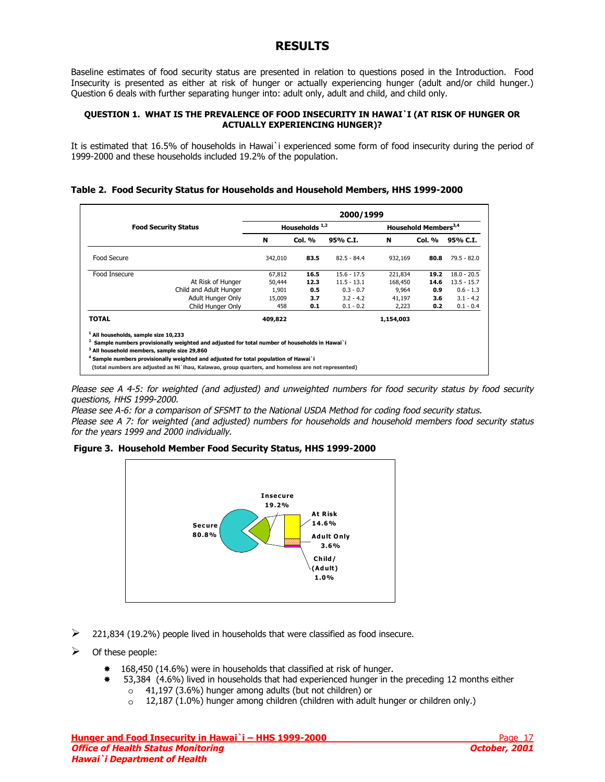## **RESULTS**

<span id="page-16-0"></span>Baseline estimates of food security status are presented in relation to questions posed in the Introduction. Food Insecurity is presented as either at risk of hunger or actually experiencing hunger (adult and/or child hunger.) Question 6 deals with further separating hunger into: adult only, adult and child, and child only.

### **QUESTION 1. WHAT IS THE PREVALENCE OF FOOD INSECURITY IN HAWAI`I (AT RISK OF HUNGER OR ACTUALLY EXPERIENCING HUNGER)?**

It is estimated that 16.5% of households in Hawai`i experienced some form of food insecurity during the period of 1999-2000 and these households included 19.2% of the population.

## **Table 2. Food Security Status for Households and Household Members, HHS 1999-2000**

|                                                                                                    | 2000/1999              |         |                  |               |                                  |        |               |  |
|----------------------------------------------------------------------------------------------------|------------------------|---------|------------------|---------------|----------------------------------|--------|---------------|--|
| <b>Food Security Status</b>                                                                        |                        |         | Households $1,2$ |               | Household Members <sup>3,4</sup> |        |               |  |
|                                                                                                    |                        | N       | <b>Col. %</b>    | 95% C.I.      | N                                | Col. % | 95% C.I.      |  |
| Food Secure                                                                                        |                        | 342,010 | 83.5             | $82.5 - 84.4$ | 932,169                          | 80.8   | $79.5 - 82.0$ |  |
| Food Insecure                                                                                      |                        | 67,812  | 16.5             | $15.6 - 17.5$ | 221,834                          | 19.2   | $18.0 - 20.5$ |  |
|                                                                                                    | At Risk of Hunger      | 50,444  | 12.3             | $11.5 - 13.1$ | 168,450                          | 14.6   | $13.5 - 15.7$ |  |
|                                                                                                    | Child and Adult Hunger | 1,901   | 0.5              | $0.3 - 0.7$   | 9,964                            | 0.9    | $0.6 - 1.3$   |  |
|                                                                                                    | Adult Hunger Only      | 15,009  | 3.7              | $3.2 - 4.2$   | 41,197                           | 3.6    | $3.1 - 4.2$   |  |
|                                                                                                    | Child Hunger Only      | 458     | 0.1              | $0.1 - 0.2$   | 2,223                            | 0.2    | $0.1 - 0.4$   |  |
| <b>TOTAL</b>                                                                                       |                        | 409,822 |                  |               | 1,154,003                        |        |               |  |
| All households, sample size 10,233                                                                 |                        |         |                  |               |                                  |        |               |  |
| Sample numbers provisionally weighted and adjusted for total number of households in Hawai`i       |                        |         |                  |               |                                  |        |               |  |
| <sup>3</sup> All household members, sample size 29,860                                             |                        |         |                  |               |                                  |        |               |  |
| <sup>4</sup> Sample numbers provisionally weighted and adjusted for total population of Hawai`i    |                        |         |                  |               |                                  |        |               |  |
| (total numbers are adjusted as Ni`ihau, Kalawao, group quarters, and homeless are not represented) |                        |         |                  |               |                                  |        |               |  |

Please see A 4-5: for weighted (and adjusted) and unweighted numbers for food security status by food security questions, HHS 1999-2000.

Please see A-6: for a comparison of SFSMT to the National USDA Method for coding food security status. Please see A 7: for weighted (and adjusted) numbers for households and household members food security status for the years 1999 and 2000 individually.

 **Figure 3. Household Member Food Security Status, HHS 1999-2000** 



- $\geq$  221,834 (19.2%) people lived in households that were classified as food insecure.
- $\triangleright$  Of these people:
	- 168,450 (14.6%) were in households that classified at risk of hunger.
		- 53,384 (4.6%) lived in households that had experienced hunger in the preceding 12 months either
			- $\circ$  41,197 (3.6%) hunger among adults (but not children) or
			- o 12,187 (1.0%) hunger among children (children with adult hunger or children only.)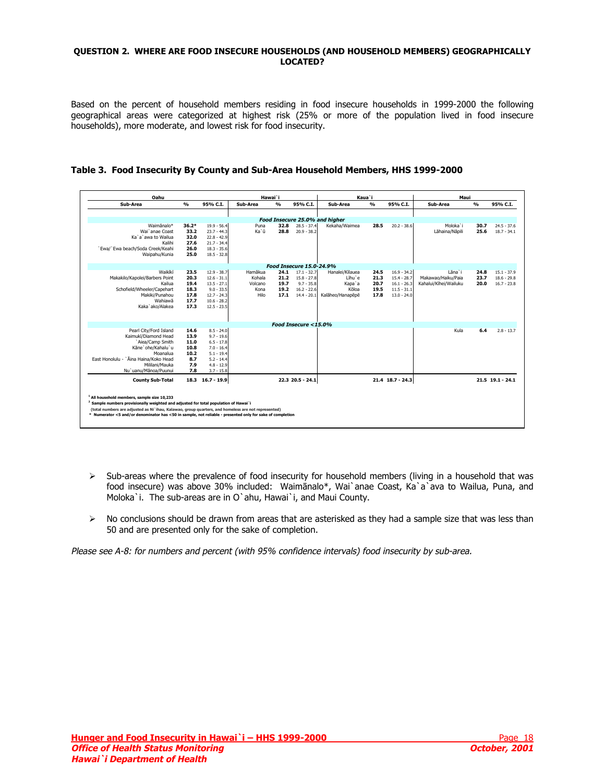#### <span id="page-17-0"></span>**QUESTION 2. WHERE ARE FOOD INSECURE HOUSEHOLDS (AND HOUSEHOLD MEMBERS) GEOGRAPHICALLY LOCATED?**

Based on the percent of household members residing in food insecure households in 1999-2000 the following geographical areas were categorized at highest risk (25% or more of the population lived in food insecure households), more moderate, and lowest risk for food insecurity.

| Oahu                                                                                                      |               |                                |          | Hawai`i        |                                 |                                | Kaua`i         |                    | Maui                  |                |                    |
|-----------------------------------------------------------------------------------------------------------|---------------|--------------------------------|----------|----------------|---------------------------------|--------------------------------|----------------|--------------------|-----------------------|----------------|--------------------|
| Sub-Area                                                                                                  | $\frac{9}{6}$ | 95% C.I.                       | Sub-Area | O <sub>0</sub> | 95% C.I.                        | Sub-Area                       | O <sub>0</sub> | 95% C.I.           | Sub-Area              | O <sub>0</sub> | 95% C.I.           |
|                                                                                                           |               |                                |          |                |                                 |                                |                |                    |                       |                |                    |
|                                                                                                           |               |                                |          |                |                                 | Food Insecure 25.0% and higher |                |                    |                       |                |                    |
| Waimānalo*                                                                                                | $36.2*$       | $19.9 - 56.4$                  | Puna     | 32.8           | $28.5 - 37.4$                   | Kekaha/Waimea                  | 28.5           | $20.2 - 38.6$      | Moloka`i              | 30.7           | $24.5 - 37.6$      |
| Wai`anae Coast                                                                                            | 33.2          | $23.7 - 44.3$                  | Ka`ū     | 28.8           | $20.9 - 38.2$                   |                                |                |                    | Lāhaina/Nāpili        | 25.6           | $18.7 - 34.1$      |
| Ka`a`awa to Wailua                                                                                        | 32.0          | $22.8 - 42.9$                  |          |                |                                 |                                |                |                    |                       |                |                    |
| Kalihi<br>`Ewa/`Ewa beach/Soda Creek/Keahi                                                                | 27.6<br>26.0  | $21.7 - 34.4$<br>$18.3 - 35.6$ |          |                |                                 |                                |                |                    |                       |                |                    |
| Waipahu/Kunia                                                                                             | 25.0          | $18.5 - 32.8$                  |          |                |                                 |                                |                |                    |                       |                |                    |
|                                                                                                           |               |                                |          |                |                                 |                                |                |                    |                       |                |                    |
|                                                                                                           |               |                                |          |                | <b>Food Insecure 15.0-24.9%</b> |                                |                |                    |                       |                |                    |
| Waikīkī                                                                                                   | 23.5          | $12.9 - 38.7$                  | Hamākua  | 24.1           | $17.1 - 32.7$                   | Hanalei/Kilauea                | 24.5           | $16.9 - 34.2$      | Iāna`i                | 24.8           | $15.1 - 37.9$      |
| Makakilo/Kapolei/Barbers Point                                                                            | 20.3          | $12.6 - 31.1$                  | Kohala   | 21.2           | $15.8 - 27.8$                   | Līhu`e                         | 21.3           | $15.4 - 28.7$      | Makawao/Haiku/Paia    | 23.7           | $18.6 - 29.8$      |
| Kailua                                                                                                    | 19.4          | $13.5 - 27.1$                  | Volcano  | 19.7           | $9.7 - 35.8$                    | Kapa`a                         | 20.7           | $16.1 - 26.3$      | Kahalui/Kihei/Wailuku | 20.0           | $16.7 - 23.8$      |
| Schofield/Wheeler/Capehart                                                                                | 18.3          | $9.0 - 33.5$                   | Kona     | 19.2           | $16.2 - 22.6$                   | Köloa                          | 19.5           | $11.5 - 31.1$      |                       |                |                    |
| Makiki/Punahou                                                                                            | 17.8          | $12.7 - 24.3$                  | Hilo     | 17.1           | $14.4 - 20.1$                   | Kalāheo/Hanapēpē               | 17.8           | $13.0 - 24.0$      |                       |                |                    |
| Wahiawa                                                                                                   | 17.7          | $10.6 - 28.2$                  |          |                |                                 |                                |                |                    |                       |                |                    |
| Kaka`ako/Alakea                                                                                           | 17.3          | $12.5 - 23.5$                  |          |                |                                 |                                |                |                    |                       |                |                    |
|                                                                                                           |               |                                |          |                |                                 |                                |                |                    |                       |                |                    |
|                                                                                                           |               |                                |          |                | Food Insecure $<$ 15.0%         |                                |                |                    |                       |                |                    |
| Pearl City/Ford Island                                                                                    | 14.6          | $8.5 - 24.0$                   |          |                |                                 |                                |                |                    | Kula                  | 6.4            | $2.8 - 13.7$       |
| Kaimukī/Diamond Head                                                                                      | 13.9          | $9.7 - 19.6$                   |          |                |                                 |                                |                |                    |                       |                |                    |
| `Aiea/Camp Smith                                                                                          | 11.0          | $6.5 - 17.8$                   |          |                |                                 |                                |                |                    |                       |                |                    |
| Käne'ohe/Kahalu'u<br>Moanalua                                                                             | 10.8<br>10.2  | $7.0 - 16.4$<br>$5.1 - 19.4$   |          |                |                                 |                                |                |                    |                       |                |                    |
| East Honolulu - `Āina Haina/Koko Head                                                                     | 8.7           | $5.2 - 14.4$                   |          |                |                                 |                                |                |                    |                       |                |                    |
| Mililani/Mauka                                                                                            | 7.9           | $4.8 - 12.9$                   |          |                |                                 |                                |                |                    |                       |                |                    |
| Nu'uanu/Mānoa/Puunui                                                                                      | 7.8           | $3.7 - 15.8$                   |          |                |                                 |                                |                |                    |                       |                |                    |
|                                                                                                           |               |                                |          |                |                                 |                                |                |                    |                       |                |                    |
| <b>County Sub-Total</b>                                                                                   |               | 18.3 16.7 - 19.9               |          |                | 22.3 20.5 - 24.1                |                                |                | $21.4$ 18.7 - 24.3 |                       |                | $21.5$ 19.1 - 24.1 |
|                                                                                                           |               |                                |          |                |                                 |                                |                |                    |                       |                |                    |
| <sup>1</sup> All household members, sample size 10.233                                                    |               |                                |          |                |                                 |                                |                |                    |                       |                |                    |
| <sup>2</sup> Sample numbers provisionally weighted and adjusted for total population of Hawai`i           |               |                                |          |                |                                 |                                |                |                    |                       |                |                    |
| (total numbers are adjusted as Ni`ihau, Kalawao, group quarters, and homeless are not represented)        |               |                                |          |                |                                 |                                |                |                    |                       |                |                    |
| * Numerator <5 and/or denominator has <50 in sample, not reliable - presented only for sake of completion |               |                                |          |                |                                 |                                |                |                    |                       |                |                    |

## **Table 3. Food Insecurity By County and Sub-Area Household Members, HHS 1999-2000**

- $\triangleright$  Sub-areas where the prevalence of food insecurity for household members (living in a household that was food insecure) was above 30% included: Waimānalo\*, Wai`anae Coast, Ka`a`ava to Wailua, Puna, and Moloka`i. The sub-areas are in O`ahu, Hawai`i, and Maui County.
- $\triangleright$  No conclusions should be drawn from areas that are asterisked as they had a sample size that was less than 50 and are presented only for the sake of completion.

Please see A-8: for numbers and percent (with 95% confidence intervals) food insecurity by sub-area.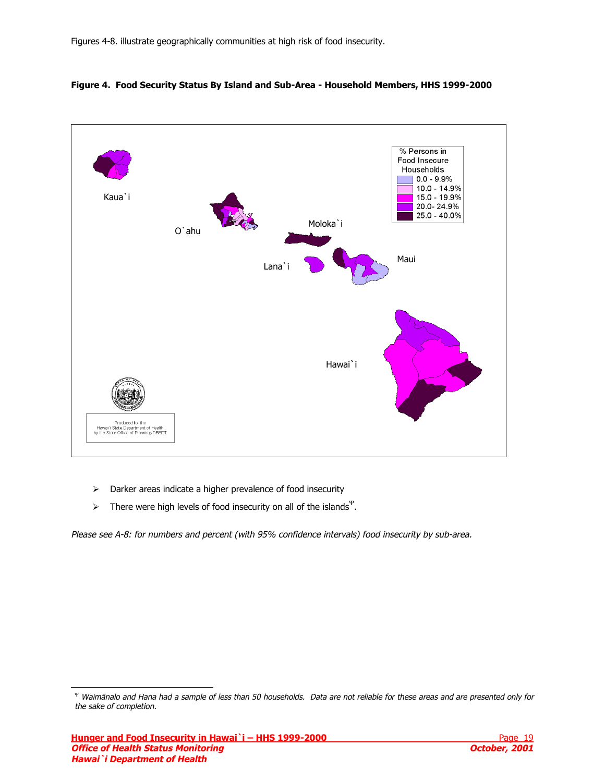

## <span id="page-18-0"></span>**Figure 4. Food Security Status By Island and Sub-Area - Household Members, HHS 1999-2000**

- $\triangleright$  Darker areas indicate a higher prevalence of food insecurity
- $\triangleright$  There were high levels of food insecurity on all of the islands<sup>Ψ</sup>.

Please see A-8: for numbers and percent (with 95% confidence intervals) food insecurity by sub-area.

j

<sup>Ψ</sup> Waimānalo and Hana had a sample of less than 50 households. Data are not reliable for these areas and are presented only for the sake of completion.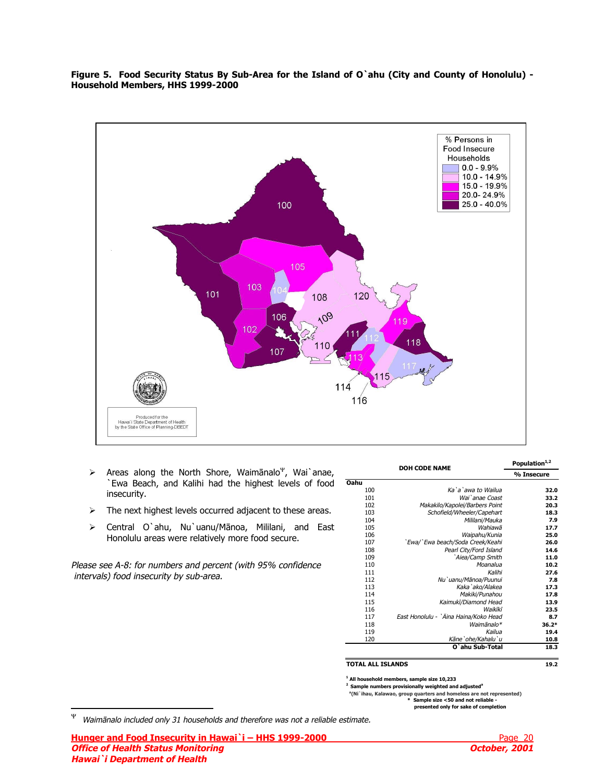<span id="page-19-0"></span>**Figure 5. Food Security Status By Sub-Area for the Island of O`ahu (City and County of Honolulu) - Household Members, HHS 1999-2000** 



- ¾ Areas along the North Shore, Waimānalo<sup>Ψ</sup>, Wai`anae, `Ewa Beach, and Kalihi had the highest levels of food insecurity.
- $\triangleright$  The next highest levels occurred adjacent to these areas.
- ¾ Central O`ahu, Nu`uanu/Mānoa, Mililani, and East Honolulu areas were relatively more food secure.

Please see A-8: for numbers and percent (with 95% confidence intervals) food insecurity by sub-area.

|      | <b>DOH CODE NAME</b>                  |            |  |  |
|------|---------------------------------------|------------|--|--|
|      |                                       | % Insecure |  |  |
| Oahu |                                       |            |  |  |
| 100  | Ka`a`awa to Wailua                    | 32.0       |  |  |
| 101  | Wai'anae Coast                        | 33.2       |  |  |
| 102  | Makakilo/Kapolei/Barbers Point        | 20.3       |  |  |
| 103  | Schofield/Wheeler/Capehart            | 18.3       |  |  |
| 104  | Mililani/Mauka                        | 7.9        |  |  |
| 105  | Wahiawā                               | 17.7       |  |  |
| 106  | Waipahu/Kunia                         | 25.0       |  |  |
| 107  | `Ewa/`Ewa beach/Soda Creek/Keahi      | 26.0       |  |  |
| 108  | Pearl City/Ford Island                | 14.6       |  |  |
| 109  | `Aiea/Camp Smith                      | 11.0       |  |  |
| 110  | Moanalua                              | 10.2       |  |  |
| 111  | Kalihi                                | 27.6       |  |  |
| 112  | Nu`uanu/Mānoa/Puunui                  | 7.8        |  |  |
| 113  | Kaka'ako/Alakea                       | 17.3       |  |  |
| 114  | Makiki/Punahou                        | 17.8       |  |  |
| 115  | Kaimukī/Diamond Head                  | 13.9       |  |  |
| 116  | Waikīkī                               | 23.5       |  |  |
| 117  | East Honolulu - `Āina Haina/Koko Head | 8.7        |  |  |
| 118  | Waimānalo*                            | $36.2*$    |  |  |
| 119  | Kailua                                | 19.4       |  |  |
| 120  | Kāne`ohe/Kahalu`u                     | 10.8       |  |  |
|      | O`ahu Sub-Total                       | 18.3       |  |  |

#### **TOTAL ALL ISLANDS**

**1 All household members, sample size 10,233**

**2 Sample numbers provisionally weighted and adjusted<sup>a</sup>** 

<sup>a</sup>(Ni`ihau, Kalawao, group quarters and homeless are not represented)<br>**50 and not reliable - <b>X** Sample size <50 and not reliable -

 **presented only for sake of completion**

**Hunger and Food Insecurity in Hawai`i – HHS 1999-2000 Page 20 Page 20 Office of Health Status Monitoring Community Community Community Community Community Community Community Community Community Community Community Community Community Community Community Community Community Community Commun Hawai`i Department of Health** 

**19.2**

Ψ Waimānalo included only 31 households and therefore was not a reliable estimate.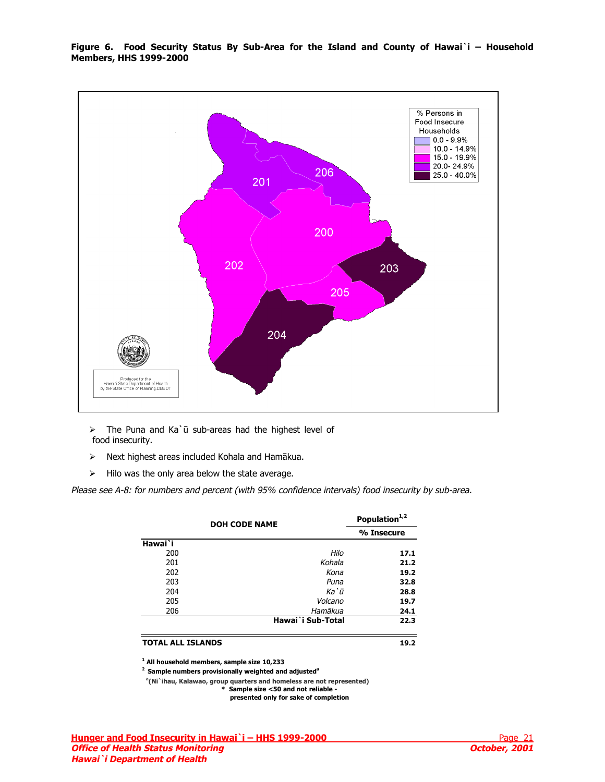<span id="page-20-0"></span>**Figure 6. Food Security Status By Sub-Area for the Island and County of Hawai`i – Household Members, HHS 1999-2000** 



 $\triangleright$  The Puna and Ka`ū sub-areas had the highest level of food insecurity.

- $\triangleright$  Next highest areas included Kohala and Hamākua.
- $\triangleright$  Hilo was the only area below the state average.

Please see A-8: for numbers and percent (with 95% confidence intervals) food insecurity by sub-area.

|                          | <b>DOH CODE NAME</b> | Population <sup>1,2</sup> |
|--------------------------|----------------------|---------------------------|
|                          |                      | % Insecure                |
| Hawai <sup>T</sup>       |                      |                           |
| 200                      | Hilo                 | 17.1                      |
| 201                      | Kohala               | 21.2                      |
| 202                      | Kona                 | 19.2                      |
| 203                      | Puna                 | 32.8                      |
| 204                      | Ka`ū                 | 28.8                      |
| 205                      | Volcano              | 19.7                      |
| 206                      | Hamākua              | 24.1                      |
|                          | Hawai`i Sub-Total    | 22.3                      |
| <b>TOTAL ALL ISLANDS</b> |                      | 19.2                      |

**1 All household members, sample size 10,233**

<sup>2</sup> Sample numbers provisionally weighted and adjusted<sup>a</sup>

 **a (Ni`ihau, Kalawao, group quarters and homeless are not represented)**

**\* Sample size <50 and not reliable -** 

 **presented only for sake of completion**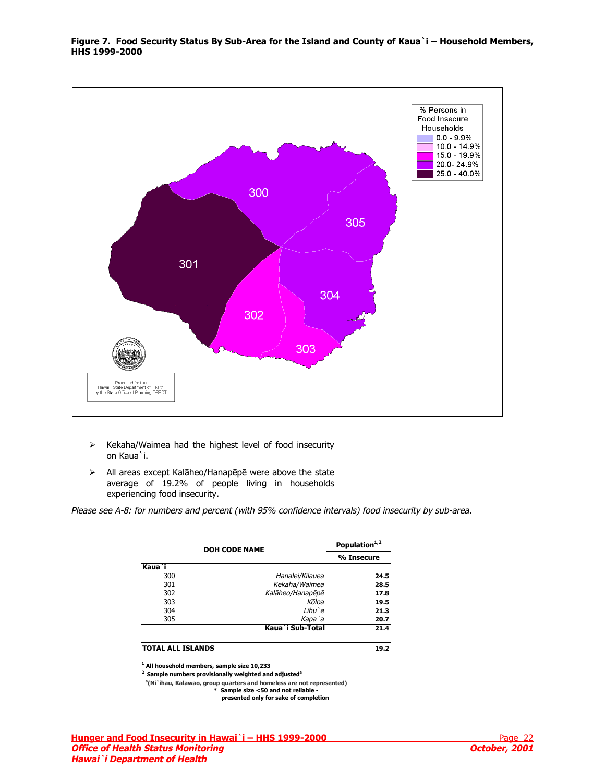<span id="page-21-0"></span>**Figure 7. Food Security Status By Sub-Area for the Island and County of Kaua`i – Household Members, HHS 1999-2000** 



- $\triangleright$  Kekaha/Waimea had the highest level of food insecurity on Kaua`i.
- ¾ All areas except Kalāheo/Hanapēpē were above the state average of 19.2% of people living in households experiencing food insecurity.

Please see A-8: for numbers and percent (with 95% confidence intervals) food insecurity by sub-area.

| <b>DOH CODE NAME</b>                                        |                  | Population <sup>1,2</sup> |
|-------------------------------------------------------------|------------------|---------------------------|
|                                                             |                  | % Insecure                |
| Kaua <sup>'</sup> i                                         |                  |                           |
| 300                                                         | Hanalei/Kīlauea  | 24.5                      |
| 301                                                         | Kekaha/Waimea    | 28.5                      |
| 302                                                         | Kalāheo/Hanapēpē | 17.8                      |
| 303                                                         | Kōloa            | 19.5                      |
| 304                                                         | Līhu`e           | 21.3                      |
| 305                                                         | Kapa`a           | 20.7                      |
|                                                             | Kaua`i Sub-Total | 21.4                      |
| <b>TOTAL ALL ISLANDS</b>                                    |                  | 19.2                      |
| <sup>1</sup> All household members, sample size 10,233<br>. |                  |                           |

**2 Sample numbers provisionally weighted and adjusteda**

 **a (Ni`ihau, Kalawao, group quarters and homeless are not represented)**

**\* Sample size <50 and not reliable presented only for sake of completion**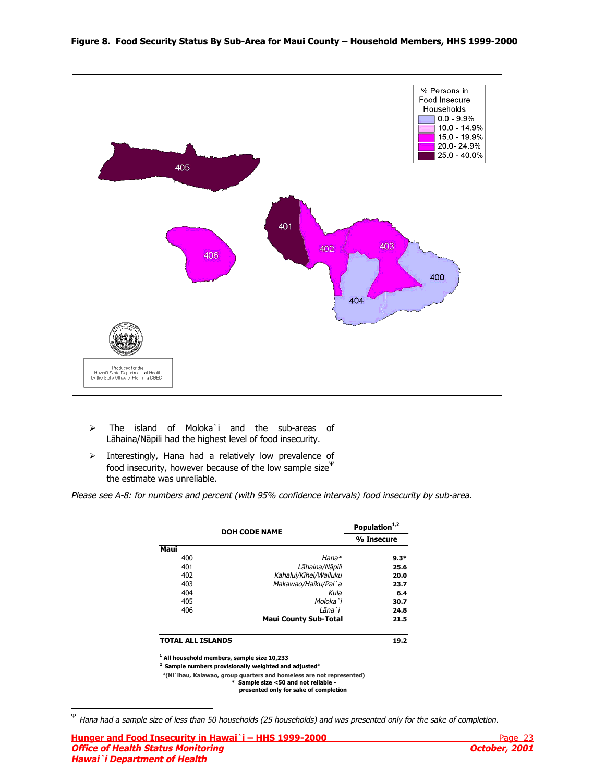<span id="page-22-0"></span>

- ¾ The island of Moloka`i and the sub-areas of Lāhaina/Nāpili had the highest level of food insecurity.
- $\triangleright$  Interestingly, Hana had a relatively low prevalence of food insecurity, however because of the low sample size $\Psi$ the estimate was unreliable.

Please see A-8: for numbers and percent (with 95% confidence intervals) food insecurity by sub-area.

|                                                | <b>DOH CODE NAME</b>         |            |
|------------------------------------------------|------------------------------|------------|
|                                                |                              | % Insecure |
| Maui                                           |                              |            |
| 400                                            | $H$ ana $*$                  | $9.3*$     |
| 401                                            | Lāhaina/Nāpili               | 25.6       |
| 402                                            | Kahalui/Kīhei/Wailuku        | 20.0       |
| 403                                            | Makawao/Haiku/Pai`a          | 23.7       |
| 404                                            | Kula                         | 6.4        |
| 405                                            | Moloka`i                     | 30.7       |
| 406                                            | Lāna`i                       | 24.8       |
|                                                | <b>Maui County Sub-Total</b> | 21.5       |
| <b>TOTAL ALL ISLANDS</b>                       |                              | 19.2       |
| $^1$ All household members. sample size 10.233 |                              |            |

**2 Sample numbers provisionally weighted and adjusted**<sup>a</sup>

 **a (Ni`ihau, Kalawao, group quarters and homeless are not represented)**

**\* Sample size <50 and not reliable -** 

 **presented only for sake of completion**

j

<sup>Ψ</sup> Hana had a sample size of less than 50 households (25 households) and was presented only for the sake of completion.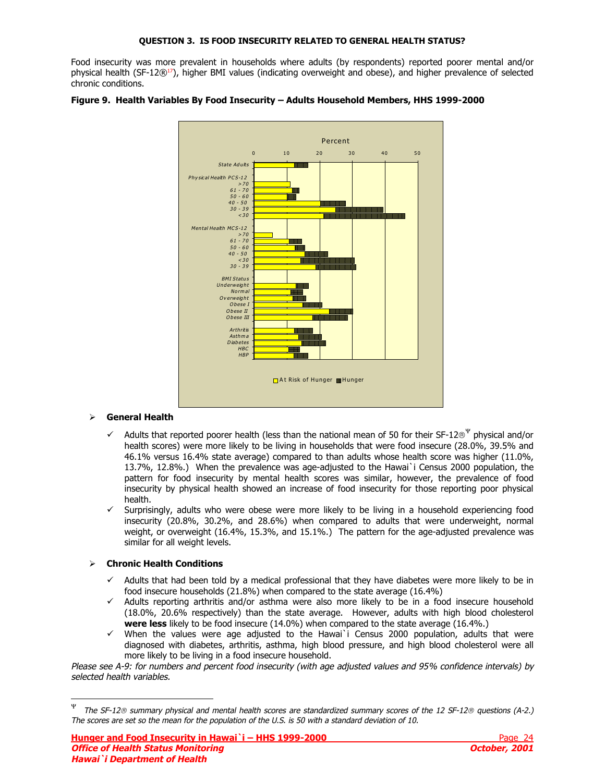<span id="page-23-0"></span>Food insecurity was more prevalent in households where adults (by respondents) reported poorer mental and/or physical health (SF-12 $\mathbb{R}^{17}$ ), higher BMI values (indicating overweight and obese), and higher prevalence of selected chronic conditions.



### **Figure 9. Health Variables By Food Insecurity – Adults Household Members, HHS 1999-2000**

## ¾ **General Health**

- Adults that reported poorer health (less than the national mean of 50 for their SF-12®<sup>Ψ</sup> physical and/or health scores) were more likely to be living in households that were food insecure (28.0%, 39.5% and 46.1% versus 16.4% state average) compared to than adults whose health score was higher (11.0%, 13.7%, 12.8%.) When the prevalence was age-adjusted to the Hawai`i Census 2000 population, the pattern for food insecurity by mental health scores was similar, however, the prevalence of food insecurity by physical health showed an increase of food insecurity for those reporting poor physical health.
- $\checkmark$  Surprisingly, adults who were obese were more likely to be living in a household experiencing food insecurity (20.8%, 30.2%, and 28.6%) when compared to adults that were underweight, normal weight, or overweight (16.4%, 15.3%, and 15.1%.) The pattern for the age-adjusted prevalence was similar for all weight levels.

## ¾ **Chronic Health Conditions**

j

- $\checkmark$  Adults that had been told by a medical professional that they have diabetes were more likely to be in food insecure households (21.8%) when compared to the state average (16.4%)
- $\checkmark$  Adults reporting arthritis and/or asthma were also more likely to be in a food insecure household (18.0%, 20.6% respectively) than the state average. However, adults with high blood cholesterol **were less** likely to be food insecure (14.0%) when compared to the state average (16.4%.)
- When the values were age adjusted to the Hawai`i Census 2000 population, adults that were diagnosed with diabetes, arthritis, asthma, high blood pressure, and high blood cholesterol were all more likely to be living in a food insecure household.

Please see A-9: for numbers and percent food insecurity (with age adjusted values and 95% confidence intervals) by selected health variables.

 $\Psi$  The SF-12<sup>®</sup> summary physical and mental health scores are standardized summary scores of the 12 SF-12<sup>®</sup> questions (A-2.) The scores are set so the mean for the population of the U.S. is 50 with a standard deviation of 10.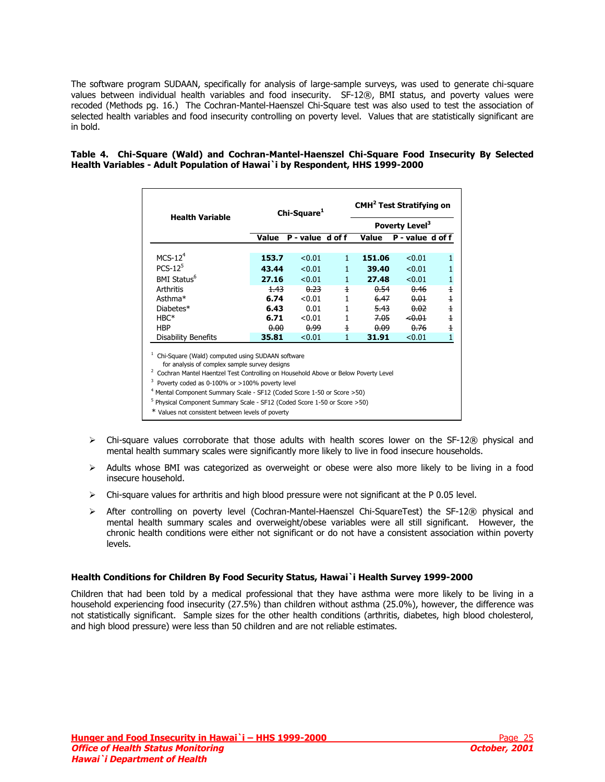<span id="page-24-0"></span>The software program SUDAAN, specifically for analysis of large-sample surveys, was used to generate chi-square values between individual health variables and food insecurity. SF-12®, BMI status, and poverty values were recoded (Methods pg. 16.) The Cochran-Mantel-Haenszel Chi-Square test was also used to test the association of selected health variables and food insecurity controlling on poverty level. Values that are statistically significant are in bold.

### **Table 4. Chi-Square (Wald) and Cochran-Mantel-Haenszel Chi-Square Food Insecurity By Selected Health Variables - Adult Population of Hawai`i by Respondent, HHS 1999-2000**

|                            |       | Chi-Square <sup>1</sup> |                |        | <b>CMH<sup>2</sup> Test Stratifying on</b> |                |
|----------------------------|-------|-------------------------|----------------|--------|--------------------------------------------|----------------|
| <b>Health Variable</b>     |       |                         |                |        | Poverty Level <sup>3</sup>                 |                |
|                            | Value | P-value d of f          |                | Value  | P - value d of f                           |                |
| $MCS-124$                  | 153.7 | < 0.01                  | $\mathbf{1}$   | 151.06 | < 0.01                                     | $\mathbf{1}$   |
| $PCS-12^5$                 | 43.44 | < 0.01                  | 1              | 39.40  | < 0.01                                     | 1              |
| BMI Status <sup>6</sup>    | 27.16 | < 0.01                  | $\mathbf{1}$   | 27.48  | < 0.01                                     | $\mathbf{1}$   |
| <b>Arthritis</b>           | 4.43  | 0.23                    | $\overline{1}$ | 0.54   | 0.46                                       | $\overline{1}$ |
| Asthma <sup>*</sup>        | 6.74  | < 0.01                  | 1              | 6.47   | 0.01                                       | $\overline{1}$ |
| Diabetes*                  | 6.43  | 0.01                    | 1              | 5.43   | 0.02                                       | $\overline{1}$ |
| $HBC*$                     | 6.71  | < 0.01                  | 1              | 7.05   | $-0.01$                                    | $\overline{1}$ |
| <b>HBP</b>                 | 0.00  | 0.99                    | 4              | 0.09   | 0.76                                       | $\pm$          |
| <b>Disability Benefits</b> | 35.81 | < 0.01                  |                | 31.91  | < 0.01                                     |                |

for analysis of complex sample survey designs

<sup>2</sup> Cochran Mantel Haentzel Test Controlling on Household Above or Below Poverty Level

 $3$  Poverty coded as 0-100% or >100% poverty level

<sup>4</sup> Mental Component Summary Scale - SF12 (Coded Score 1-50 or Score > 50)

<sup>5</sup> Physical Component Summary Scale - SF12 (Coded Score 1-50 or Score >50)

\* Values not consistent between levels of poverty

- $\triangleright$  Chi-square values corroborate that those adults with health scores lower on the SF-12® physical and mental health summary scales were significantly more likely to live in food insecure households.
- $\triangleright$  Adults whose BMI was categorized as overweight or obese were also more likely to be living in a food insecure household.
- $\triangleright$  Chi-square values for arthritis and high blood pressure were not significant at the P 0.05 level.
- ¾ After controlling on poverty level (Cochran-Mantel-Haenszel Chi-SquareTest) the SF-12® physical and mental health summary scales and overweight/obese variables were all still significant. However, the chronic health conditions were either not significant or do not have a consistent association within poverty levels.

## **Health Conditions for Children By Food Security Status, Hawai`i Health Survey 1999-2000**

Children that had been told by a medical professional that they have asthma were more likely to be living in a household experiencing food insecurity (27.5%) than children without asthma (25.0%), however, the difference was not statistically significant. Sample sizes for the other health conditions (arthritis, diabetes, high blood cholesterol, and high blood pressure) were less than 50 children and are not reliable estimates.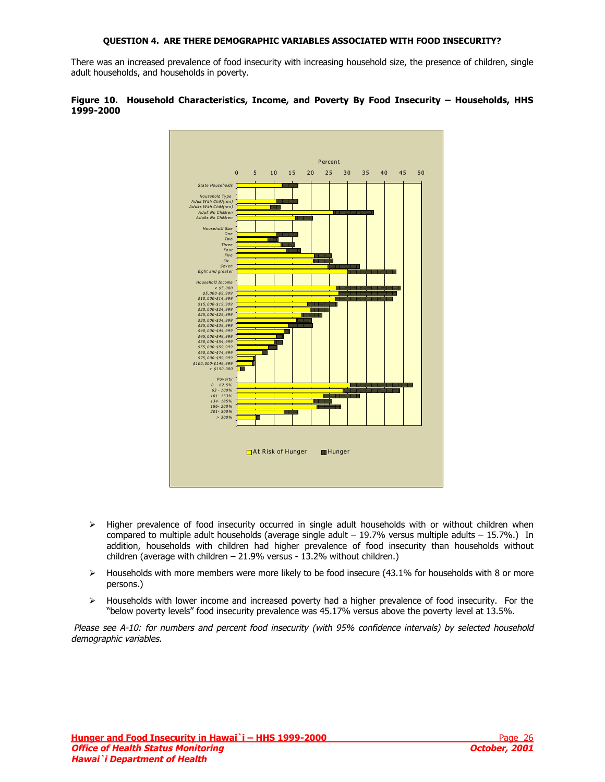#### **QUESTION 4. ARE THERE DEMOGRAPHIC VARIABLES ASSOCIATED WITH FOOD INSECURITY?**

<span id="page-25-0"></span>There was an increased prevalence of food insecurity with increasing household size, the presence of children, single adult households, and households in poverty.





- $\triangleright$  Higher prevalence of food insecurity occurred in single adult households with or without children when compared to multiple adult households (average single adult  $-19.7\%$  versus multiple adults  $-15.7\%$ .) In addition, households with children had higher prevalence of food insecurity than households without children (average with children – 21.9% versus - 13.2% without children.)
- $\triangleright$  Households with more members were more likely to be food insecure (43.1% for households with 8 or more persons.)
- $\triangleright$  Households with lower income and increased poverty had a higher prevalence of food insecurity. For the "below poverty levels" food insecurity prevalence was 45.17% versus above the poverty level at 13.5%.

 Please see A-10: for numbers and percent food insecurity (with 95% confidence intervals) by selected household demographic variables.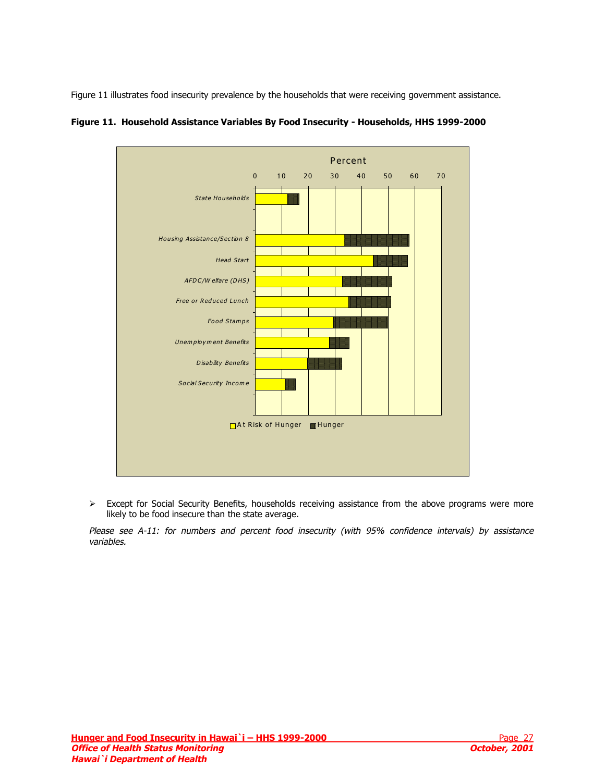<span id="page-26-0"></span>Figure 11 illustrates food insecurity prevalence by the households that were receiving government assistance.



**Figure 11. Household Assistance Variables By Food Insecurity - Households, HHS 1999-2000** 

 $\triangleright$  Except for Social Security Benefits, households receiving assistance from the above programs were more likely to be food insecure than the state average.

Please see A-11: for numbers and percent food insecurity (with 95% confidence intervals) by assistance variables.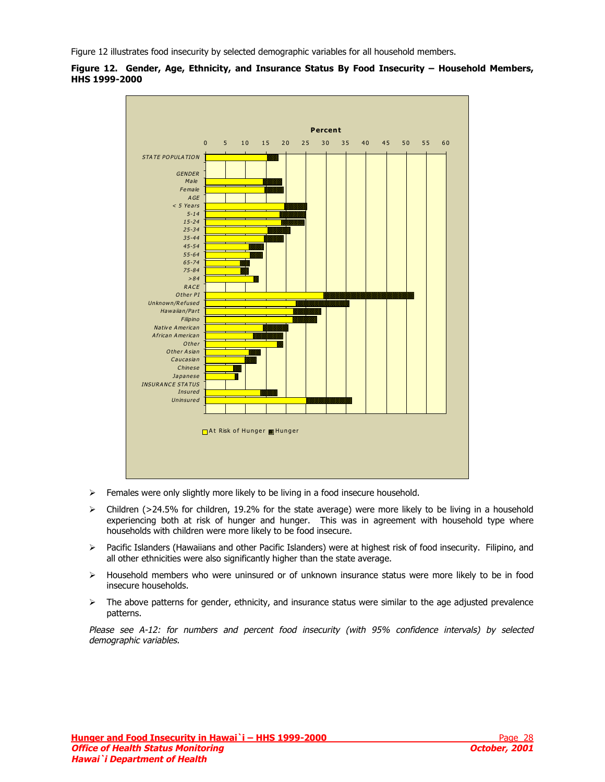<span id="page-27-0"></span>Figure 12 illustrates food insecurity by selected demographic variables for all household members.





- $\triangleright$  Females were only slightly more likely to be living in a food insecure household.
- $\triangleright$  Children (>24.5% for children, 19.2% for the state average) were more likely to be living in a household experiencing both at risk of hunger and hunger. This was in agreement with household type where households with children were more likely to be food insecure.
- ¾ Pacific Islanders (Hawaiians and other Pacific Islanders) were at highest risk of food insecurity. Filipino, and all other ethnicities were also significantly higher than the state average.
- ¾ Household members who were uninsured or of unknown insurance status were more likely to be in food insecure households.
- $\triangleright$  The above patterns for gender, ethnicity, and insurance status were similar to the age adjusted prevalence patterns.

Please see A-12: for numbers and percent food insecurity (with 95% confidence intervals) by selected demographic variables.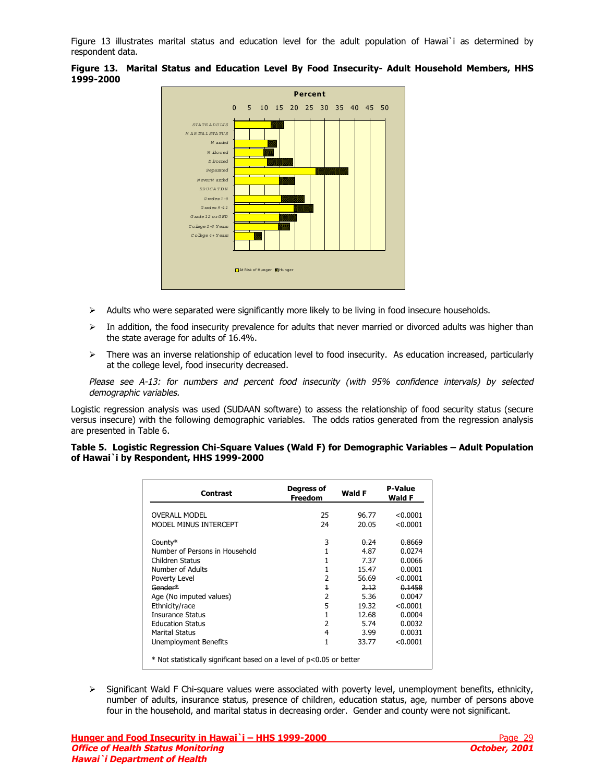<span id="page-28-0"></span>Figure 13 illustrates marital status and education level for the adult population of Hawai`i as determined by respondent data.



**Figure 13. Marital Status and Education Level By Food Insecurity- Adult Household Members, HHS 1999-2000** 

- $\triangleright$  Adults who were separated were significantly more likely to be living in food insecure households.
- $\triangleright$  In addition, the food insecurity prevalence for adults that never married or divorced adults was higher than the state average for adults of 16.4%.
- $\triangleright$  There was an inverse relationship of education level to food insecurity. As education increased, particularly at the college level, food insecurity decreased.

Please see A-13: for numbers and percent food insecurity (with 95% confidence intervals) by selected demographic variables.

Logistic regression analysis was used (SUDAAN software) to assess the relationship of food security status (secure versus insecure) with the following demographic variables. The odds ratios generated from the regression analysis are presented in Table 6.

|  | Table 5. Logistic Regression Chi-Square Values (Wald F) for Demographic Variables - Adult Population |  |  |
|--|------------------------------------------------------------------------------------------------------|--|--|
|  | of Hawai`i by Respondent, HHS 1999-2000                                                              |  |  |

| <b>Contrast</b>                                                      | Degress of<br><b>Freedom</b> | Wald F | <b>P-Value</b><br>Wald F |
|----------------------------------------------------------------------|------------------------------|--------|--------------------------|
| <b>OVERALL MODEL</b>                                                 | 25                           | 96.77  | < 0.0001                 |
| MODEL MINUS INTERCEPT                                                | 24                           | 20.05  | < 0.0001                 |
| County*                                                              | 3                            | 0.24   | 0.8669                   |
| Number of Persons in Household                                       |                              | 4.87   | 0.0274                   |
| Children Status                                                      |                              | 7.37   | 0.0066                   |
| Number of Adults                                                     |                              | 15.47  | 0.0001                   |
| Poverty Level                                                        | 2                            | 56.69  | < 0.0001                 |
| Gender*                                                              | $\overline{1}$               | 2.12   | 0.1458                   |
| Age (No imputed values)                                              | 2                            | 5.36   | 0.0047                   |
| Ethnicity/race                                                       | 5                            | 19.32  | < 0.0001                 |
| <b>Insurance Status</b>                                              | 1                            | 12.68  | 0.0004                   |
| <b>Education Status</b>                                              | 2                            | 5.74   | 0.0032                   |
| <b>Marital Status</b>                                                | 4                            | 3.99   | 0.0031                   |
| Unemployment Benefits                                                | 1                            | 33.77  | < 0.0001                 |
| * Not statistically significant based on a level of p<0.05 or better |                              |        |                          |

¾ Significant Wald F Chi-square values were associated with poverty level, unemployment benefits, ethnicity, number of adults, insurance status, presence of children, education status, age, number of persons above four in the household, and marital status in decreasing order. Gender and county were not significant.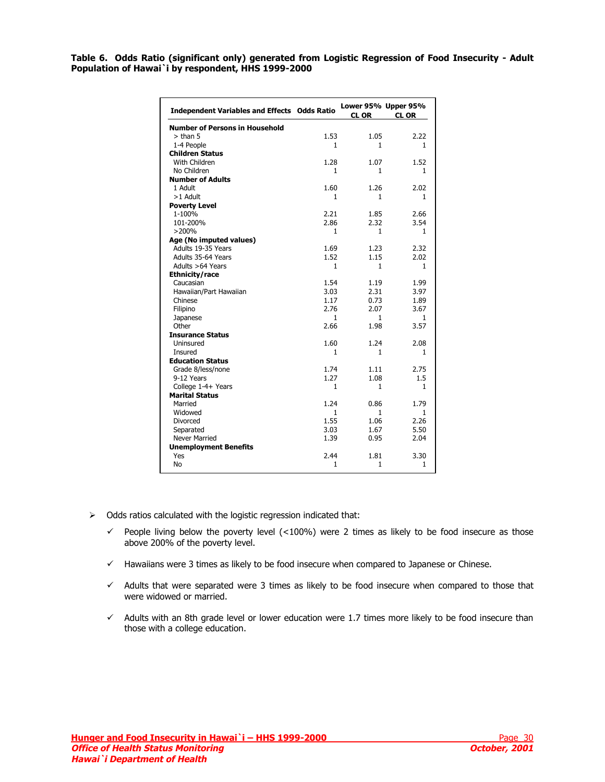<span id="page-29-0"></span>**Table 6. Odds Ratio (significant only) generated from Logistic Regression of Food Insecurity - Adult Population of Hawai`i by respondent, HHS 1999-2000** 

| <b>Independent Variables and Effects Odds Ratio</b> |              | Lower 95% Upper 95%<br><b>CL OR</b> | <b>CL OR</b> |
|-----------------------------------------------------|--------------|-------------------------------------|--------------|
| <b>Number of Persons in Household</b>               |              |                                     |              |
| $>$ than 5                                          | 1.53         | 1.05                                | 2.22         |
| 1-4 People                                          | 1            | 1                                   | $\mathbf{1}$ |
| <b>Children Status</b>                              |              |                                     |              |
| With Children                                       | 1.28         | 1.07                                | 1.52         |
| No Children                                         | 1            | 1                                   | $\mathbf{1}$ |
| <b>Number of Adults</b>                             |              |                                     |              |
| 1 Adult                                             | 1.60         | 1.26                                | 2.02         |
| $>1$ Adult                                          | $\mathbf{1}$ | $\mathbf{1}$                        | $\mathbf{1}$ |
| <b>Poverty Level</b>                                |              |                                     |              |
| 1-100%                                              | 2.21         | 1.85                                | 2.66         |
| 101-200%                                            | 2.86         | 2.32                                | 3.54         |
| >200%                                               | 1            | 1                                   | $\mathbf{1}$ |
| Age (No imputed values)                             |              |                                     |              |
| Adults 19-35 Years                                  | 1.69         | 1.23                                | 2.32         |
| Adults 35-64 Years                                  | 1.52         | 1.15                                | 2.02         |
| Adults >64 Years                                    | 1            | 1                                   | 1            |
| Ethnicity/race                                      |              |                                     |              |
| Caucasian                                           | 1.54         | 1.19                                | 1.99         |
| Hawaiian/Part Hawaiian                              | 3.03         | 2.31                                | 3.97         |
| Chinese                                             | 1.17         | 0.73                                | 1.89         |
| Filipino                                            | 2.76         | 2.07                                | 3.67         |
| Japanese                                            | $\mathbf{1}$ | $\mathbf{1}$                        | 1            |
| Other                                               | 2.66         | 1.98                                | 3.57         |
| <b>Insurance Status</b>                             |              |                                     |              |
| Uninsured                                           | 1.60         | 1.24                                | 2.08         |
| Insured                                             | $\mathbf{1}$ | $\mathbf{1}$                        | $\mathbf{1}$ |
| <b>Education Status</b>                             |              |                                     |              |
| Grade 8/less/none                                   | 1.74         | 1.11                                | 2.75         |
| 9-12 Years                                          | 1.27         | 1.08                                | $1.5\,$      |
| College 1-4+ Years                                  | 1            | 1                                   | 1            |
| <b>Marital Status</b>                               |              |                                     |              |
| Married                                             | 1.24         | 0.86                                | 1.79         |
| Widowed                                             | 1            | $\mathbf{1}$                        | $\mathbf{1}$ |
| Divorced                                            | 1.55         | 1.06                                | 2.26         |
| Separated                                           | 3.03         | 1.67                                | 5.50         |
| <b>Never Married</b>                                | 1.39         | 0.95                                | 2.04         |
| <b>Unemployment Benefits</b>                        |              |                                     |              |
| Yes                                                 | 2.44         | 1.81                                | 3.30         |
| No                                                  | $\mathbf{1}$ | $\mathbf{1}$                        | $\mathbf{1}$ |

- $\triangleright$  Odds ratios calculated with the logistic regression indicated that:
	- $\checkmark$  People living below the poverty level (<100%) were 2 times as likely to be food insecure as those above 200% of the poverty level.
	- $\checkmark$  Hawaiians were 3 times as likely to be food insecure when compared to Japanese or Chinese.
	- $\checkmark$  Adults that were separated were 3 times as likely to be food insecure when compared to those that were widowed or married.
	- $\checkmark$  Adults with an 8th grade level or lower education were 1.7 times more likely to be food insecure than those with a college education.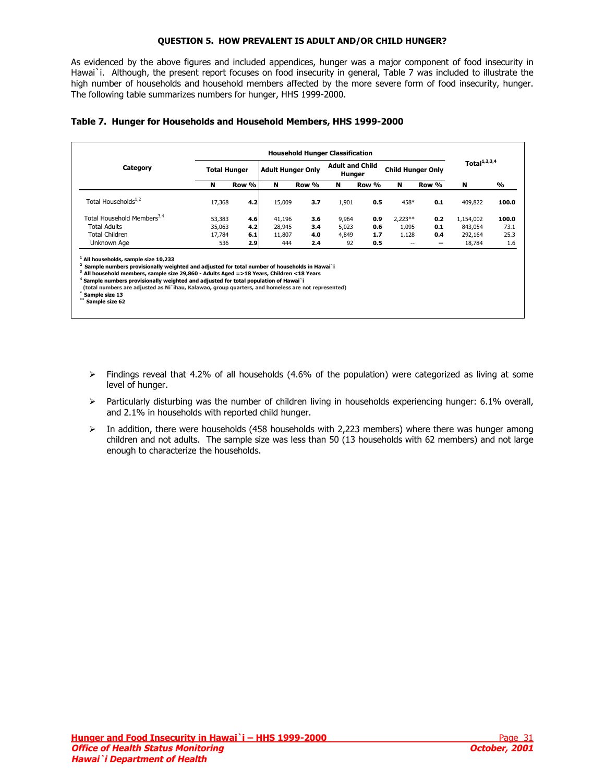### **QUESTION 5. HOW PREVALENT IS ADULT AND/OR CHILD HUNGER?**

<span id="page-30-0"></span>As evidenced by the above figures and included appendices, hunger was a major component of food insecurity in Hawai`i. Although, the present report focuses on food insecurity in general, Table 7 was included to illustrate the high number of households and household members affected by the more severe form of food insecurity, hunger. The following table summarizes numbers for hunger, HHS 1999-2000.

|  |  |  |  |  | Table 7. Hunger for Households and Household Members, HHS 1999-2000 |
|--|--|--|--|--|---------------------------------------------------------------------|
|--|--|--|--|--|---------------------------------------------------------------------|

| Category                               | <b>Total Hunger</b> |       | <b>Adult Hunger Only</b> |       | <b>Adult and Child</b><br>Hunger |       | <b>Child Hunger Only</b> |                          | Total $1,2,3,4$ |       |  |
|----------------------------------------|---------------------|-------|--------------------------|-------|----------------------------------|-------|--------------------------|--------------------------|-----------------|-------|--|
|                                        | N                   | Row % | N                        | Row % | N                                | Row % | N                        | Row %                    | N               | %     |  |
| Total Households <sup>1,2</sup>        | 17,368              | 4.2   | 15,009                   | 3.7   | 1,901                            | 0.5   | 458*                     | 0.1                      | 409,822         | 100.0 |  |
| Total Household Members <sup>3,4</sup> | 53,383              | 4.6   | 41,196                   | 3.6   | 9,964                            | 0.9   | $2,223**$                | 0.2                      | 1,154,002       | 100.0 |  |
| <b>Total Adults</b>                    | 35,063              | 4.2   | 28,945                   | 3.4   | 5,023                            | 0.6   | 1,095                    | 0.1                      | 843,054         | 73.1  |  |
| Total Children                         | 17,784              | 6.1   | 11,807                   | 4.0   | 4,849                            | 1.7   | 1,128                    | 0.4                      | 292,164         | 25.3  |  |
| Unknown Age                            | 536                 | 2.9   | 444                      | 2.4   | 92                               | 0.5   | $\overline{a}$           | $\overline{\phantom{a}}$ | 18,784          | 1.6   |  |

- $\triangleright$  Findings reveal that 4.2% of all households (4.6% of the population) were categorized as living at some level of hunger.
- $\triangleright$  Particularly disturbing was the number of children living in households experiencing hunger: 6.1% overall, and 2.1% in households with reported child hunger.
- ¾ In addition, there were households (458 households with 2,223 members) where there was hunger among children and not adults. The sample size was less than 50 (13 households with 62 members) and not large enough to characterize the households.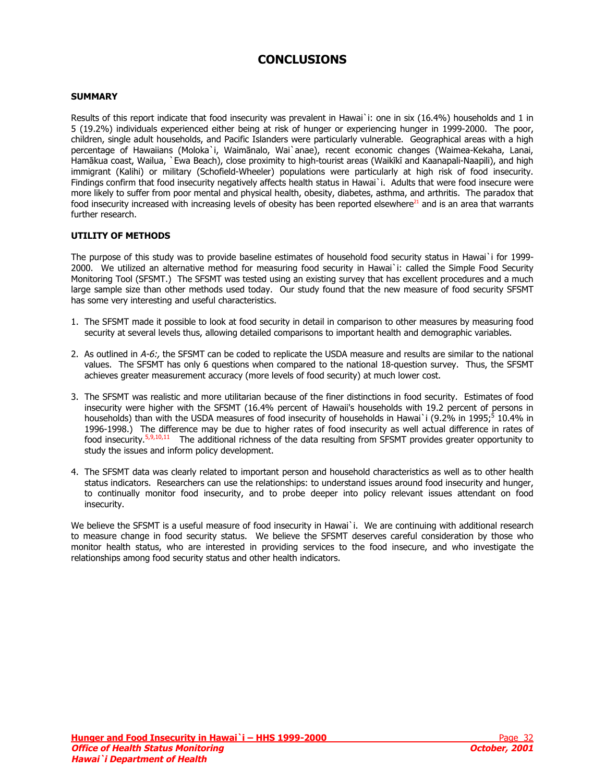## **CONCLUSIONS**

#### <span id="page-31-0"></span>**SUMMARY**

Results of this report indicate that food insecurity was prevalent in Hawai`i: one in six (16.4%) households and 1 in 5 (19.2%) individuals experienced either being at risk of hunger or experiencing hunger in 1999-2000. The poor, children, single adult households, and Pacific Islanders were particularly vulnerable. Geographical areas with a high percentage of Hawaiians (Moloka`i, Waimānalo, Wai`anae), recent economic changes (Waimea-Kekaha, Lanai, Hamākua coast, Wailua, `Ewa Beach), close proximity to high-tourist areas (Waikīkī and Kaanapali-Naapili), and high immigrant (Kalihi) or military (Schofield-Wheeler) populations were particularly at high risk of food insecurity. Findings confirm that food insecurity negatively affects health status in Hawai`i. Adults that were food insecure were more likely to suffer from poor mental and physical health, obesity, diabetes, asthma, and arthritis. The paradox that food insecurity increased with increasing levels of obesity has been reported elsewhere $^{21}$  and is an area that warrants further research.

#### **UTILITY OF METHODS**

The purpose of this study was to provide baseline estimates of household food security status in Hawai`i for 1999- 2000. We utilized an alternative method for measuring food security in Hawai`i: called the Simple Food Security Monitoring Tool (SFSMT.) The SFSMT was tested using an existing survey that has excellent procedures and a much large sample size than other methods used today. Our study found that the new measure of food security SFSMT has some very interesting and useful characteristics.

- 1. The SFSMT made it possible to look at food security in detail in comparison to other measures by measuring food security at several levels thus, allowing detailed comparisons to important health and demographic variables.
- 2. As outlined in A-6:, the SFSMT can be coded to replicate the USDA measure and results are similar to the national values. The SFSMT has only 6 questions when compared to the national 18-question survey. Thus, the SFSMT achieves greater measurement accuracy (more levels of food security) at much lower cost.
- 3. The SFSMT was realistic and more utilitarian because of the finer distinctions in food security. Estimates of food insecurity were higher with the SFSMT (16.4% percent of Hawaii's households with 19.2 percent of persons in households) than with the USDA measures of food insecurity of households in Hawai`i (9.2% in 1995;<sup>5</sup> 10.4% in 1996-1998.) The difference may be due to higher rates of food insecurity as well actual difference [in](#page-8-0) rates of food insecurity.5,9[,10,11 The additional richness of the data re](#page-8-0)sulting from SFSMT provides greater opportunity to study the issue[s and](#page-8-0) i[n](#page-8-0)form policy development.
- 4. The SFSMT data was clearly related to important person and household characteristics as well as to other health status indicators. Researchers can use the relationships: to understand issues around food insecurity and hunger, to continually monitor food insecurity, and to probe deeper into policy relevant issues attendant on food insecurity.

We believe the SFSMT is a useful measure of food insecurity in Hawai`i. We are continuing with additional research to measure change in food security status. We believe the SFSMT deserves careful consideration by those who monitor health status, who are interested in providing services to the food insecure, and who investigate the relationships among food security status and other health indicators.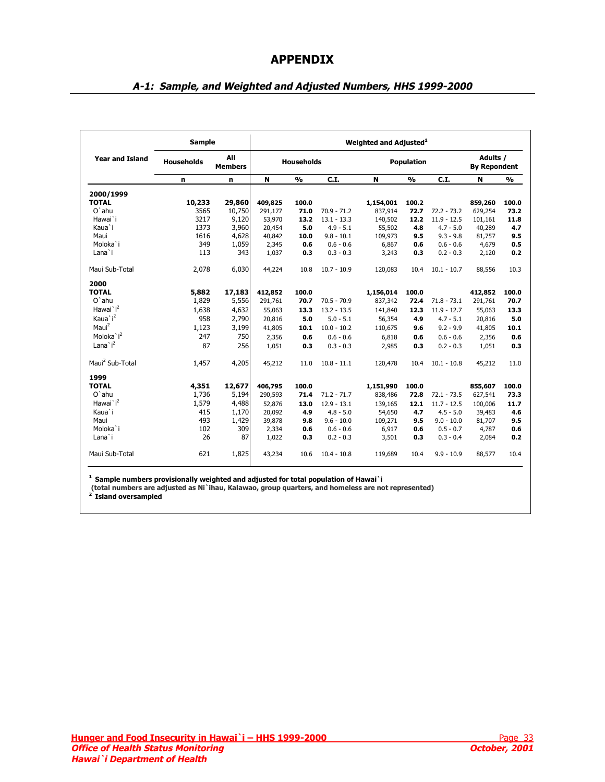## **APPENDIX**

<span id="page-32-0"></span>

|                             | <b>Sample</b>     |                       |         |                   |               | Weighted and Adjusted <sup>1</sup> |                   |               |                                 |               |
|-----------------------------|-------------------|-----------------------|---------|-------------------|---------------|------------------------------------|-------------------|---------------|---------------------------------|---------------|
| <b>Year and Island</b>      | <b>Households</b> | All<br><b>Members</b> |         | <b>Households</b> |               |                                    | <b>Population</b> |               | Adults /<br><b>By Repondent</b> |               |
|                             | n                 | n                     | N       | $\frac{0}{0}$     | C.I.          | N                                  | $\frac{0}{0}$     | C.I.          | N                               | $\frac{9}{6}$ |
| 2000/1999                   |                   |                       |         |                   |               |                                    |                   |               |                                 |               |
| <b>TOTAL</b>                | 10,233            | 29,860                | 409,825 | 100.0             |               | 1,154,001                          | 100.2             |               | 859,260                         | 100.0         |
| $O$ `ahu                    | 3565              | 10,750                | 291,177 | 71.0              | $70.9 - 71.2$ | 837,914                            | 72.7              | $72.2 - 73.2$ | 629,254                         | 73.2          |
| Hawai`i                     | 3217              | 9,120                 | 53,970  | 13.2              | $13.1 - 13.3$ | 140,502                            | 12.2              | $11.9 - 12.5$ | 101,161                         | 11.8          |
| Kaua`i                      | 1373              | 3,960                 | 20,454  | 5.0               | $4.9 - 5.1$   | 55,502                             | 4.8               | $4.7 - 5.0$   | 40,289                          | 4.7           |
| Maui                        | 1616              | 4,628                 | 40,842  | 10.0              | $9.8 - 10.1$  | 109,973                            | 9.5               | $9.3 - 9.8$   | 81,757                          | 9.5           |
| Moloka`i                    | 349               | 1,059                 | 2,345   | 0.6               | $0.6 - 0.6$   | 6,867                              | 0.6               | $0.6 - 0.6$   | 4,679                           | 0.5           |
| Lana`i                      | 113               | 343                   | 1,037   | 0.3               | $0.3 - 0.3$   | 3,243                              | 0.3               | $0.2 - 0.3$   | 2,120                           | 0.2           |
| Maui Sub-Total              | 2,078             | 6,030                 | 44,224  | 10.8              | $10.7 - 10.9$ | 120,083                            | 10.4              | $10.1 - 10.7$ | 88,556                          | 10.3          |
| 2000                        |                   |                       |         |                   |               |                                    |                   |               |                                 |               |
| <b>TOTAL</b>                | 5,882             | 17,183                | 412,852 | 100.0             |               | 1,156,014                          | 100.0             |               | 412,852                         | 100.0         |
| $O'$ ahu                    | 1,829             | 5,556                 | 291,761 | 70.7              | $70.5 - 70.9$ | 837,342                            | 72.4              | $71.8 - 73.1$ | 291,761                         | 70.7          |
| Hawai`i <sup>2</sup>        | 1,638             | 4,632                 | 55,063  | 13.3              | $13.2 - 13.5$ | 141,840                            | 12.3              | $11.9 - 12.7$ | 55,063                          | 13.3          |
| Kaua`i <sup>2</sup>         | 958               | 2,790                 | 20,816  | 5.0               | $5.0 - 5.1$   | 56,354                             | 4.9               | $4.7 - 5.1$   | 20,816                          | 5.0           |
| $M$ aui $2$                 | 1,123             | 3,199                 | 41,805  | 10.1              | $10.0 - 10.2$ | 110,675                            | 9.6               | $9.2 - 9.9$   | 41,805                          | 10.1          |
| Moloka'i <sup>2</sup>       | 247               | 750                   | 2,356   | 0.6               | $0.6 - 0.6$   | 6,818                              | 0.6               | $0.6 - 0.6$   | 2,356                           | 0.6           |
| Lana $i^2$                  | 87                | 256                   | 1,051   | 0.3               | $0.3 - 0.3$   | 2,985                              | 0.3               | $0.2 - 0.3$   | 1,051                           | 0.3           |
| Maui <sup>2</sup> Sub-Total | 1,457             | 4,205                 | 45,212  | 11.0              | $10.8 - 11.1$ | 120,478                            | 10.4              | $10.1 - 10.8$ | 45,212                          | 11.0          |
| 1999                        |                   |                       |         |                   |               |                                    |                   |               |                                 |               |
| <b>TOTAL</b>                | 4,351             | 12,677                | 406,795 | 100.0             |               | 1,151,990                          | 100.0             |               | 855,607                         | 100.0         |
| $O$ `ahu                    | 1,736             | 5,194                 | 290,593 | 71.4              | $71.2 - 71.7$ | 838,486                            | 72.8              | $72.1 - 73.5$ | 627,541                         | 73.3          |
| Hawai`i <sup>2</sup>        | 1,579             | 4,488                 | 52,876  | 13.0              | $12.9 - 13.1$ | 139,165                            | 12.1              | $11.7 - 12.5$ | 100,006                         | 11.7          |
| Kaua`i                      | 415               | 1,170                 | 20,092  | 4.9               | $4.8 - 5.0$   | 54,650                             | 4.7               | $4.5 - 5.0$   | 39,483                          | 4.6           |
| Maui                        | 493               | 1,429                 | 39,878  | 9.8               | $9.6 - 10.0$  | 109,271                            | 9.5               | $9.0 - 10.0$  | 81,707                          | 9.5           |
| Moloka'i                    | 102               | 309                   | 2,334   | 0.6               | $0.6 - 0.6$   | 6,917                              | 0.6               | $0.5 - 0.7$   | 4,787                           | 0.6           |
| Lana`i                      | 26                | 87                    | 1,022   | 0.3               | $0.2 - 0.3$   | 3,501                              | 0.3               | $0.3 - 0.4$   | 2,084                           | 0.2           |
| Maui Sub-Total              | 621               | 1,825                 | 43,234  | 10.6              | $10.4 - 10.8$ | 119,689                            | 10.4              | $9.9 - 10.9$  | 88,577                          | 10.4          |

## **A-1: Sample, and Weighted and Adjusted Numbers, HHS 1999-2000**

**1 Sample numbers provisionally weighted and adjusted for total population of Hawai`i** 

 **(total numbers are adjusted as Ni`ihau, Kalawao, group quarters, and homeless are not represented) 2 Island oversampled**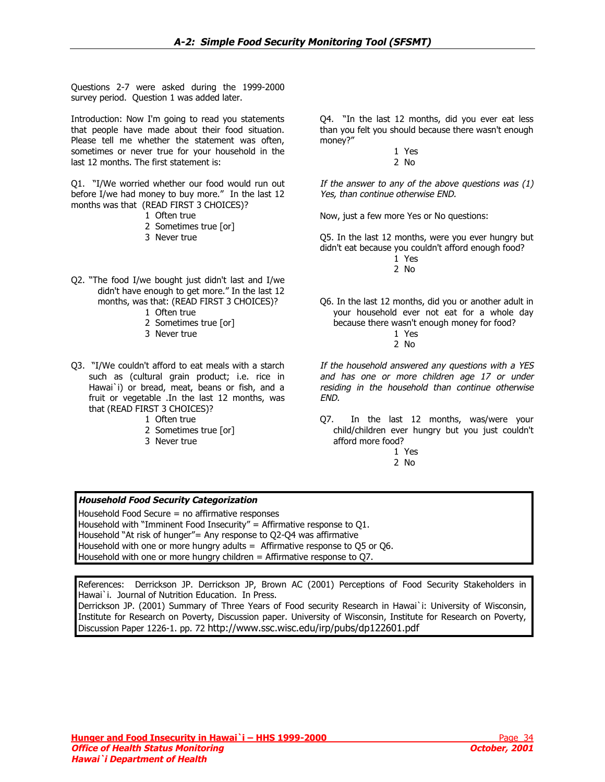<span id="page-33-0"></span>Questions 2-7 were asked during the 1999-2000 survey period. Question 1 was added later.

Introduction: Now I'm going to read you statements that people have made about their food situation. Please tell me whether the statement was often, sometimes or never true for your household in the last 12 months. The first statement is:

Q1. "I/We worried whether our food would run out before I/we had money to buy more." In the last 12 months was that (READ FIRST 3 CHOICES)?

- 1 Often true
- 2 Sometimes true [or]
- 3 Never true
- Q2. "The food I/we bought just didn't last and I/we didn't have enough to get more." In the last 12 months, was that: (READ FIRST 3 CHOICES)?
	- 1 Often true
	- 2 Sometimes true [or]
	- 3 Never true
- Q3. "I/We couldn't afford to eat meals with a starch such as (cultural grain product; i.e. rice in Hawai`i) or bread, meat, beans or fish, and a fruit or vegetable .In the last 12 months, was that (READ FIRST 3 CHOICES)?
	- 1 Often true
	- 2 Sometimes true [or]
	- 3 Never true

Q4. "In the last 12 months, did you ever eat less than you felt you should because there wasn't enough money?"

> 1 Yes 2 No

If the answer to any of the above questions was (1) Yes, than continue otherwise END.

Now, just a few more Yes or No questions:

Q5. In the last 12 months, were you ever hungry but didn't eat because you couldn't afford enough food?

> 1 Yes 2 No

- Q6. In the last 12 months, did you or another adult in your household ever not eat for a whole day because there wasn't enough money for food?
	- 1 Yes 2 No

If the household answered any questions with a YES and has one or more children age 17 or under residing in the household than continue otherwise END.

Q7. In the last 12 months, was/were your child/children ever hungry but you just couldn't afford more food?

1 Yes

## 2 No

## **Household Food Security Categorization**

Household Food Secure = no affirmative responses Household with "Imminent Food Insecurity" = Affirmative response to  $O1$ . Household "At risk of hunger"= Any response to Q2-Q4 was affirmative Household with one or more hungry adults = Affirmative response to Q5 or Q6. Household with one or more hungry children = Affirmative response to Q7.

References: Derrickson JP. Derrickson JP, Brown AC (2001) Perceptions of Food Security Stakeholders in Hawai`i. Journal of Nutrition Education. In Press.

Derrickson JP. (2001) Summary of Three Years of Food security Research in Hawai`i: University of Wisconsin, Institute for Research on Poverty, Discussion paper. University of Wisconsin, Institute for Research on Poverty, Discussion Paper 1226-1. pp. 72 <http://www.ssc.wisc.edu/irp/pubs/dp122601.pdf>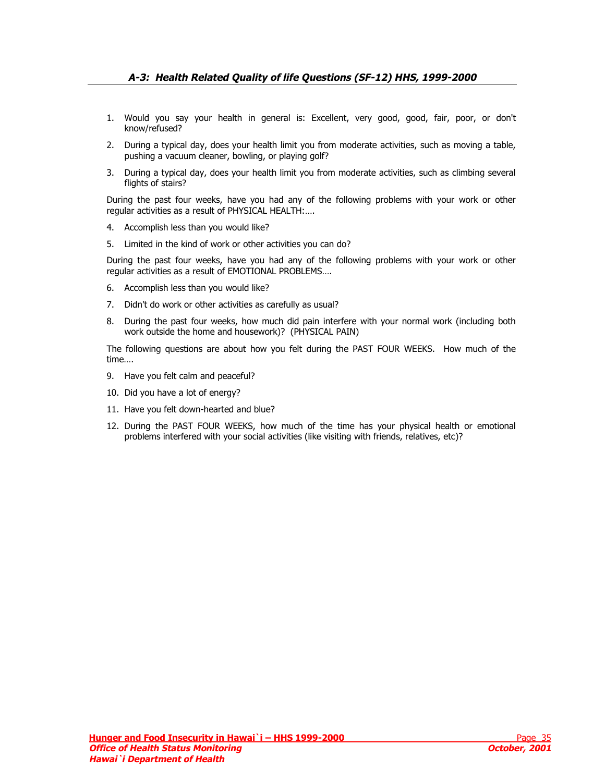- <span id="page-34-0"></span>1. Would you say your health in general is: Excellent, very good, good, fair, poor, or don't know/refused?
- 2. During a typical day, does your health limit you from moderate activities, such as moving a table, pushing a vacuum cleaner, bowling, or playing golf?
- 3. During a typical day, does your health limit you from moderate activities, such as climbing several flights of stairs?

During the past four weeks, have you had any of the following problems with your work or other regular activities as a result of PHYSICAL HEALTH:….

- 4. Accomplish less than you would like?
- 5. Limited in the kind of work or other activities you can do?

During the past four weeks, have you had any of the following problems with your work or other regular activities as a result of EMOTIONAL PROBLEMS….

- 6. Accomplish less than you would like?
- 7. Didn't do work or other activities as carefully as usual?
- 8. During the past four weeks, how much did pain interfere with your normal work (including both work outside the home and housework)? (PHYSICAL PAIN)

The following questions are about how you felt during the PAST FOUR WEEKS. How much of the time….

- 9. Have you felt calm and peaceful?
- 10. Did you have a lot of energy?
- 11. Have you felt down-hearted and blue?
- 12. During the PAST FOUR WEEKS, how much of the time has your physical health or emotional problems interfered with your social activities (like visiting with friends, relatives, etc)?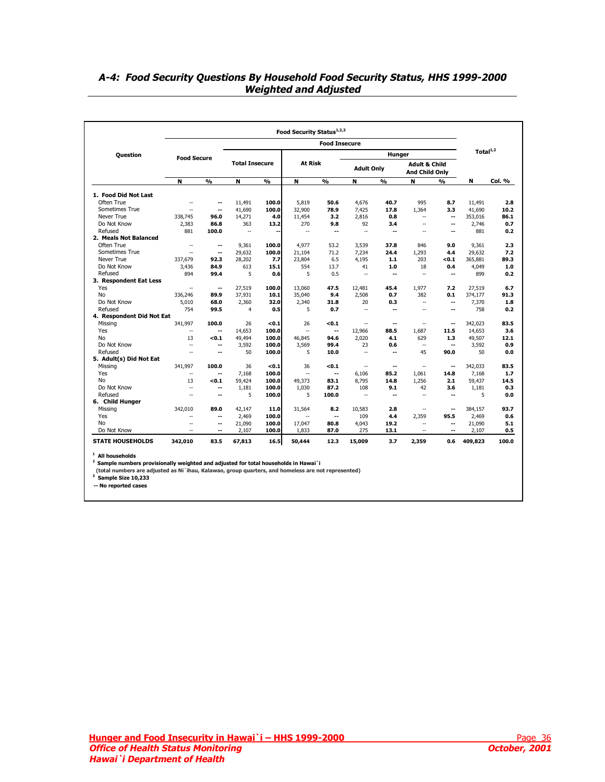## <span id="page-35-0"></span>**A-4: Food Security Questions By Household Food Security Status, HHS 1999-2000 Weighted and Adjusted**

|                           |                          |                          |                       |               |                | <b>Food Insecure</b>     |                   |                          |                                                   |                          |             |        |
|---------------------------|--------------------------|--------------------------|-----------------------|---------------|----------------|--------------------------|-------------------|--------------------------|---------------------------------------------------|--------------------------|-------------|--------|
| <b>Ouestion</b>           | <b>Food Secure</b>       |                          |                       |               |                |                          |                   | Hunger                   |                                                   |                          | Total $1,2$ |        |
|                           |                          |                          | <b>Total Insecure</b> |               | <b>At Risk</b> |                          | <b>Adult Only</b> |                          | <b>Adult &amp; Child</b><br><b>And Child Only</b> |                          |             |        |
|                           | N                        | $\frac{0}{0}$            | N                     | $\frac{0}{0}$ | N              | O <sub>0</sub>           | N                 | O <sub>0</sub>           | N                                                 | O(n)                     | N           | Col. % |
| 1. Food Did Not Last      |                          |                          |                       |               |                |                          |                   |                          |                                                   |                          |             |        |
| Often True                | $\sim$                   | ۰.                       | 11,491                | 100.0         | 5,819          | 50.6                     | 4,676             | 40.7                     | 995                                               | 8.7                      | 11,491      | 2.8    |
| Sometimes True            | $\sim$                   | ۰.                       | 41.690                | 100.0         | 32,900         | 78.9                     | 7,425             | 17.8                     | 1.364                                             | 3.3                      | 41.690      | 10.2   |
| Never True                | 338,745                  | 96.0                     | 14,271                | 4.0           | 11,454         | 3.2                      | 2,816             | 0.8                      | $\overline{\phantom{a}}$                          | $\overline{\phantom{a}}$ | 353,016     | 86.1   |
| Do Not Know               | 2,383                    | 86.8                     | 363                   | 13.2          | 270            | 9.8                      | 92                | 3.4                      | $\overline{\phantom{a}}$                          | ٠.                       | 2,746       | 0.7    |
| Refused                   | 881                      | 100.0                    | $\mathbb{L}$          | --            | ÷.             | ۰.                       | $\sim$            | $\overline{a}$           | $\sim$                                            | $\overline{\phantom{a}}$ | 881         | 0.2    |
| 2. Meals Not Balanced     |                          |                          |                       |               |                |                          |                   |                          |                                                   |                          |             |        |
| Often True                | $\sim$                   | ۰.                       | 9.361                 | 100.0         | 4.977          | 53.2                     | 3,539             | 37.8                     | 846                                               | 9.0                      | 9,361       | 2.3    |
| Sometimes True            | $\overline{\phantom{a}}$ | ۰.                       | 29,632                | 100.0         | 21,104         | 71.2                     | 7,234             | 24.4                     | 1,293                                             | 4.4                      | 29,632      | 7.2    |
| Never True                | 337,679                  | 92.3                     | 28,202                | 7.7           | 23,804         | 6.5                      | 4,195             | $1.1$                    | 203                                               | < 0.1                    | 365,881     | 89.3   |
| Do Not Know               | 3.436                    | 84.9                     | 613                   | 15.1          | 554            | 13.7                     | 41                | 1.0                      | 18                                                | 0.4                      | 4,049       | 1.0    |
| Refused                   | 894                      | 99.4                     | 5                     | 0.6           | 5              | 0.5                      | $\sim$            | $\overline{\phantom{a}}$ | $\sim$                                            | $\overline{\phantom{a}}$ | 899         | 0.2    |
| 3. Respondent Eat Less    |                          |                          |                       |               |                |                          |                   |                          |                                                   |                          |             |        |
| Yes                       | $\overline{\phantom{a}}$ | ۰.                       | 27,519                | 100.0         | 13.060         | 47.5                     | 12,481            | 45.4                     | 1,977                                             | 7.2                      | 27,519      | 6.7    |
| <b>No</b>                 | 336.246                  | 89.9                     | 37.931                | 10.1          | 35.040         | 9.4                      | 2.508             | 0.7                      | 382                                               | 0.1                      | 374.177     | 91.3   |
| Do Not Know               | 5,010                    | 68.0                     | 2.360                 | 32.0          | 2,340          | 31.8                     | 20                | 0.3                      | $\sim$                                            | $\overline{\phantom{a}}$ | 7,370       | 1.8    |
| Refused                   | 754                      | 99.5                     | $\overline{4}$        | 0.5           | 5              | 0.7                      | $\sim$            | ۰.                       | $\sim$                                            | --                       | 758         | 0.2    |
| 4. Respondent Did Not Eat |                          |                          |                       |               |                |                          |                   |                          |                                                   |                          |             |        |
| Missing                   | 341,997                  | 100.0                    | 26                    | < 0.1         | 26             | < 0.1                    | $\sim$            | $\overline{\phantom{a}}$ | $\mathbb{L}$                                      | $\overline{\phantom{a}}$ | 342,023     | 83.5   |
| Yes                       | $\sim$                   | $\overline{\phantom{a}}$ | 14,653                | 100.0         | $\sim$         | $\overline{\phantom{a}}$ | 12,966            | 88.5                     | 1.687                                             | 11.5                     | 14,653      | 3.6    |
| No                        | 13                       | < 0.1                    | 49,494                | 100.0         | 46,845         | 94.6                     | 2,020             | 4.1                      | 629                                               | 1.3                      | 49,507      | 12.1   |
| Do Not Know               | $\sim$                   | --                       | 3,592                 | 100.0         | 3,569          | 99.4                     | 23                | 0.6                      | $\overline{\phantom{a}}$                          | $\overline{\phantom{a}}$ | 3,592       | 0.9    |
| Refused                   | $\sim$                   | $\overline{\phantom{a}}$ | 50                    | 100.0         | 5              | 10.0                     | $\sim$            | $\overline{\phantom{a}}$ | 45                                                | 90.0                     | 50          | 0.0    |
| 5. Adult(s) Did Not Eat   |                          |                          |                       |               |                |                          |                   |                          |                                                   |                          |             |        |
| Missing                   | 341.997                  | 100.0                    | 36                    | < 0.1         | 36             | < 0.1                    | $\sim$            | $\overline{\phantom{a}}$ | $\overline{\phantom{a}}$                          | $\overline{\phantom{a}}$ | 342,033     | 83.5   |
| Yes                       | $\overline{\phantom{a}}$ | ۰.                       | 7.168                 | 100.0         | $\mathbb{L}$   | --                       | 6,106             | 85.2                     | 1,061                                             | 14.8                     | 7,168       | 1.7    |
| No                        | 13                       | < 0.1                    | 59,424                | 100.0         | 49.373         | 83.1                     | 8.795             | 14.8                     | 1.256                                             | 2.1                      | 59,437      | 14.5   |
| Do Not Know               | $\overline{\phantom{a}}$ | $\overline{\phantom{a}}$ | 1,181                 | 100.0         | 1,030          | 87.2                     | 108               | 9.1                      | 42                                                | 3.6                      | 1,181       | 0.3    |
| Refused                   | $\sim$                   | ۰.                       | 5                     | 100.0         | 5              | 100.0                    | ш.                | $\overline{\phantom{a}}$ | $\sim$                                            | $\overline{\phantom{a}}$ | 5           | 0.0    |
| 6. Child Hunger           |                          |                          |                       |               |                |                          |                   |                          |                                                   |                          |             |        |
| Missing                   | 342,010                  | 89.0                     | 42,147                | 11.0          | 31,564         | 8.2                      | 10,583            | 2.8                      | $\overline{\phantom{a}}$                          | $\overline{\phantom{a}}$ | 384,157     | 93.7   |
| Yes                       | $\sim$                   | $-$                      | 2,469                 | 100.0         |                | $\overline{\phantom{a}}$ | 109               | 4.4                      | 2,359                                             | 95.5                     | 2,469       | 0.6    |
| <b>No</b>                 | $\sim$                   | ۰.                       | 21,090                | 100.0         | 17,047         | 80.8                     | 4,043             | 19.2                     | $\sim$                                            | $\overline{\phantom{a}}$ | 21,090      | 5.1    |
| Do Not Know               | $\overline{\phantom{a}}$ | ۰.                       | 2,107                 | 100.0         | 1,833          | 87.0                     | 275               | 13.1                     | $\sim$                                            | --                       | 2,107       | 0.5    |
| <b>STATE HOUSEHOLDS</b>   | 342,010                  | 83.5                     | 67,813                | 16.5          | 50,444         | 12.3                     | 15,009            | 3.7                      | 2,359                                             | 0.6                      | 409,823     | 100.0  |

<sup>1</sup> All households<br><sup>2</sup> Sample numbers provisionally weighted and adjusted for total households in Hawai`i

 **(total numbers are adjusted as Ni`ihau, Kalawao, group quarters, and homeless are not represented) 3 Sample Size 10,233**

**-- No reported cases**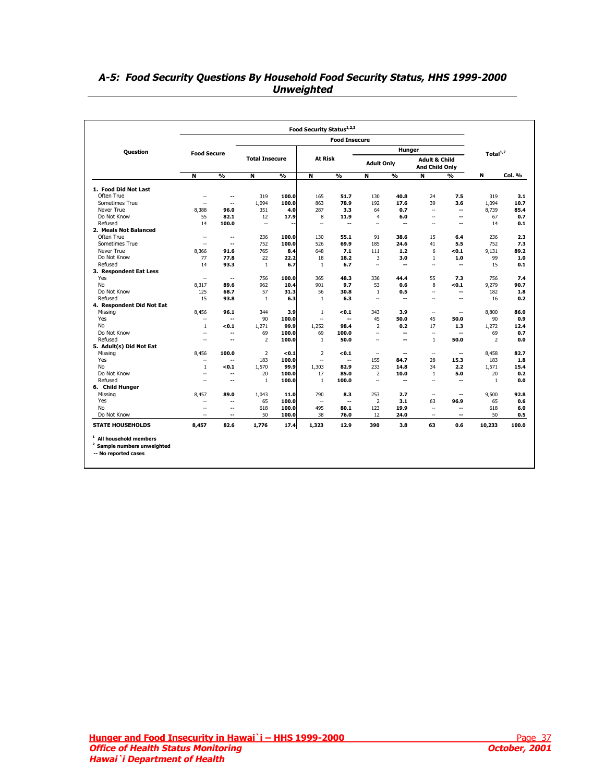## <span id="page-36-0"></span>**A-5: Food Security Questions By Household Food Security Status, HHS 1999-2000 Unweighted**

|                                                                                                      |                             |                          |                          |               |                | <b>Food Insecure</b>     |                          |                          |                                            |                          |                |        |
|------------------------------------------------------------------------------------------------------|-----------------------------|--------------------------|--------------------------|---------------|----------------|--------------------------|--------------------------|--------------------------|--------------------------------------------|--------------------------|----------------|--------|
| <b>Question</b>                                                                                      | <b>Food Secure</b>          |                          |                          |               |                |                          |                          | Hunger                   |                                            |                          | Total $1/2$    |        |
|                                                                                                      |                             |                          | <b>Total Insecure</b>    |               | At Risk        |                          | <b>Adult Only</b>        |                          | <b>Adult &amp; Child</b><br>And Child Only |                          |                |        |
|                                                                                                      | N                           | $\frac{9}{6}$            | N                        | $\frac{9}{6}$ | N              | $\overline{\frac{9}{6}}$ | N                        | %                        | N                                          | %                        | N              | Col. % |
| 1. Food Did Not Last                                                                                 |                             |                          |                          |               |                |                          |                          |                          |                                            |                          |                |        |
| Often True                                                                                           | $\sim$                      | --                       | 319                      | 100.0         | 165            | 51.7                     | 130                      | 40.8                     | 24                                         | 7.5                      | 319            | 3.1    |
| Sometimes True                                                                                       | $\sim$                      | $\overline{\phantom{a}}$ | 1,094                    | 100.0         | 863            | 78.9                     | 192                      | 17.6                     | 39                                         | 3.6                      | 1,094          | 10.7   |
| Never True                                                                                           | 8,388                       | 96.0                     | 351                      | 4.0           | 287            | 3.3                      | 64                       | 0.7                      | $\sim$                                     | --                       | 8,739          | 85.4   |
| Do Not Know                                                                                          | 55                          | 82.1                     | 12                       | 17.9          | 8              | 11.9                     | $\overline{4}$           | 6.0                      | $\sim$                                     | --                       | 67             | 0.7    |
| Refused                                                                                              | 14                          | 100.0                    | $\overline{\phantom{a}}$ |               | $\sim$         | --                       | ă.                       | $\overline{\phantom{a}}$ | ă.                                         | --                       | 14             | 0.1    |
| 2. Meals Not Balanced                                                                                |                             |                          |                          |               |                |                          |                          |                          |                                            |                          |                |        |
| Often True                                                                                           | $\mathbf{u}$                | $\overline{\phantom{a}}$ | 236                      | 100.0         | 130            | 55.1                     | 91                       | 38.6                     | 15                                         | 6.4                      | 236            | 2.3    |
| Sometimes True                                                                                       | $\overline{\phantom{a}}$    | --                       | 752                      | 100.0         | 526            | 69.9                     | 185                      | 24.6                     | 41                                         | 5.5                      | 752            | 7.3    |
| Never True                                                                                           | 8,366                       | 91.6                     | 765                      | 8.4           | 648            | 7.1                      | 111                      | 1.2                      | 6                                          | <0.1                     | 9.131          | 89.2   |
| Do Not Know                                                                                          | 77                          | 77.8                     | 22                       | 22.2          | 18             | 18.2                     | 3                        | 3.0                      | 1                                          | 1.0                      | 99             | 1.0    |
| Refused                                                                                              | 14                          | 93.3                     | $\mathbf{1}$             | 6.7           | $\mathbf{1}$   | 6.7                      | ÷.                       | $\overline{a}$           | $\sim$                                     | $\overline{a}$           | 15             | 0.1    |
| 3. Respondent Eat Less                                                                               |                             |                          |                          |               |                |                          |                          |                          |                                            |                          |                |        |
| Yes                                                                                                  | $\mathbf{u}$                | --                       | 756                      | 100.0         | 365            | 48.3                     | 336                      | 44.4                     | 55                                         | 7.3                      | 756            | 7.4    |
| <b>No</b>                                                                                            | 8,317                       | 89.6                     | 962                      | 10.4          | 901            | 9.7                      | 53                       | 0.6                      | 8                                          | < 0.1                    | 9,279          | 90.7   |
| Do Not Know                                                                                          | 125                         | 68.7                     | 57                       | 31.3          | 56             | 30.8                     | $\mathbf{1}$             | 0.5                      | $\mathbf{u}$                               | ۰.                       | 182            | 1.8    |
| Refused                                                                                              | 15                          | 93.8                     | $\mathbf{1}$             | 6.3           | $\mathbf{1}$   | 6.3                      | ÷.                       | $\overline{a}$           | $\sim$                                     | $\overline{a}$           | 16             | 0.2    |
| 4. Respondent Did Not Eat                                                                            |                             |                          |                          |               |                |                          |                          |                          |                                            |                          |                |        |
| Missing                                                                                              | 8,456                       | 96.1                     | 344                      | 3.9           | $\mathbf{1}$   | < 0.1                    | 343                      | 3.9                      | $\mathbf{u}$                               | $\overline{\phantom{a}}$ | 8,800          | 86.0   |
| Yes                                                                                                  | $\mathbf{u}$                | --                       | 90                       | 100.0         | $\sim$         | --                       | 45                       | 50.0                     | 45                                         | 50.0                     | 90             | 0.9    |
| No                                                                                                   | 1                           | < 0.1                    | 1.271                    | 99.9          | 1.252          | 98.4                     | $\overline{2}$           | 0.2                      | 17                                         | 1.3                      | 1.272          | 12.4   |
| Do Not Know                                                                                          | $\overline{\phantom{a}}$    | --                       | 69                       | 100.0         | 69             | 100.0                    | u.                       | $\overline{\phantom{a}}$ | $\overline{\phantom{a}}$                   | --                       | 69             | 0.7    |
| Refused                                                                                              | $\sim$                      | --                       | $\overline{2}$           | 100.0         | $\mathbf{1}$   | 50.0                     | ٠.                       | --                       | $\mathbf{1}$                               | 50.0                     | $\overline{2}$ | 0.0    |
| 5. Adult(s) Did Not Eat                                                                              |                             |                          |                          |               |                |                          |                          |                          |                                            |                          |                |        |
| Missing                                                                                              | 8,456                       | 100.0                    | $\overline{2}$           | < 0.1         | $\overline{2}$ | < 0.1                    | $\sim$                   | $\overline{\phantom{a}}$ | $\mathbf{u}$                               | --                       | 8,458          | 82.7   |
| Yes                                                                                                  | $\sim$                      | $\overline{\phantom{a}}$ | 183                      | 100.0         | u,             | $\overline{\phantom{a}}$ | 155                      | 84.7                     | 28                                         | 15.3                     | 183            | 1.8    |
| No                                                                                                   | $\mathbf{1}$                | < 0.1                    | 1,570                    | 99.9          | 1,303          | 82.9                     | 233                      | 14.8                     | 34                                         | 2.2                      | 1,571          | 15.4   |
| Do Not Know                                                                                          | $\overline{\phantom{a}}$    | $\overline{\phantom{a}}$ | 20                       | 100.0         | 17             | 85.0                     | $\overline{2}$           | 10.0                     | 1                                          | 5.0                      | 20             | 0.2    |
| Refused                                                                                              | $\sim$                      | $\overline{\phantom{a}}$ | $\mathbf{1}$             | 100.0         | $\overline{1}$ | 100.0                    | $\overline{\phantom{a}}$ | --                       | ٠.                                         | --                       | $\mathbf{1}$   | 0.0    |
| 6. Child Hunger                                                                                      |                             |                          |                          |               |                |                          |                          |                          |                                            |                          |                |        |
| Missing                                                                                              | 8,457                       | 89.0                     | 1,043                    | 11.0          | 790            | 8.3                      | 253                      | 2.7                      | $\mathbf{u}$                               | $\overline{\phantom{a}}$ | 9,500          | 92.8   |
| Yes                                                                                                  | $\sim$                      | $\overline{\phantom{a}}$ | 65                       | 100.0         | $\sim$         | --                       | $\overline{2}$           | 3.1                      | 63                                         | 96.9                     | 65             | 0.6    |
| <b>No</b>                                                                                            | $\sim$                      | --                       | 618                      | 100.0         | 495            | 80.1                     | 123                      | 19.9                     | u.                                         | --                       | 618            | 6.0    |
| Do Not Know                                                                                          | $\mathcal{L}_{\mathcal{L}}$ | $\overline{\phantom{a}}$ | 50                       | 100.0         | 38             | 76.0                     | 12                       | 24.0                     | $\sim$ $\sim$                              | $\overline{\phantom{a}}$ | 50             | 0.5    |
| <b>STATE HOUSEHOLDS</b>                                                                              | 8,457                       | 82.6                     | 1.776                    | 17.4          | 1,323          | 12.9                     | 390                      | 3.8                      | 63                                         | 0.6                      | 10,233         | 100.0  |
| <sup>1</sup> All household members<br><sup>2</sup> Sample numbers unweighted<br>-- No reported cases |                             |                          |                          |               |                |                          |                          |                          |                                            |                          |                |        |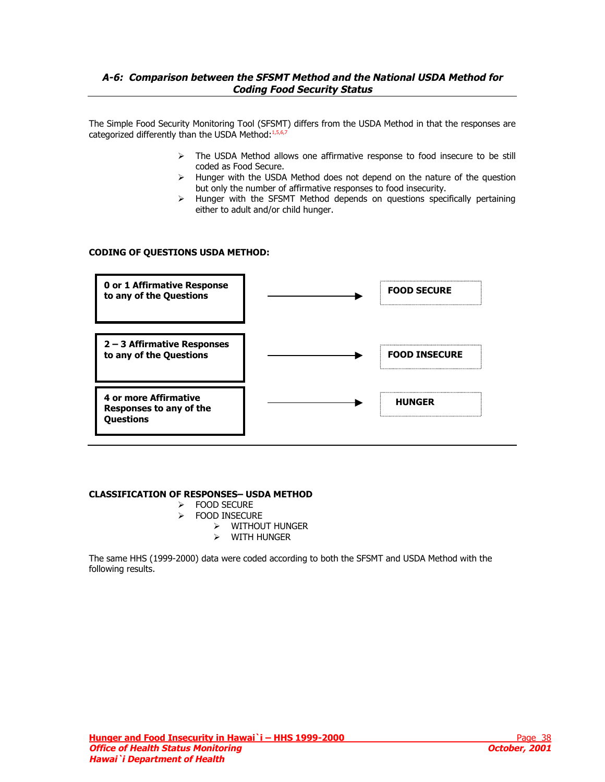## <span id="page-37-0"></span>**A-6: Comparison between the SFSMT Method and the National USDA Method for Coding Food Security Status**

The Simple Food Security Monitoring Tool (SFSM[T\)](#page-8-0) differs from the USDA Method in that the responses are categorized differently than the USDA Method: [1,](#page-6-0)[5,6,7](#page-8-0)

- $\triangleright$  The USDA Method allows one affirmative response to food insecure to be still coded as Food Secure.
- $\triangleright$  Hunger with the USDA Method does not depend on the nature of the question but only the number of affirmative responses to food insecurity.
- ¾ Hunger with the SFSMT Method depends on questions specifically pertaining either to adult and/or child hunger.

## **CODING OF QUESTIONS USDA METHOD:**



## **CLASSIFICATION OF RESPONSES– USDA METHOD**

- ¾ FOOD SECURE
- ¾ FOOD INSECURE
	- ¾ WITHOUT HUNGER
	- ¾ WITH HUNGER

The same HHS (1999-2000) data were coded according to both the SFSMT and USDA Method with the following results.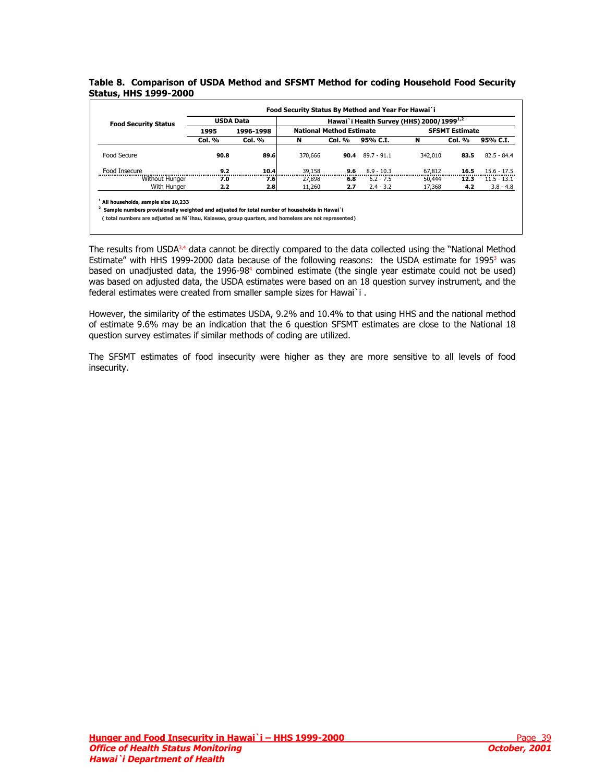### <span id="page-38-0"></span>**Table 8. Comparison of USDA Method and SFSMT Method for coding Household Food Security Status, HHS 1999-2000**

| <b>Food Security Status</b> | <b>USDA Data</b> |                  | Hawai`i Health Survey (HHS) 2000/1999 <sup>1,2</sup> |                                 |               |         |                       |               |  |
|-----------------------------|------------------|------------------|------------------------------------------------------|---------------------------------|---------------|---------|-----------------------|---------------|--|
|                             | 1995             | 1996-1998        |                                                      | <b>National Method Estimate</b> |               |         | <b>SFSMT Estimate</b> |               |  |
|                             | Col. %           | <b>Col. %</b>    | N                                                    | Col. %                          | 95% C.I.      | N       | <b>Col. %</b>         | 95% C.I.      |  |
| Food Secure                 | 90.8             | 89.6             | 370,666                                              | 90.4                            | $89.7 - 91.1$ | 342,010 | 83.5                  | $82.5 - 84.4$ |  |
| Food Insecure               | 9.2              | 10.4             | 39,158                                               | 9.6                             | $8.9 - 10.3$  | 67,812  | 16.5                  | $15.6 - 17.5$ |  |
| Without Hunger              | 7.0              | 7.6              | 27,898                                               | 6.8                             | $6.2 - 7.5$   | 50,444  | 12.3                  | $11.5 - 13.1$ |  |
| With Hunger                 | 2.2              | 2.8 <sub>l</sub> | 11,260                                               | 2.7                             | $2.4 - 3.2$   | 17,368  | 4.2                   | $3.8 - 4.8$   |  |

The results from USDA<sup>3,4</sup> data cannot be directly compared to the data collected using the "National M[et](#page-6-0)hod Estimate" with HHS 1999-2000 data be[ca](#page-6-0)use of the following reasons: the USDA estimate for 1995<sup>3</sup> was based on unadjusted data, the 1996-98<sup>4</sup> combined estimate (the single year estimate could not be used) was based on adjusted data, the USDA estimates were based on an 18 question survey instrument, and the federal estimates were created from smaller sample sizes for Hawai`i .

However, the similarity of the estimates USDA, 9.2% and 10.4% to that using HHS and the national method of estimate 9.6% may be an indication that the 6 question SFSMT estimates are close to the National 18 question survey estimates if similar methods of coding are utilized.

The SFSMT estimates of food insecurity were higher as they are more sensitive to all levels of food insecurity.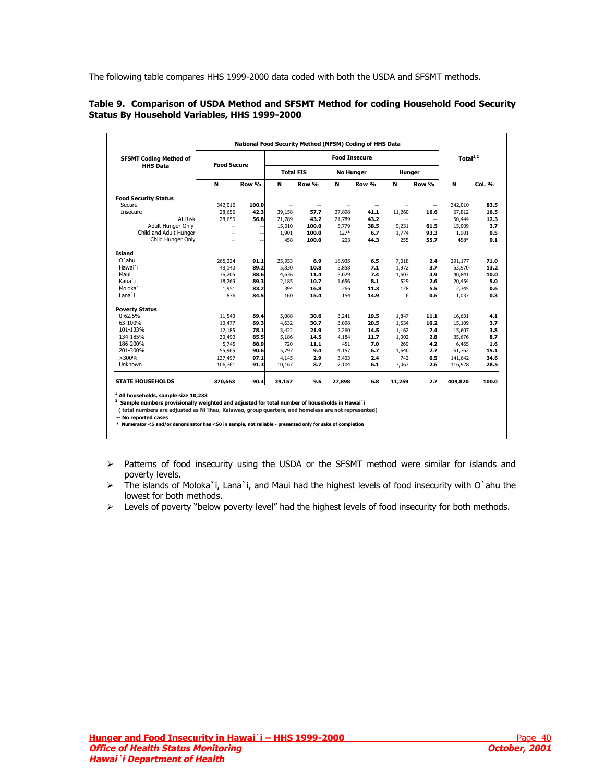<span id="page-39-0"></span>The following table compares HHS 1999-2000 data coded with both the USDA and SFSMT methods.

### **Table 9. Comparison of USDA Method and SFSMT Method for coding Household Food Security Status By Household Variables, HHS 1999-2000**

| <b>SFSMT Coding Method of</b> |                    |       |                  |       | <b>Food Insecure</b> |       |                          |       | Total $1/2$ |        |
|-------------------------------|--------------------|-------|------------------|-------|----------------------|-------|--------------------------|-------|-------------|--------|
| <b>HHS Data</b>               | <b>Food Secure</b> |       | <b>Total FIS</b> |       | <b>No Hunger</b>     |       | Hunger                   |       |             |        |
|                               | N                  | Row % | N                | Row % | N                    | Row % | N                        | Row % | N           | Col. % |
| <b>Food Security Status</b>   |                    |       |                  |       |                      |       |                          |       |             |        |
| Secure                        | 342,010            | 100.0 |                  | --    |                      | --    |                          | --    | 342,010     | 83.5   |
| Insecure                      | 28,656             | 42.3  | 39,158           | 57.7  | 27,898               | 41.1  | 11,260                   | 16.6  | 67,812      | 16.5   |
| At Risk                       | 28,656             | 56.8  | 21,789           | 43.2  | 21,789               | 43.2  | $\overline{\phantom{a}}$ | --    | 50,444      | 12.3   |
| Adult Hunger Only             |                    | --    | 15,010           | 100.0 | 5,779                | 38.5  | 9,231                    | 61.5  | 15,009      | 3.7    |
| Child and Adult Hunger        | --                 | ۰.    | 1,901            | 100.0 | 127*                 | 6.7   | 1,774                    | 93.3  | 1,901       | 0.5    |
| Child Hunger Only             | --                 | --    | 458              | 100.0 | 203                  | 44.3  | 255                      | 55.7  | 458*        | 0.1    |
| <b>Island</b>                 |                    |       |                  |       |                      |       |                          |       |             |        |
| $O'$ ahu                      | 265,224            | 91.1  | 25,953           | 8.9   | 18,935               | 6.5   | 7,018                    | 2.4   | 291,177     | 71.0   |
| Hawai`i                       | 48,140             | 89.2  | 5,830            | 10.8  | 3,858                | 7.1   | 1,972                    | 3.7   | 53,970      | 13.2   |
| Maui                          | 36,205             | 88.6  | 4,636            | 11.4  | 3,029                | 7.4   | 1,607                    | 3.9   | 40,841      | 10.0   |
| Kaua`i                        | 18,269             | 89.3  | 2,185            | 10.7  | 1,656                | 8.1   | 529                      | 2.6   | 20,454      | 5.0    |
| Moloka`i                      | 1,951              | 83.2  | 394              | 16.8  | 266                  | 11.3  | 128                      | 5.5   | 2.345       | 0.6    |
| Lana`i                        | 876                | 84.5  | 160              | 15.4  | 154                  | 14.9  | 6                        | 0.6   | 1,037       | 0.3    |
| <b>Poverty Status</b>         |                    |       |                  |       |                      |       |                          |       |             |        |
| $0 - 62.5%$                   | 11,543             | 69.4  | 5,088            | 30.6  | 3,241                | 19.5  | 1,847                    | 11.1  | 16,631      | 4.1    |
| 63-100%                       | 10,477             | 69.3  | 4,632            | 30.7  | 3,098                | 20.5  | 1,534                    | 10.2  | 15,109      | 3.7    |
| 101-133%                      | 12,185             | 78.1  | 3,422            | 21.9  | 2,260                | 14.5  | 1,162                    | 7.4   | 15,607      | 3.8    |
| 134-185%                      | 30,490             | 85.5  | 5,186            | 14.5  | 4,184                | 11.7  | 1,002                    | 2.8   | 35,676      | 8.7    |
| 186-200%                      | 5,745              | 88.9  | 720              | 11.1  | 451                  | 7.0   | 269                      | 4.2   | 6,465       | 1.6    |
| 201-300%                      | 55,965             | 90.6  | 5,797            | 9.4   | 4,157                | 6.7   | 1,640                    | 2.7   | 61,762      | 15.1   |
| $>300\%$                      | 137,497            | 97.1  | 4,145            | 2.9   | 3,403                | 2.4   | 742                      | 0.5   | 141,642     | 34.6   |
| Unknown                       | 106,761            | 91.3  | 10,167           | 8.7   | 7,104                | 6.1   | 3,063                    | 2.6   | 116,928     | 28.5   |
| <b>STATE HOUSEHOLDS</b>       | 370,663            | 90.4  | 39,157           | 9.6   | 27,898               | 6.8   | 11,259                   | 2.7   | 409,820     | 100.0  |

ao, group quarters, and homeless are not represented)

**-- No reported cases**

**\* Numerator <5 and/or denominator has <50 in sample, not reliable - presented only for sake of completion**

¾ Patterns of food insecurity using the USDA or the SFSMT method were similar for islands and poverty levels.

¾ The islands of Moloka`i, Lana`i, and Maui had the highest levels of food insecurity with O`ahu the lowest for both methods.

¾ Levels of poverty "below poverty level" had the highest levels of food insecurity for both methods.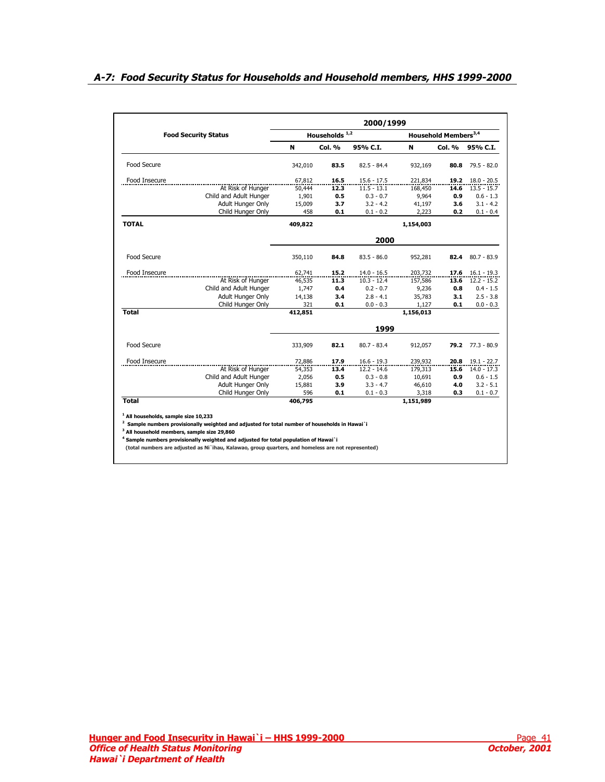## <span id="page-40-0"></span>**A-7: Food Security Status for Households and Household members, HHS 1999-2000**

|                             |         |                           | 2000/1999     |           |                                  |               |
|-----------------------------|---------|---------------------------|---------------|-----------|----------------------------------|---------------|
| <b>Food Security Status</b> |         | Households <sup>1,2</sup> |               |           | Household Members <sup>3,4</sup> |               |
|                             | N       | <b>Col. %</b>             | 95% C.I.      | N         | Col. %                           | 95% C.I.      |
| Food Secure                 | 342,010 | 83.5                      | $82.5 - 84.4$ | 932,169   | 80.8                             | $79.5 - 82.0$ |
| Food Insecure               | 67,812  | 16.5                      | $15.6 - 17.5$ | 221,834   | 19.2                             | $18.0 - 20.5$ |
| At Risk of Hunger           | 50,444  | 12.3                      | $11.5 - 13.1$ | 168,450   | 14.6                             | $13.5 - 15.7$ |
| Child and Adult Hunger      | 1,901   | 0.5                       | $0.3 - 0.7$   | 9,964     | 0.9                              | $0.6 - 1.3$   |
| Adult Hunger Only           | 15,009  | 3.7                       | $3.2 - 4.2$   | 41,197    | 3.6                              | $3.1 - 4.2$   |
| Child Hunger Only           | 458     | 0.1                       | $0.1 - 0.2$   | 2,223     | 0.2                              | $0.1 - 0.4$   |
| <b>TOTAL</b>                | 409,822 |                           |               | 1,154,003 |                                  |               |
|                             |         |                           | 2000          |           |                                  |               |
| Food Secure                 | 350,110 | 84.8                      | $83.5 - 86.0$ | 952,281   | 82.4                             | $80.7 - 83.9$ |
| Food Insecure               | 62,741  | 15.2                      | $14.0 - 16.5$ | 203,732   | 17.6                             | $16.1 - 19.3$ |
| At Risk of Hunger           | 46,535  | 11.3                      | $10.3 - 12.4$ | 157,586   | 13.6                             | $12.2 - 15.2$ |
| Child and Adult Hunger      | 1,747   | 0.4                       | $0.2 - 0.7$   | 9,236     | 0.8                              | $0.4 - 1.5$   |
| Adult Hunger Only           | 14,138  | 3.4                       | $2.8 - 4.1$   | 35,783    | 3.1                              | $2.5 - 3.8$   |
| Child Hunger Only           | 321     | 0.1                       | $0.0 - 0.3$   | 1,127     | 0.1                              | $0.0 - 0.3$   |
| <b>Total</b>                | 412,851 |                           |               | 1,156,013 |                                  |               |
|                             |         |                           | 1999          |           |                                  |               |
| Food Secure                 | 333,909 | 82.1                      | $80.7 - 83.4$ | 912,057   | 79.2                             | $77.3 - 80.9$ |
| Food Insecure               | 72,886  | 17.9                      | $16.6 - 19.3$ | 239,932   | 20.8                             | $19.1 - 22.7$ |
| At Risk of Hunger           | 54,353  | 13.4                      | $12.2 - 14.6$ | 179,313   | 15.6                             | $14.0 - 17.3$ |
| Child and Adult Hunger      | 2,056   | 0.5                       | $0.3 - 0.8$   | 10,691    | 0.9                              | $0.6 - 1.5$   |
| Adult Hunger Only           | 15,881  | 3.9                       | $3.3 - 4.7$   | 46,610    | 4.0                              | $3.2 - 5.1$   |
| Child Hunger Only           | 596     | 0.1                       | $0.1 - 0.3$   | 3,318     | 0.3                              | $0.1 - 0.7$   |
| <b>Total</b>                | 406,795 |                           |               | 1,151,989 |                                  |               |

**3 All household members, sample size 29,860 4 Sample numbers provisionally weighted and adjusted for total population of Hawai`i** 

 **(total numbers are adjusted as Ni`ihau, Kalawao, group quarters, and homeless are not represented)**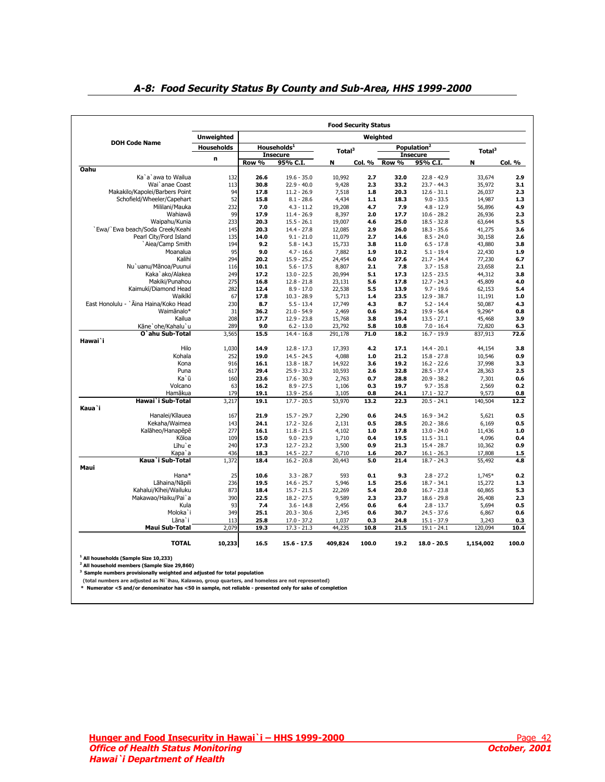<span id="page-41-0"></span>

|                                        |                   |          |                         |                    | <b>Food Security Status</b> |       |                         |                    |               |  |  |  |  |
|----------------------------------------|-------------------|----------|-------------------------|--------------------|-----------------------------|-------|-------------------------|--------------------|---------------|--|--|--|--|
|                                        | <b>Unweighted</b> | Weighted |                         |                    |                             |       |                         |                    |               |  |  |  |  |
| <b>DOH Code Name</b>                   | <b>Households</b> |          | Households <sup>1</sup> | $\mathsf{Total}^3$ |                             |       | Population <sup>2</sup> | Total <sup>3</sup> |               |  |  |  |  |
|                                        |                   |          | <b>Insecure</b>         |                    |                             |       | <b>Insecure</b>         |                    |               |  |  |  |  |
|                                        | n                 | Row %    | 95% C.I.                | N                  | Col. %                      | Row % | 95% C.I.                | N                  | <b>Col. %</b> |  |  |  |  |
| <b>Oahu</b>                            |                   |          |                         |                    |                             |       |                         |                    |               |  |  |  |  |
| Ka`a`awa to Wailua                     | 132               | 26.6     | $19.6 - 35.0$           | 10,992             | 2.7                         | 32.0  | $22.8 - 42.9$           | 33,674             | 2.9           |  |  |  |  |
| Wai `anae Coast                        | 113               | 30.8     | $22.9 - 40.0$           | 9,428              | 2.3                         | 33.2  | $23.7 - 44.3$           | 35,972             | 3.1           |  |  |  |  |
| Makakilo/Kapolei/Barbers Point         | 94                | 17.8     | $11.2 - 26.9$           | 7,518              | 1.8                         | 20.3  | $12.6 - 31.1$           | 26,037             | 2.3           |  |  |  |  |
| Schofield/Wheeler/Capehart             | 52                | 15.8     | $8.1 - 28.6$            | 4,434              | 1.1                         | 18.3  | $9.0 - 33.5$            | 14,987             | 1.3           |  |  |  |  |
| Mililani/Mauka                         | 232               | 7.0      | $4.3 - 11.2$            | 19,208             | 4.7                         | 7.9   | $4.8 - 12.9$            | 56,896             | 4.9           |  |  |  |  |
| Wahiawa                                | 99                | 17.9     | $11.4 - 26.9$           | 8,397              | 2.0                         | 17.7  | $10.6 - 28.2$           | 26,936             | 2.3           |  |  |  |  |
| Waipahu/Kunia                          | 233               | 20.3     | $15.5 - 26.1$           | 19,007             | 4.6                         | 25.0  | $18.5 - 32.8$           | 63,644             | 5.5           |  |  |  |  |
| `Ewa/`Ewa beach/Soda Creek/Keahi       | 145               | 20.3     | $14.4 - 27.8$           | 12,085             | 2.9                         | 26.0  | $18.3 - 35.6$           | 41,275             | 3.6           |  |  |  |  |
| Pearl City/Ford Island                 | 135               | 14.0     | $9.1 - 21.0$            | 11,079             | 2.7                         | 14.6  | $8.5 - 24.0$            | 30,158             | 2.6           |  |  |  |  |
| `Aiea/Camp Smith                       | 194               | 9.2      | $5.8 - 14.3$            | 15,733             | 3.8                         | 11.0  | $6.5 - 17.8$            | 43,880             | 3.8           |  |  |  |  |
| Moanalua                               | 95                | 9.0      | $4.7 - 16.6$            | 7,882              | 1.9                         | 10.2  | $5.1 - 19.4$            | 22,430             | 1.9           |  |  |  |  |
| Kalihi                                 | 294               | 20.2     | $15.9 - 25.2$           | 24,454             | 6.0                         | 27.6  | $21.7 - 34.4$           | 77,230             | 6.7           |  |  |  |  |
| Nu'uanu/Mānoa/Puunui                   | 116               | 10.1     | $5.6 - 17.5$            | 8,807              | 2.1                         | 7.8   | $3.7 - 15.8$            | 23,658             | 2.1           |  |  |  |  |
| Kaka'ako/Alakea                        | 249               | 17.2     | $13.0 - 22.5$           | 20,994             | 5.1                         | 17.3  | $12.5 - 23.5$           | 44,312             | 3.8           |  |  |  |  |
| Makiki/Punahou                         | 275               | 16.8     | $12.8 - 21.8$           | 23,131             | 5.6                         | 17.8  | $12.7 - 24.3$           | 45,809             | 4.0           |  |  |  |  |
| Kaimukī/Diamond Head                   | 282               | 12.4     | $8.9 - 17.0$            | 22,538             | 5.5                         | 13.9  | $9.7 - 19.6$            | 62,153             | 5.4           |  |  |  |  |
| Waikīkī                                | 67                | 17.8     | $10.3 - 28.9$           | 5,713              | 1.4                         | 23.5  | $12.9 - 38.7$           | 11,191             | 1.0           |  |  |  |  |
| East Honolulu - ` Āina Haina/Koko Head | 230               | 8.7      | $5.5 - 13.4$            | 17,749             | 4.3                         | 8.7   | $5.2 - 14.4$            | 50,087             | 4.3           |  |  |  |  |
| Waimanalo*                             | 31                | 36.2     | $21.0 - 54.9$           | 2,469              | 0.6                         | 36.2  | $19.9 - 56.4$           | 9,296*             | 0.8           |  |  |  |  |
| Kailua                                 | 208               | 17.7     | $12.9 - 23.8$           | 15,768             | 3.8                         | 19.4  | $13.5 - 27.1$           | 45,468             | 3.9           |  |  |  |  |
| Kāne`ohe/Kahalu`u                      | 289               | 9.0      | $6.2 - 13.0$            | 23,792             | 5.8                         | 10.8  | $7.0 - 16.4$            | 72,820             | 6.3           |  |  |  |  |
| O`ahu Sub-Total                        | 3,565             | 15.5     | $14.4 - 16.8$           | 291,178            | 71.0                        | 18.2  | $16.7 - 19.9$           | 837,913            | 72.6          |  |  |  |  |
| Hawai`i                                |                   |          |                         |                    |                             |       |                         |                    |               |  |  |  |  |
| Hilo                                   | 1,030             | 14.9     | $12.8 - 17.3$           | 17,393             | 4.2                         | 17.1  | $14.4 - 20.1$           | 44,154             | 3.8           |  |  |  |  |
| Kohala                                 | 252               | 19.0     | $14.5 - 24.5$           | 4,088              | $1.0$                       | 21.2  | $15.8 - 27.8$           | 10,546             | 0.9           |  |  |  |  |
| Kona                                   | 916               | 16.1     | $13.8 - 18.7$           | 14,922             | 3.6                         | 19.2  | $16.2 - 22.6$           | 37,998             | 3.3           |  |  |  |  |
| Puna                                   | 617               | 29.4     | $25.9 - 33.2$           | 10,593             | 2.6                         | 32.8  | $28.5 - 37.4$           | 28,363             | 2.5           |  |  |  |  |
| Ka`ū                                   | 160               | 23.6     | $17.6 - 30.9$           | 2,763              | 0.7                         | 28.8  | $20.9 - 38.2$           | 7,301              | 0.6           |  |  |  |  |
| Volcano                                | 63                | 16.2     | $8.9 - 27.5$            | 1,106              | 0.3                         | 19.7  | $9.7 - 35.8$            | 2,569              | 0.2           |  |  |  |  |
| Hamākua                                | 179               | 19.1     | $13.9 - 25.6$           | 3,105              | 0.8                         | 24.1  | $17.1 - 32.7$           | 9,573              | 0.8           |  |  |  |  |
| Hawai`i Sub-Total                      | 3,217             | 19.1     | $17.7 - 20.5$           | 53,970             | 13.2                        | 22.3  | $20.5 - 24.1$           | 140,504            | 12.2          |  |  |  |  |
| Kaua`i                                 |                   |          |                         |                    |                             |       |                         |                    |               |  |  |  |  |
| Hanalei/Kīlauea                        | 167               | 21.9     | $15.7 - 29.7$           | 2,290              | 0.6                         | 24.5  | $16.9 - 34.2$           | 5,621              | 0.5           |  |  |  |  |
| Kekaha/Waimea                          | 143               | 24.1     | $17.2 - 32.6$           | 2,131              | 0.5                         | 28.5  | $20.2 - 38.6$           | 6,169              | 0.5           |  |  |  |  |
| Kalāheo/Hanapēpē                       | 277               | 16.1     | $11.8 - 21.5$           | 4,102              | 1.0                         | 17.8  | $13.0 - 24.0$           | 11,436             | 1.0           |  |  |  |  |
| Kōloa                                  | 109               | 15.0     | $9.0 - 23.9$            | 1,710              | 0.4                         | 19.5  | $11.5 - 31.1$           | 4,096              | 0.4           |  |  |  |  |
| Līhu`e                                 | 240               | 17.3     | $12.7 - 23.2$           | 3,500              | 0.9                         | 21.3  | $15.4 - 28.7$           | 10,362             | 0.9           |  |  |  |  |
| Kapa`a                                 | 436               | 18.3     | $14.5 - 22.7$           | 6,710              | 1.6                         | 20.7  | $16.1 - 26.3$           | 17,808             | $1.5$         |  |  |  |  |
| Kaua`i Sub-Total                       | 1,372             | 18.4     | $16.2 - 20.8$           | 20,443             | 5.0                         | 21.4  | $18.7 - 24.3$           | 55,492             | 4.8           |  |  |  |  |
| Maui                                   |                   |          |                         |                    |                             |       |                         |                    |               |  |  |  |  |
| Hana*                                  | 25                | 10.6     | $3.3 - 28.7$            | 593                | 0.1                         | 9.3   | $2.8 - 27.2$            | 1,745*             | 0.2           |  |  |  |  |
| Lāhaina/Nāpili                         | 236               | 19.5     | $14.6 - 25.7$           | 5,946              | 1.5                         | 25.6  | $18.7 - 34.1$           | 15,272             | 1.3           |  |  |  |  |
| Kahalui/Kihei/Wailuku                  | 873               | 18.4     | $15.7 - 21.5$           | 22,269             | 5.4                         | 20.0  | $16.7 - 23.8$           | 60,865             | 5.3           |  |  |  |  |
| Makawao/Haiku/Pai`a                    | 390               | 22.5     | $18.2 - 27.5$           | 9,589              | 2.3                         | 23.7  | $18.6 - 29.8$           | 26,408             | 2.3           |  |  |  |  |
| Kula                                   | 93                | 7.4      | $3.6 - 14.8$            | 2,456              | 0.6                         | 6.4   | $2.8 - 13.7$            | 5,694              | 0.5           |  |  |  |  |
| Moloka'i                               | 349               | 25.1     | $20.3 - 30.6$           | 2,345              | 0.6                         | 30.7  | $24.5 - 37.6$           | 6,867              | 0.6           |  |  |  |  |
| Lāna`i                                 | 113               | 25.8     | $17.0 - 37.2$           | 1,037              | 0.3                         | 24.8  | $15.1 - 37.9$           | 3,243              | 0.3           |  |  |  |  |
| <b>Maui Sub-Total</b>                  | 2,079             | 19.3     | $17.3 - 21.3$           | 44,235             | 10.8                        | 21.5  | $19.1 - 24.1$           | 120,094            | 10.4          |  |  |  |  |
| <b>TOTAL</b>                           | 10,233            | 16.5     | $15.6 - 17.5$           | 409,824            | 100.0                       | 19.2  | $18.0 - 20.5$           | 1,154,002          | 100.0         |  |  |  |  |

## **A-8: Food Security Status By County and Sub-Area, HHS 1999-2000**

<sup>1</sup> All households (Sample Size 10,233)<br><sup>2</sup> All household members (Sample Size 29,860)

**3 Sample numbers provisionally weighted and adjusted for total population**

 **(total numbers are adjusted as Ni`ihau, Kalawao, group quarters, and homeless are not represented) \* Numerator <5 and/or denominator has <50 in sample, not reliable - presented only for sake of completion**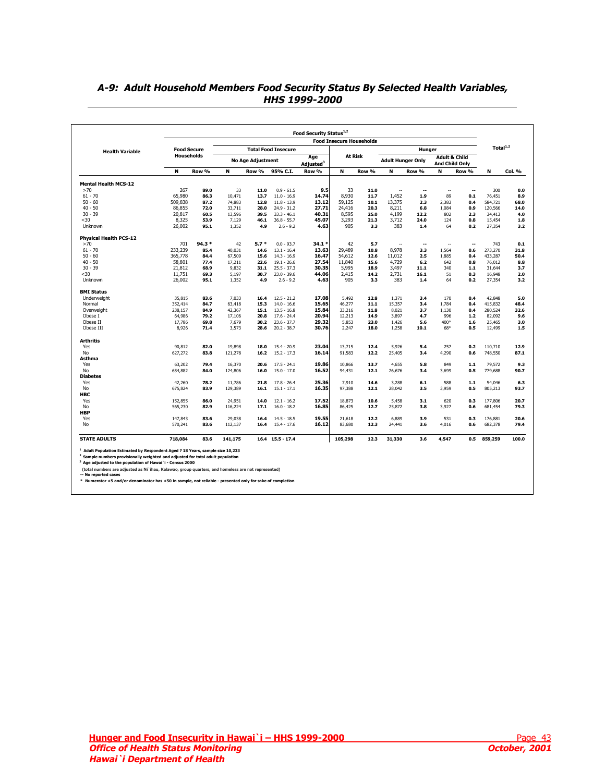|                               |                    |        |         |                          |                            |                              | <b>Food Insecure Households</b> |         |                          |                          |                          |                                            |                      |        |
|-------------------------------|--------------------|--------|---------|--------------------------|----------------------------|------------------------------|---------------------------------|---------|--------------------------|--------------------------|--------------------------|--------------------------------------------|----------------------|--------|
| <b>Health Variable</b>        | <b>Food Secure</b> |        |         |                          | <b>Total Food Insecure</b> |                              |                                 |         |                          | Hunger                   |                          |                                            | Total <sup>1,2</sup> |        |
|                               | <b>Households</b>  |        |         | <b>No Age Adjustment</b> |                            | Age<br>Adjusted <sup>3</sup> |                                 | At Risk | <b>Adult Hunger Only</b> |                          |                          | <b>Adult &amp; Child</b><br>And Child Only |                      |        |
|                               | N                  | Row %  | N       | Row %                    | 95% C.I.                   | Row %                        | N                               | Row %   | N                        | Row %                    | N                        | Row %                                      | N                    | Col. % |
| <b>Mental Health MCS-12</b>   |                    |        |         |                          |                            |                              |                                 |         |                          |                          |                          |                                            |                      |        |
| >70                           | 267                | 89.0   | 33      | 11.0                     | $0.9 - 61.5$               | 9.5                          | 33                              | 11.0    | $\overline{\phantom{a}}$ | --                       | $\overline{\phantom{a}}$ | ۰.                                         | 300                  | 0.0    |
| $61 - 70$                     | 65,980             | 86.3   | 10,471  | 13.7                     | $11.0 - 16.9$              | 14.74                        | 8.930                           | 11.7    | 1,452                    | 1.9                      | 89                       | 0.1                                        | 76,451               | 8.9    |
| $50 - 60$                     | 509,838            | 87.2   | 74,883  | 12.8                     | $11.8 - 13.9$              | 13.12                        | 59,125                          | 10.1    | 13,375                   | 2.3                      | 2,383                    | 0.4                                        | 584,721              | 68.0   |
| $40 - 50$                     | 86,855             | 72.0   | 33,711  | 28.0                     | $24.9 - 31.2$              | 27.71                        | 24,416                          | 20.3    | 8,211                    | 6.8                      | 1,084                    | 0.9                                        | 120,566              | 14.0   |
| $30 - 39$                     | 20.817             | 60.5   | 13,596  | 39.5                     | $33.3 - 46.1$              | 40.31                        | 8,595                           | 25.0    | 4.199                    | 12.2                     | 802                      | 2.3                                        | 34,413               | 4.0    |
| $30$                          | 8,325              | 53.9   | 7,129   | 46.1                     | $36.8 - 55.7$              | 45.07                        | 3,293                           | 21.3    | 3,712                    | 24.0                     | 124                      | 0.8                                        | 15,454               | 1.8    |
| Unknown                       | 26,002             | 95.1   | 1,352   | 4.9                      | $2.6 - 9.2$                | 4.63                         | 905                             | 3.3     | 383                      | 1.4                      | 64                       | 0.2                                        | 27,354               | 3.2    |
| <b>Physical Health PCS-12</b> |                    |        |         |                          |                            |                              |                                 |         |                          |                          |                          |                                            |                      |        |
| >70                           | 701                | 94.3 * | 42      | $5.7*$                   | $0.0 - 93.7$               | $34.1*$                      | 42                              | 5.7     | $\overline{\phantom{a}}$ | $\overline{\phantom{a}}$ | $\overline{\phantom{a}}$ | --                                         | 743                  | 0.1    |
| $61 - 70$                     | 233,239            | 85.4   | 40,031  | 14.6                     | $13.1 - 16.4$              | 13.63                        | 29,489                          | 10.8    | 8,978                    | 3.3                      | 1,564                    | 0.6                                        | 273,270              | 31.8   |
| $50 - 60$                     | 365,778            | 84.4   | 67,509  | 15.6                     | $14.3 - 16.9$              | 16.47                        | 54,612                          | 12.6    | 11,012                   | 2.5                      | 1,885                    | 0.4                                        | 433,287              | 50.4   |
| $40 - 50$                     | 58,801             | 77.4   | 17,211  | 22.6                     | $19.1 - 26.6$              | 27.54                        | 11,840                          | 15.6    | 4,729                    | 6.2                      | 642                      | 0.8                                        | 76,012               | 8.8    |
| $30 - 39$                     | 21,812             | 68.9   | 9,832   | 31.1                     | $25.5 - 37.3$              | 30.35                        | 5,995                           | 18.9    | 3,497                    | 11.1                     | 340                      | $1.1$                                      | 31,644               | 3.7    |
| $30$                          | 11,751             | 69.3   | 5,197   | 30.7                     | $23.0 - 39.6$              | 44.06                        | 2,415                           | 14.2    | 2,731                    | 16.1                     | 51                       | 0.3                                        | 16,948               | 2.0    |
| Unknown                       | 26,002             | 95.1   | 1,352   | 4.9                      | $2.6 - 9.2$                | 4.63                         | 905                             | 3.3     | 383                      | 1.4                      | 64                       | 0.2                                        | 27,354               | 3.2    |
| <b>BMI Status</b>             |                    |        |         |                          |                            |                              |                                 |         |                          |                          |                          |                                            |                      |        |
| Underweight                   | 35,815             | 83.6   | 7,033   | 16.4                     | $12.5 - 21.2$              | 17.08                        | 5,492                           | 12.8    | 1,371                    | 3.4                      | 170                      | 0.4                                        | 42,848               | 5.0    |
| Normal                        | 352,414            | 84.7   | 63,418  | 15.3                     | $14.0 - 16.6$              | 15.65                        | 46,277                          | 11.1    | 15,357                   | 3.4                      | 1,784                    | 0.4                                        | 415,832              | 48.4   |
| Overweight                    | 238,157            | 84.9   | 42,367  | 15.1                     | $13.5 - 16.8$              | 15.84                        | 33,216                          | 11.8    | 8,021                    | 3.7                      | 1,130                    | 0.4                                        | 280,524              | 32.6   |
| Obese I                       | 64,986             | 79.2   | 17,106  | 20.8                     | $17.6 - 24.4$              | 20.94                        | 12,213                          | 14.9    | 3,897                    | 4.7                      | 996                      | 1.2                                        | 82,092               | 9.6    |
| Obese II                      | 17,786             | 69.8   | 7,679   | 30.2                     | $23.6 - 37.7$              | 29.32                        | 5,853                           | 23.0    | 1,426                    | 5.6                      | 400*                     | 1.6                                        | 25,465               | 3.0    |
| Obese III                     | 8,926              | 71.4   | 3,573   | 28.6                     | $20.2 - 38.7$              | 30.76                        | 2,247                           | 18.0    | 1,258                    | 10.1                     | 68*                      | 0.5                                        | 12,499               | 1.5    |
| <b>Arthritis</b>              |                    |        |         |                          |                            |                              |                                 |         |                          |                          |                          |                                            |                      |        |
| Yes                           | 90,812             | 82.0   | 19,898  | 18.0                     | $15.4 - 20.9$              | 23.04                        | 13,715                          | 12.4    | 5,926                    | 5.4                      | 257                      | 0.2                                        | 110,710              | 12.9   |
| No                            | 627,272            | 83.8   | 121,278 | 16.2                     | $15.2 - 17.3$              | 16.14                        | 91,583                          | 12.2    | 25,405                   | 3.4                      | 4,290                    | 0.6                                        | 748,550              | 87.1   |
| Asthma                        |                    |        |         |                          |                            |                              |                                 |         |                          |                          |                          |                                            |                      |        |
| Yes                           | 63,202             | 79.4   | 16,370  | 20.6                     | $17.5 - 24.1$              | 19.86                        | 10,866                          | 13.7    | 4,655                    | 5.8                      | 849                      | $1.1$                                      | 79,572               | 9.3    |
| No                            | 654,882            | 84.0   | 124,806 | 16.0                     | $15.0 - 17.0$              | 16.52                        | 94,431                          | 12.1    | 26,676                   | 3.4                      | 3,699                    | 0.5                                        | 779,688              | 90.7   |
| <b>Diabetes</b>               |                    |        |         |                          |                            |                              |                                 |         |                          |                          |                          |                                            |                      |        |
| Yes                           | 42,260             | 78.2   | 11,786  | 21.8                     | $17.8 - 26.4$              | 25.36                        | 7.910                           | 14.6    | 3,288                    | 6.1                      | 588                      | 1.1                                        | 54,046               | 6.3    |
| No                            | 675,824            | 83.9   | 129,389 | 16.1                     | $15.1 - 17.1$              | 16.35                        | 97,388                          | 12.1    | 28,042                   | 3.5                      | 3,959                    | 0.5                                        | 805,213              | 93.7   |
| <b>HBC</b>                    |                    |        |         |                          |                            |                              |                                 |         |                          |                          |                          |                                            |                      |        |
| Yes                           | 152,855            | 86.0   | 24,951  | 14.0                     | $12.1 - 16.2$              | 17.52                        | 18,873                          | 10.6    | 5,458                    | 3.1                      | 620                      | 0.3                                        | 177,806              | 20.7   |
| No                            | 565,230            | 82.9   | 116,224 | 17.1                     | $16.0 - 18.2$              | 16.85                        | 86,425                          | 12.7    | 25,872                   | 3.8                      | 3.927                    | 0.6                                        | 681,454              | 79.3   |
| <b>HBP</b>                    |                    |        |         |                          |                            |                              |                                 |         |                          |                          |                          |                                            |                      |        |
| Yes                           | 147,843            | 83.6   | 29,038  | 16.4                     | $14.5 - 18.5$              | 19.55                        | 21,618                          | 12.2    | 6,889                    | 3.9                      | 531                      | 0.3                                        | 176,881              | 20.6   |
|                               |                    |        |         |                          |                            |                              |                                 |         |                          |                          |                          |                                            |                      |        |
| No                            | 570,241            | 83.6   | 112,137 | 16.4                     | $15.4 - 17.6$              | 16.12                        | 83,680                          | 12.3    | 24,441                   | 3.6                      | 4,016                    | 0.6                                        | 682,378              | 79.4   |
|                               | 718,084            | 83.6   | 141,175 |                          | $16.4$ $15.5 - 17.4$       |                              | 105,298                         | 12.3    | 31,330                   | 3.6                      | 4,547                    | 0.5                                        | 859,259              | 100.0  |

## <span id="page-42-0"></span>**A-9: Adult Household Members Food Security Status By Selected Health Variables, HHS 1999-2000**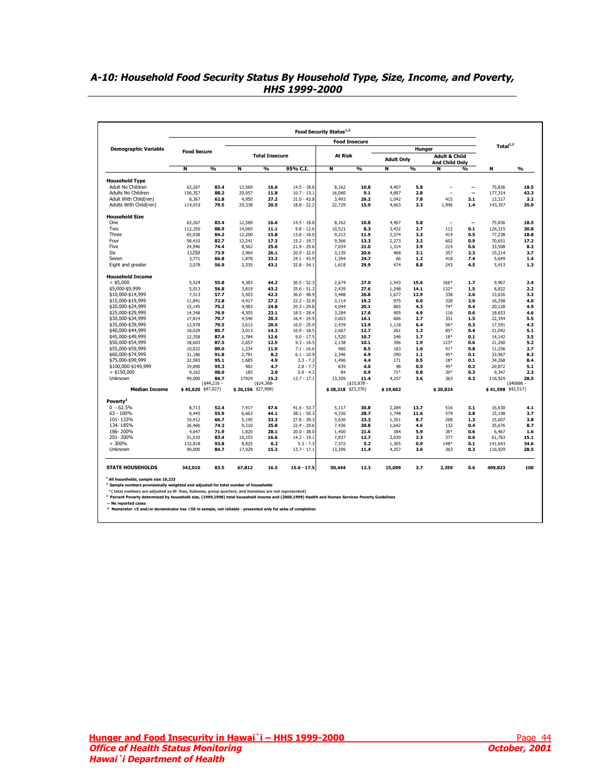<span id="page-43-0"></span>

| A-10: Household Food Security Status By Household Type, Size, Income, and Poverty, |  |
|------------------------------------------------------------------------------------|--|
| <i><b>HHS 1999-2000</b></i>                                                        |  |

| Total <sup>1,2</sup><br><b>Demographic Variable</b><br>Hunger<br><b>Food Secure</b><br><b>At Risk</b><br><b>Total Insecure</b><br><b>Adult &amp; Child</b><br><b>Adult Only</b><br>And Child Only<br>$\frac{9}{6}$<br>$\frac{9}{6}$<br>$\frac{9}{6}$<br>$\frac{9}{6}$<br>N<br>N<br>95% C.I.<br>N<br>N<br>N<br>$\frac{9}{6}$<br>N<br>$\frac{0}{0}$<br><b>Household Type</b><br>Adult No Children<br>63,267<br>12,569<br>$14.5 - 18.8$<br>10.8<br>4.407<br>75,836<br>83.4<br>16.6<br>8.162<br>5.8<br>$\overline{a}$<br>--<br>Adults No Children<br>88.2<br>20,957<br>11.8<br>$10.7 - 13.1$<br>16,060<br>2.8<br>156,357<br>9.1<br>4.897<br>--<br>177,314<br>$\overline{a}$<br>Adult With Child(ren)<br>62.8<br>4,950<br>37.2<br>26.2<br>1.042<br>7.8<br>415<br>3.1<br>8,367<br>$31.0 - 43.8$<br>3,493<br>13,317<br>Adults With Child(ren)<br>114,019<br>79.5<br>29,338<br>20.5<br>$18.8 - 22.2$<br>22,729<br>15.9<br>4,663<br>3.3<br>1,946<br>1.4<br>143,357<br><b>Household Size</b><br>One<br>12,569<br>16.6<br>$14.5 - 18.8$<br>10.8<br>4,407<br>75,836<br>63,267<br>83.4<br>8,162<br>5.8<br>$\overline{\phantom{a}}$<br>۰.<br>Two<br>112,250<br>2.7<br>0.1<br>126,315<br>88.9<br>14,065<br>11.1<br>$9.8 - 12.6$<br>10,521<br>8.3<br>3,432<br>112<br>Three<br>12,200<br>77,238<br>65,038<br>84.2<br>15.8<br>$13.8 - 18.0$<br>9,212<br>11.9<br>2,574<br>3.3<br>414<br>0.5<br>Four<br>58,410<br>82.7<br>12,241<br>17.3<br>$15.2 - 19.7$<br>9,366<br>13.3<br>2,273<br>3.2<br>602<br>0.9<br>70,651<br>Five<br>24,946<br>74.4<br>8,562<br>25.6<br>$21.9 - 29.6$<br>7,034<br>21.0<br>1,314<br>3.9<br>214<br>0.6<br>33,508<br>Six<br>11250<br>3,964<br>$20.9 - 32.0$<br>20.6<br>357<br>3.7<br>73.9<br>26.1<br>3,139<br>468<br>3.1<br>2.3<br>15,214<br>3,771<br>1,878<br>33.2<br>$24.1 - 43.9$<br>1,394<br>24.7<br>1.2<br>418<br>7.4<br>1.4<br>Seven<br>66.8<br>66<br>5,649<br>Eight and greater<br>3,078<br>2,335<br>43.1<br>$32.8 - 54.1$<br>29.9<br>474<br>243<br>4.5<br>56.9<br>1,618<br>8.8<br>5,413<br><b>Household Income</b><br>$<$ \$5,000<br>5,524<br>55.8<br>4,383<br>44.2<br>$36.5 - 52.3$<br>2,674<br>27.0<br>1,543<br>15.6<br>166*<br>1.7<br>9,907<br>2.4<br>\$5,000-\$9,999<br>5,013<br>56.8<br>3,819<br>43.2<br>$35.6 - 51.2$<br>2,439<br>27.6<br>1,248<br>14.1<br>132*<br>1.5<br>8,832<br>2.2<br>\$10,000-\$14,999<br>7,513<br>57.7<br>5,503<br>42.3<br>$36.0 - 48.9$<br>3,488<br>26.8<br>1,677<br>12.9<br>338<br>2.6<br>13,016<br>3.2<br>\$15,000-\$19,999<br>11,841<br>72.8<br>4,417<br>27.2<br>$22.2 - 32.8$<br>3,114<br>19.2<br>975<br>6.0<br>328<br>2.0<br>16,258<br>4.0<br>\$20,000-\$24,999<br>4,983<br>$20.3 - 29.8$<br>20.1<br>$74*$<br>4.9<br>15,145<br>75.2<br>24.8<br>4,044<br>865<br>4.3<br>0.4<br>20,128<br>\$25,000-\$29,999<br>4,305<br>$18.5 - 28.4$<br>905<br>14,348<br>76.9<br>23.1<br>3,284<br>17.6<br>4.9<br>116<br>0.6<br>18,653<br>4.6<br>5.5<br>\$30,000-\$34,999<br>17,814<br>79.7<br>4,540<br>20.3<br>$16.4 - 24.9$<br>3,603<br>16.1<br>606<br>2.7<br>331<br>1.5<br>22,354<br>79.5<br>56*<br>\$35,000-\$39,999<br>13,978<br>3.613<br>20.5<br>$16.0 - 25.9$<br>2,439<br>13.9<br>1.118<br>6.4<br>0.3<br>17,591<br>4.3<br>\$40,000-\$44,999<br>85.7<br>3.013<br>$10.9 - 18.5$<br>12.7<br>261<br>85*<br>5.1<br>18,029<br>14.3<br>2,667<br>1.2<br>0.4<br>21,042<br>\$45,000-\$49,999<br>12,358<br>87.4<br>1,784<br>12.6<br>$9.0 - 17.5$<br>1,520<br>10.7<br>246<br>1.7<br>$18*$<br>0.1<br>14,142<br>3.5<br>\$50,000-\$54,999<br>18,603<br>87.5<br>2,657<br>12.5<br>$9.3 - 16.5$<br>2,138<br>10.1<br>396<br>1.9<br>$123*$<br>21,260<br>5.2<br>0.6<br>89.0<br>1,234<br>11.0<br>960<br>$91*$<br>2.7<br>\$55,000-\$59,999<br>10,022<br>$7.1 - 16.6$<br>8.5<br>183<br>1.6<br>0.8<br>11,256<br>390<br>8.3<br>\$60,000-\$74,999<br>31,186<br>91.8<br>2,781<br>8.2<br>$6.1 - 10.9$<br>2,346<br>6.9<br>$1.1$<br>45*<br>0.1<br>33,967<br>\$75,000-\$99,999<br>171<br>0.5<br>8.4<br>32,583<br>95.1<br>1,685<br>4.9<br>$3.3 - 7.2$<br>1,496<br>4.4<br>$18*$<br>0.1<br>34,268<br>\$100,000-\$149,999<br>19,890<br>95.3<br>982<br>4.7<br>$2.8 - 7.7$<br>839<br>4.0<br>98<br>0.5<br>45*<br>0.2<br>20,872<br>5.1<br>$>$ \$150,000<br>9,162<br>98.0<br>185<br>2.0<br>$0.9 - 4.3$<br>84<br>0.9<br>$71*$<br>0.8<br>$30*$<br>0.3<br>9,347<br>2.3<br><b>Unknown</b><br>84.7<br>17929<br>28.5<br>99,000<br>15.3<br>$13.7 - 17.1$<br>13,309<br>11.4<br>4,257<br>3.6<br>363<br>0.3<br>116,929<br>(\$40686<br>$(*44,216 -$<br>$($24,368-$<br>$($15,878 -$<br><b>Median Income</b><br>\$45,620 \$47,027)<br>$$26,156$ \$27,968)<br>\$28,218 \$23,376)<br>\$41,598 \$42,517)<br>\$19,602<br>\$20,824<br>Poverty <sup>3</sup><br>$0 - 62.5%$<br>8,713<br>52.4<br>7,917<br>47.6<br>$41.6 - 53.7$<br>5,117<br>30.8<br>2,284<br>13.7<br>516<br>3.1<br>16,630<br>$63 - 100%$<br>$38.1 - 50.3$<br>1,748<br>8,445<br>55.9<br>6,663<br>44.1<br>4,336<br>28.7<br>11.6<br>579<br>3.8<br>15,108<br>101-133%<br>33.3<br>23.3<br>8.7<br>208<br>10,412<br>66.7<br>5,195<br>$27.8 - 39.3$<br>3,636<br>1,351<br>1.3<br>15,607<br>134-185%<br>9,210<br>20.8<br>132<br>26,466<br>74.2<br>25.8<br>$22.4 - 29.6$<br>7,436<br>1,642<br>4.6<br>0.4<br>35,676<br>186-200%<br>1,820<br>$20.0 - 38.0$<br>$36*$<br>4,647<br>71.9<br>28.1<br>1,400<br>21.6<br>384<br>5.9<br>0.6<br>6,467<br>201-300%<br>377<br>51,510<br>83.4<br>10.253<br>16.6<br>$14.3 - 19.1$<br>7,837<br>12.7<br>2,039<br>3.3<br>0.6<br>61,763<br>>300%<br>93.8<br>8,825<br>5.2<br>0.9<br>148*<br>132,818<br>6.2<br>$5.3 - 7.3$<br>7,372<br>1,305<br>0.1<br>141,643<br>Unknown<br>99,000<br>84.7<br>17,929<br>15.3<br>$13.7 - 17.1$<br>13,309<br>11.4<br>4,257<br>0.3<br>116,929<br>3.6<br>363 |                         |         |      |        |  | <b>Food Insecure</b> |     |       |  |      |
|--------------------------------------------------------------------------------------------------------------------------------------------------------------------------------------------------------------------------------------------------------------------------------------------------------------------------------------------------------------------------------------------------------------------------------------------------------------------------------------------------------------------------------------------------------------------------------------------------------------------------------------------------------------------------------------------------------------------------------------------------------------------------------------------------------------------------------------------------------------------------------------------------------------------------------------------------------------------------------------------------------------------------------------------------------------------------------------------------------------------------------------------------------------------------------------------------------------------------------------------------------------------------------------------------------------------------------------------------------------------------------------------------------------------------------------------------------------------------------------------------------------------------------------------------------------------------------------------------------------------------------------------------------------------------------------------------------------------------------------------------------------------------------------------------------------------------------------------------------------------------------------------------------------------------------------------------------------------------------------------------------------------------------------------------------------------------------------------------------------------------------------------------------------------------------------------------------------------------------------------------------------------------------------------------------------------------------------------------------------------------------------------------------------------------------------------------------------------------------------------------------------------------------------------------------------------------------------------------------------------------------------------------------------------------------------------------------------------------------------------------------------------------------------------------------------------------------------------------------------------------------------------------------------------------------------------------------------------------------------------------------------------------------------------------------------------------------------------------------------------------------------------------------------------------------------------------------------------------------------------------------------------------------------------------------------------------------------------------------------------------------------------------------------------------------------------------------------------------------------------------------------------------------------------------------------------------------------------------------------------------------------------------------------------------------------------------------------------------------------------------------------------------------------------------------------------------------------------------------------------------------------------------------------------------------------------------------------------------------------------------------------------------------------------------------------------------------------------------------------------------------------------------------------------------------------------------------------------------------------------------------------------------------------------------------------------------------------------------------------------------------------------------------------------------------------------------------------------------------------------------------------------------------------------------------------------------------------------------------------------------------------------------------------------------------------------------------------------------------------------------------------------------------------------------------------------------------------------------------------------------------------------------------------------------------------------------------------------------------------------------------------------------------------------------------------------------------------------------------------------------------------------------------------------------------------------------------------------------------------------------------------------------------------------------------------------------------------------------------------------------------------------------------------------------------------------------------------------------------------------------------------------------------------------------------------------------------------------------------------------------------------------|-------------------------|---------|------|--------|--|----------------------|-----|-------|--|------|
|                                                                                                                                                                                                                                                                                                                                                                                                                                                                                                                                                                                                                                                                                                                                                                                                                                                                                                                                                                                                                                                                                                                                                                                                                                                                                                                                                                                                                                                                                                                                                                                                                                                                                                                                                                                                                                                                                                                                                                                                                                                                                                                                                                                                                                                                                                                                                                                                                                                                                                                                                                                                                                                                                                                                                                                                                                                                                                                                                                                                                                                                                                                                                                                                                                                                                                                                                                                                                                                                                                                                                                                                                                                                                                                                                                                                                                                                                                                                                                                                                                                                                                                                                                                                                                                                                                                                                                                                                                                                                                                                                                                                                                                                                                                                                                                                                                                                                                                                                                                                                                                                                                                                                                                                                                                                                                                                                                                                                                                                                                                                                                                                                                            |                         |         |      |        |  |                      |     |       |  |      |
|                                                                                                                                                                                                                                                                                                                                                                                                                                                                                                                                                                                                                                                                                                                                                                                                                                                                                                                                                                                                                                                                                                                                                                                                                                                                                                                                                                                                                                                                                                                                                                                                                                                                                                                                                                                                                                                                                                                                                                                                                                                                                                                                                                                                                                                                                                                                                                                                                                                                                                                                                                                                                                                                                                                                                                                                                                                                                                                                                                                                                                                                                                                                                                                                                                                                                                                                                                                                                                                                                                                                                                                                                                                                                                                                                                                                                                                                                                                                                                                                                                                                                                                                                                                                                                                                                                                                                                                                                                                                                                                                                                                                                                                                                                                                                                                                                                                                                                                                                                                                                                                                                                                                                                                                                                                                                                                                                                                                                                                                                                                                                                                                                                            |                         |         |      |        |  |                      |     |       |  |      |
|                                                                                                                                                                                                                                                                                                                                                                                                                                                                                                                                                                                                                                                                                                                                                                                                                                                                                                                                                                                                                                                                                                                                                                                                                                                                                                                                                                                                                                                                                                                                                                                                                                                                                                                                                                                                                                                                                                                                                                                                                                                                                                                                                                                                                                                                                                                                                                                                                                                                                                                                                                                                                                                                                                                                                                                                                                                                                                                                                                                                                                                                                                                                                                                                                                                                                                                                                                                                                                                                                                                                                                                                                                                                                                                                                                                                                                                                                                                                                                                                                                                                                                                                                                                                                                                                                                                                                                                                                                                                                                                                                                                                                                                                                                                                                                                                                                                                                                                                                                                                                                                                                                                                                                                                                                                                                                                                                                                                                                                                                                                                                                                                                                            |                         |         |      |        |  |                      |     |       |  |      |
|                                                                                                                                                                                                                                                                                                                                                                                                                                                                                                                                                                                                                                                                                                                                                                                                                                                                                                                                                                                                                                                                                                                                                                                                                                                                                                                                                                                                                                                                                                                                                                                                                                                                                                                                                                                                                                                                                                                                                                                                                                                                                                                                                                                                                                                                                                                                                                                                                                                                                                                                                                                                                                                                                                                                                                                                                                                                                                                                                                                                                                                                                                                                                                                                                                                                                                                                                                                                                                                                                                                                                                                                                                                                                                                                                                                                                                                                                                                                                                                                                                                                                                                                                                                                                                                                                                                                                                                                                                                                                                                                                                                                                                                                                                                                                                                                                                                                                                                                                                                                                                                                                                                                                                                                                                                                                                                                                                                                                                                                                                                                                                                                                                            |                         |         |      |        |  |                      |     |       |  |      |
|                                                                                                                                                                                                                                                                                                                                                                                                                                                                                                                                                                                                                                                                                                                                                                                                                                                                                                                                                                                                                                                                                                                                                                                                                                                                                                                                                                                                                                                                                                                                                                                                                                                                                                                                                                                                                                                                                                                                                                                                                                                                                                                                                                                                                                                                                                                                                                                                                                                                                                                                                                                                                                                                                                                                                                                                                                                                                                                                                                                                                                                                                                                                                                                                                                                                                                                                                                                                                                                                                                                                                                                                                                                                                                                                                                                                                                                                                                                                                                                                                                                                                                                                                                                                                                                                                                                                                                                                                                                                                                                                                                                                                                                                                                                                                                                                                                                                                                                                                                                                                                                                                                                                                                                                                                                                                                                                                                                                                                                                                                                                                                                                                                            |                         |         |      |        |  |                      |     |       |  | 18.5 |
|                                                                                                                                                                                                                                                                                                                                                                                                                                                                                                                                                                                                                                                                                                                                                                                                                                                                                                                                                                                                                                                                                                                                                                                                                                                                                                                                                                                                                                                                                                                                                                                                                                                                                                                                                                                                                                                                                                                                                                                                                                                                                                                                                                                                                                                                                                                                                                                                                                                                                                                                                                                                                                                                                                                                                                                                                                                                                                                                                                                                                                                                                                                                                                                                                                                                                                                                                                                                                                                                                                                                                                                                                                                                                                                                                                                                                                                                                                                                                                                                                                                                                                                                                                                                                                                                                                                                                                                                                                                                                                                                                                                                                                                                                                                                                                                                                                                                                                                                                                                                                                                                                                                                                                                                                                                                                                                                                                                                                                                                                                                                                                                                                                            |                         |         |      |        |  |                      |     |       |  | 43.3 |
|                                                                                                                                                                                                                                                                                                                                                                                                                                                                                                                                                                                                                                                                                                                                                                                                                                                                                                                                                                                                                                                                                                                                                                                                                                                                                                                                                                                                                                                                                                                                                                                                                                                                                                                                                                                                                                                                                                                                                                                                                                                                                                                                                                                                                                                                                                                                                                                                                                                                                                                                                                                                                                                                                                                                                                                                                                                                                                                                                                                                                                                                                                                                                                                                                                                                                                                                                                                                                                                                                                                                                                                                                                                                                                                                                                                                                                                                                                                                                                                                                                                                                                                                                                                                                                                                                                                                                                                                                                                                                                                                                                                                                                                                                                                                                                                                                                                                                                                                                                                                                                                                                                                                                                                                                                                                                                                                                                                                                                                                                                                                                                                                                                            |                         |         |      |        |  |                      |     |       |  | 3.2  |
|                                                                                                                                                                                                                                                                                                                                                                                                                                                                                                                                                                                                                                                                                                                                                                                                                                                                                                                                                                                                                                                                                                                                                                                                                                                                                                                                                                                                                                                                                                                                                                                                                                                                                                                                                                                                                                                                                                                                                                                                                                                                                                                                                                                                                                                                                                                                                                                                                                                                                                                                                                                                                                                                                                                                                                                                                                                                                                                                                                                                                                                                                                                                                                                                                                                                                                                                                                                                                                                                                                                                                                                                                                                                                                                                                                                                                                                                                                                                                                                                                                                                                                                                                                                                                                                                                                                                                                                                                                                                                                                                                                                                                                                                                                                                                                                                                                                                                                                                                                                                                                                                                                                                                                                                                                                                                                                                                                                                                                                                                                                                                                                                                                            |                         |         |      |        |  |                      |     |       |  | 35.0 |
|                                                                                                                                                                                                                                                                                                                                                                                                                                                                                                                                                                                                                                                                                                                                                                                                                                                                                                                                                                                                                                                                                                                                                                                                                                                                                                                                                                                                                                                                                                                                                                                                                                                                                                                                                                                                                                                                                                                                                                                                                                                                                                                                                                                                                                                                                                                                                                                                                                                                                                                                                                                                                                                                                                                                                                                                                                                                                                                                                                                                                                                                                                                                                                                                                                                                                                                                                                                                                                                                                                                                                                                                                                                                                                                                                                                                                                                                                                                                                                                                                                                                                                                                                                                                                                                                                                                                                                                                                                                                                                                                                                                                                                                                                                                                                                                                                                                                                                                                                                                                                                                                                                                                                                                                                                                                                                                                                                                                                                                                                                                                                                                                                                            |                         |         |      |        |  |                      |     |       |  |      |
|                                                                                                                                                                                                                                                                                                                                                                                                                                                                                                                                                                                                                                                                                                                                                                                                                                                                                                                                                                                                                                                                                                                                                                                                                                                                                                                                                                                                                                                                                                                                                                                                                                                                                                                                                                                                                                                                                                                                                                                                                                                                                                                                                                                                                                                                                                                                                                                                                                                                                                                                                                                                                                                                                                                                                                                                                                                                                                                                                                                                                                                                                                                                                                                                                                                                                                                                                                                                                                                                                                                                                                                                                                                                                                                                                                                                                                                                                                                                                                                                                                                                                                                                                                                                                                                                                                                                                                                                                                                                                                                                                                                                                                                                                                                                                                                                                                                                                                                                                                                                                                                                                                                                                                                                                                                                                                                                                                                                                                                                                                                                                                                                                                            |                         |         |      |        |  |                      |     |       |  | 18.5 |
|                                                                                                                                                                                                                                                                                                                                                                                                                                                                                                                                                                                                                                                                                                                                                                                                                                                                                                                                                                                                                                                                                                                                                                                                                                                                                                                                                                                                                                                                                                                                                                                                                                                                                                                                                                                                                                                                                                                                                                                                                                                                                                                                                                                                                                                                                                                                                                                                                                                                                                                                                                                                                                                                                                                                                                                                                                                                                                                                                                                                                                                                                                                                                                                                                                                                                                                                                                                                                                                                                                                                                                                                                                                                                                                                                                                                                                                                                                                                                                                                                                                                                                                                                                                                                                                                                                                                                                                                                                                                                                                                                                                                                                                                                                                                                                                                                                                                                                                                                                                                                                                                                                                                                                                                                                                                                                                                                                                                                                                                                                                                                                                                                                            |                         |         |      |        |  |                      |     |       |  | 30.8 |
|                                                                                                                                                                                                                                                                                                                                                                                                                                                                                                                                                                                                                                                                                                                                                                                                                                                                                                                                                                                                                                                                                                                                                                                                                                                                                                                                                                                                                                                                                                                                                                                                                                                                                                                                                                                                                                                                                                                                                                                                                                                                                                                                                                                                                                                                                                                                                                                                                                                                                                                                                                                                                                                                                                                                                                                                                                                                                                                                                                                                                                                                                                                                                                                                                                                                                                                                                                                                                                                                                                                                                                                                                                                                                                                                                                                                                                                                                                                                                                                                                                                                                                                                                                                                                                                                                                                                                                                                                                                                                                                                                                                                                                                                                                                                                                                                                                                                                                                                                                                                                                                                                                                                                                                                                                                                                                                                                                                                                                                                                                                                                                                                                                            |                         |         |      |        |  |                      |     |       |  | 18.8 |
|                                                                                                                                                                                                                                                                                                                                                                                                                                                                                                                                                                                                                                                                                                                                                                                                                                                                                                                                                                                                                                                                                                                                                                                                                                                                                                                                                                                                                                                                                                                                                                                                                                                                                                                                                                                                                                                                                                                                                                                                                                                                                                                                                                                                                                                                                                                                                                                                                                                                                                                                                                                                                                                                                                                                                                                                                                                                                                                                                                                                                                                                                                                                                                                                                                                                                                                                                                                                                                                                                                                                                                                                                                                                                                                                                                                                                                                                                                                                                                                                                                                                                                                                                                                                                                                                                                                                                                                                                                                                                                                                                                                                                                                                                                                                                                                                                                                                                                                                                                                                                                                                                                                                                                                                                                                                                                                                                                                                                                                                                                                                                                                                                                            |                         |         |      |        |  |                      |     |       |  | 17.2 |
|                                                                                                                                                                                                                                                                                                                                                                                                                                                                                                                                                                                                                                                                                                                                                                                                                                                                                                                                                                                                                                                                                                                                                                                                                                                                                                                                                                                                                                                                                                                                                                                                                                                                                                                                                                                                                                                                                                                                                                                                                                                                                                                                                                                                                                                                                                                                                                                                                                                                                                                                                                                                                                                                                                                                                                                                                                                                                                                                                                                                                                                                                                                                                                                                                                                                                                                                                                                                                                                                                                                                                                                                                                                                                                                                                                                                                                                                                                                                                                                                                                                                                                                                                                                                                                                                                                                                                                                                                                                                                                                                                                                                                                                                                                                                                                                                                                                                                                                                                                                                                                                                                                                                                                                                                                                                                                                                                                                                                                                                                                                                                                                                                                            |                         |         |      |        |  |                      |     |       |  | 8.2  |
|                                                                                                                                                                                                                                                                                                                                                                                                                                                                                                                                                                                                                                                                                                                                                                                                                                                                                                                                                                                                                                                                                                                                                                                                                                                                                                                                                                                                                                                                                                                                                                                                                                                                                                                                                                                                                                                                                                                                                                                                                                                                                                                                                                                                                                                                                                                                                                                                                                                                                                                                                                                                                                                                                                                                                                                                                                                                                                                                                                                                                                                                                                                                                                                                                                                                                                                                                                                                                                                                                                                                                                                                                                                                                                                                                                                                                                                                                                                                                                                                                                                                                                                                                                                                                                                                                                                                                                                                                                                                                                                                                                                                                                                                                                                                                                                                                                                                                                                                                                                                                                                                                                                                                                                                                                                                                                                                                                                                                                                                                                                                                                                                                                            |                         |         |      |        |  |                      |     |       |  |      |
|                                                                                                                                                                                                                                                                                                                                                                                                                                                                                                                                                                                                                                                                                                                                                                                                                                                                                                                                                                                                                                                                                                                                                                                                                                                                                                                                                                                                                                                                                                                                                                                                                                                                                                                                                                                                                                                                                                                                                                                                                                                                                                                                                                                                                                                                                                                                                                                                                                                                                                                                                                                                                                                                                                                                                                                                                                                                                                                                                                                                                                                                                                                                                                                                                                                                                                                                                                                                                                                                                                                                                                                                                                                                                                                                                                                                                                                                                                                                                                                                                                                                                                                                                                                                                                                                                                                                                                                                                                                                                                                                                                                                                                                                                                                                                                                                                                                                                                                                                                                                                                                                                                                                                                                                                                                                                                                                                                                                                                                                                                                                                                                                                                            |                         |         |      |        |  |                      |     |       |  |      |
|                                                                                                                                                                                                                                                                                                                                                                                                                                                                                                                                                                                                                                                                                                                                                                                                                                                                                                                                                                                                                                                                                                                                                                                                                                                                                                                                                                                                                                                                                                                                                                                                                                                                                                                                                                                                                                                                                                                                                                                                                                                                                                                                                                                                                                                                                                                                                                                                                                                                                                                                                                                                                                                                                                                                                                                                                                                                                                                                                                                                                                                                                                                                                                                                                                                                                                                                                                                                                                                                                                                                                                                                                                                                                                                                                                                                                                                                                                                                                                                                                                                                                                                                                                                                                                                                                                                                                                                                                                                                                                                                                                                                                                                                                                                                                                                                                                                                                                                                                                                                                                                                                                                                                                                                                                                                                                                                                                                                                                                                                                                                                                                                                                            |                         |         |      |        |  |                      |     |       |  | 1.3  |
|                                                                                                                                                                                                                                                                                                                                                                                                                                                                                                                                                                                                                                                                                                                                                                                                                                                                                                                                                                                                                                                                                                                                                                                                                                                                                                                                                                                                                                                                                                                                                                                                                                                                                                                                                                                                                                                                                                                                                                                                                                                                                                                                                                                                                                                                                                                                                                                                                                                                                                                                                                                                                                                                                                                                                                                                                                                                                                                                                                                                                                                                                                                                                                                                                                                                                                                                                                                                                                                                                                                                                                                                                                                                                                                                                                                                                                                                                                                                                                                                                                                                                                                                                                                                                                                                                                                                                                                                                                                                                                                                                                                                                                                                                                                                                                                                                                                                                                                                                                                                                                                                                                                                                                                                                                                                                                                                                                                                                                                                                                                                                                                                                                            |                         |         |      |        |  |                      |     |       |  |      |
|                                                                                                                                                                                                                                                                                                                                                                                                                                                                                                                                                                                                                                                                                                                                                                                                                                                                                                                                                                                                                                                                                                                                                                                                                                                                                                                                                                                                                                                                                                                                                                                                                                                                                                                                                                                                                                                                                                                                                                                                                                                                                                                                                                                                                                                                                                                                                                                                                                                                                                                                                                                                                                                                                                                                                                                                                                                                                                                                                                                                                                                                                                                                                                                                                                                                                                                                                                                                                                                                                                                                                                                                                                                                                                                                                                                                                                                                                                                                                                                                                                                                                                                                                                                                                                                                                                                                                                                                                                                                                                                                                                                                                                                                                                                                                                                                                                                                                                                                                                                                                                                                                                                                                                                                                                                                                                                                                                                                                                                                                                                                                                                                                                            |                         |         |      |        |  |                      |     |       |  |      |
|                                                                                                                                                                                                                                                                                                                                                                                                                                                                                                                                                                                                                                                                                                                                                                                                                                                                                                                                                                                                                                                                                                                                                                                                                                                                                                                                                                                                                                                                                                                                                                                                                                                                                                                                                                                                                                                                                                                                                                                                                                                                                                                                                                                                                                                                                                                                                                                                                                                                                                                                                                                                                                                                                                                                                                                                                                                                                                                                                                                                                                                                                                                                                                                                                                                                                                                                                                                                                                                                                                                                                                                                                                                                                                                                                                                                                                                                                                                                                                                                                                                                                                                                                                                                                                                                                                                                                                                                                                                                                                                                                                                                                                                                                                                                                                                                                                                                                                                                                                                                                                                                                                                                                                                                                                                                                                                                                                                                                                                                                                                                                                                                                                            |                         |         |      |        |  |                      |     |       |  |      |
|                                                                                                                                                                                                                                                                                                                                                                                                                                                                                                                                                                                                                                                                                                                                                                                                                                                                                                                                                                                                                                                                                                                                                                                                                                                                                                                                                                                                                                                                                                                                                                                                                                                                                                                                                                                                                                                                                                                                                                                                                                                                                                                                                                                                                                                                                                                                                                                                                                                                                                                                                                                                                                                                                                                                                                                                                                                                                                                                                                                                                                                                                                                                                                                                                                                                                                                                                                                                                                                                                                                                                                                                                                                                                                                                                                                                                                                                                                                                                                                                                                                                                                                                                                                                                                                                                                                                                                                                                                                                                                                                                                                                                                                                                                                                                                                                                                                                                                                                                                                                                                                                                                                                                                                                                                                                                                                                                                                                                                                                                                                                                                                                                                            |                         |         |      |        |  |                      |     |       |  |      |
|                                                                                                                                                                                                                                                                                                                                                                                                                                                                                                                                                                                                                                                                                                                                                                                                                                                                                                                                                                                                                                                                                                                                                                                                                                                                                                                                                                                                                                                                                                                                                                                                                                                                                                                                                                                                                                                                                                                                                                                                                                                                                                                                                                                                                                                                                                                                                                                                                                                                                                                                                                                                                                                                                                                                                                                                                                                                                                                                                                                                                                                                                                                                                                                                                                                                                                                                                                                                                                                                                                                                                                                                                                                                                                                                                                                                                                                                                                                                                                                                                                                                                                                                                                                                                                                                                                                                                                                                                                                                                                                                                                                                                                                                                                                                                                                                                                                                                                                                                                                                                                                                                                                                                                                                                                                                                                                                                                                                                                                                                                                                                                                                                                            |                         |         |      |        |  |                      |     |       |  |      |
|                                                                                                                                                                                                                                                                                                                                                                                                                                                                                                                                                                                                                                                                                                                                                                                                                                                                                                                                                                                                                                                                                                                                                                                                                                                                                                                                                                                                                                                                                                                                                                                                                                                                                                                                                                                                                                                                                                                                                                                                                                                                                                                                                                                                                                                                                                                                                                                                                                                                                                                                                                                                                                                                                                                                                                                                                                                                                                                                                                                                                                                                                                                                                                                                                                                                                                                                                                                                                                                                                                                                                                                                                                                                                                                                                                                                                                                                                                                                                                                                                                                                                                                                                                                                                                                                                                                                                                                                                                                                                                                                                                                                                                                                                                                                                                                                                                                                                                                                                                                                                                                                                                                                                                                                                                                                                                                                                                                                                                                                                                                                                                                                                                            |                         |         |      |        |  |                      |     |       |  |      |
|                                                                                                                                                                                                                                                                                                                                                                                                                                                                                                                                                                                                                                                                                                                                                                                                                                                                                                                                                                                                                                                                                                                                                                                                                                                                                                                                                                                                                                                                                                                                                                                                                                                                                                                                                                                                                                                                                                                                                                                                                                                                                                                                                                                                                                                                                                                                                                                                                                                                                                                                                                                                                                                                                                                                                                                                                                                                                                                                                                                                                                                                                                                                                                                                                                                                                                                                                                                                                                                                                                                                                                                                                                                                                                                                                                                                                                                                                                                                                                                                                                                                                                                                                                                                                                                                                                                                                                                                                                                                                                                                                                                                                                                                                                                                                                                                                                                                                                                                                                                                                                                                                                                                                                                                                                                                                                                                                                                                                                                                                                                                                                                                                                            |                         |         |      |        |  |                      |     |       |  |      |
|                                                                                                                                                                                                                                                                                                                                                                                                                                                                                                                                                                                                                                                                                                                                                                                                                                                                                                                                                                                                                                                                                                                                                                                                                                                                                                                                                                                                                                                                                                                                                                                                                                                                                                                                                                                                                                                                                                                                                                                                                                                                                                                                                                                                                                                                                                                                                                                                                                                                                                                                                                                                                                                                                                                                                                                                                                                                                                                                                                                                                                                                                                                                                                                                                                                                                                                                                                                                                                                                                                                                                                                                                                                                                                                                                                                                                                                                                                                                                                                                                                                                                                                                                                                                                                                                                                                                                                                                                                                                                                                                                                                                                                                                                                                                                                                                                                                                                                                                                                                                                                                                                                                                                                                                                                                                                                                                                                                                                                                                                                                                                                                                                                            |                         |         |      |        |  |                      |     |       |  |      |
|                                                                                                                                                                                                                                                                                                                                                                                                                                                                                                                                                                                                                                                                                                                                                                                                                                                                                                                                                                                                                                                                                                                                                                                                                                                                                                                                                                                                                                                                                                                                                                                                                                                                                                                                                                                                                                                                                                                                                                                                                                                                                                                                                                                                                                                                                                                                                                                                                                                                                                                                                                                                                                                                                                                                                                                                                                                                                                                                                                                                                                                                                                                                                                                                                                                                                                                                                                                                                                                                                                                                                                                                                                                                                                                                                                                                                                                                                                                                                                                                                                                                                                                                                                                                                                                                                                                                                                                                                                                                                                                                                                                                                                                                                                                                                                                                                                                                                                                                                                                                                                                                                                                                                                                                                                                                                                                                                                                                                                                                                                                                                                                                                                            |                         |         |      |        |  |                      |     |       |  |      |
|                                                                                                                                                                                                                                                                                                                                                                                                                                                                                                                                                                                                                                                                                                                                                                                                                                                                                                                                                                                                                                                                                                                                                                                                                                                                                                                                                                                                                                                                                                                                                                                                                                                                                                                                                                                                                                                                                                                                                                                                                                                                                                                                                                                                                                                                                                                                                                                                                                                                                                                                                                                                                                                                                                                                                                                                                                                                                                                                                                                                                                                                                                                                                                                                                                                                                                                                                                                                                                                                                                                                                                                                                                                                                                                                                                                                                                                                                                                                                                                                                                                                                                                                                                                                                                                                                                                                                                                                                                                                                                                                                                                                                                                                                                                                                                                                                                                                                                                                                                                                                                                                                                                                                                                                                                                                                                                                                                                                                                                                                                                                                                                                                                            |                         |         |      |        |  |                      |     |       |  |      |
|                                                                                                                                                                                                                                                                                                                                                                                                                                                                                                                                                                                                                                                                                                                                                                                                                                                                                                                                                                                                                                                                                                                                                                                                                                                                                                                                                                                                                                                                                                                                                                                                                                                                                                                                                                                                                                                                                                                                                                                                                                                                                                                                                                                                                                                                                                                                                                                                                                                                                                                                                                                                                                                                                                                                                                                                                                                                                                                                                                                                                                                                                                                                                                                                                                                                                                                                                                                                                                                                                                                                                                                                                                                                                                                                                                                                                                                                                                                                                                                                                                                                                                                                                                                                                                                                                                                                                                                                                                                                                                                                                                                                                                                                                                                                                                                                                                                                                                                                                                                                                                                                                                                                                                                                                                                                                                                                                                                                                                                                                                                                                                                                                                            |                         |         |      |        |  |                      |     |       |  |      |
|                                                                                                                                                                                                                                                                                                                                                                                                                                                                                                                                                                                                                                                                                                                                                                                                                                                                                                                                                                                                                                                                                                                                                                                                                                                                                                                                                                                                                                                                                                                                                                                                                                                                                                                                                                                                                                                                                                                                                                                                                                                                                                                                                                                                                                                                                                                                                                                                                                                                                                                                                                                                                                                                                                                                                                                                                                                                                                                                                                                                                                                                                                                                                                                                                                                                                                                                                                                                                                                                                                                                                                                                                                                                                                                                                                                                                                                                                                                                                                                                                                                                                                                                                                                                                                                                                                                                                                                                                                                                                                                                                                                                                                                                                                                                                                                                                                                                                                                                                                                                                                                                                                                                                                                                                                                                                                                                                                                                                                                                                                                                                                                                                                            |                         |         |      |        |  |                      |     |       |  |      |
|                                                                                                                                                                                                                                                                                                                                                                                                                                                                                                                                                                                                                                                                                                                                                                                                                                                                                                                                                                                                                                                                                                                                                                                                                                                                                                                                                                                                                                                                                                                                                                                                                                                                                                                                                                                                                                                                                                                                                                                                                                                                                                                                                                                                                                                                                                                                                                                                                                                                                                                                                                                                                                                                                                                                                                                                                                                                                                                                                                                                                                                                                                                                                                                                                                                                                                                                                                                                                                                                                                                                                                                                                                                                                                                                                                                                                                                                                                                                                                                                                                                                                                                                                                                                                                                                                                                                                                                                                                                                                                                                                                                                                                                                                                                                                                                                                                                                                                                                                                                                                                                                                                                                                                                                                                                                                                                                                                                                                                                                                                                                                                                                                                            |                         |         |      |        |  |                      |     |       |  |      |
|                                                                                                                                                                                                                                                                                                                                                                                                                                                                                                                                                                                                                                                                                                                                                                                                                                                                                                                                                                                                                                                                                                                                                                                                                                                                                                                                                                                                                                                                                                                                                                                                                                                                                                                                                                                                                                                                                                                                                                                                                                                                                                                                                                                                                                                                                                                                                                                                                                                                                                                                                                                                                                                                                                                                                                                                                                                                                                                                                                                                                                                                                                                                                                                                                                                                                                                                                                                                                                                                                                                                                                                                                                                                                                                                                                                                                                                                                                                                                                                                                                                                                                                                                                                                                                                                                                                                                                                                                                                                                                                                                                                                                                                                                                                                                                                                                                                                                                                                                                                                                                                                                                                                                                                                                                                                                                                                                                                                                                                                                                                                                                                                                                            |                         |         |      |        |  |                      |     |       |  |      |
|                                                                                                                                                                                                                                                                                                                                                                                                                                                                                                                                                                                                                                                                                                                                                                                                                                                                                                                                                                                                                                                                                                                                                                                                                                                                                                                                                                                                                                                                                                                                                                                                                                                                                                                                                                                                                                                                                                                                                                                                                                                                                                                                                                                                                                                                                                                                                                                                                                                                                                                                                                                                                                                                                                                                                                                                                                                                                                                                                                                                                                                                                                                                                                                                                                                                                                                                                                                                                                                                                                                                                                                                                                                                                                                                                                                                                                                                                                                                                                                                                                                                                                                                                                                                                                                                                                                                                                                                                                                                                                                                                                                                                                                                                                                                                                                                                                                                                                                                                                                                                                                                                                                                                                                                                                                                                                                                                                                                                                                                                                                                                                                                                                            |                         |         |      |        |  |                      |     |       |  |      |
|                                                                                                                                                                                                                                                                                                                                                                                                                                                                                                                                                                                                                                                                                                                                                                                                                                                                                                                                                                                                                                                                                                                                                                                                                                                                                                                                                                                                                                                                                                                                                                                                                                                                                                                                                                                                                                                                                                                                                                                                                                                                                                                                                                                                                                                                                                                                                                                                                                                                                                                                                                                                                                                                                                                                                                                                                                                                                                                                                                                                                                                                                                                                                                                                                                                                                                                                                                                                                                                                                                                                                                                                                                                                                                                                                                                                                                                                                                                                                                                                                                                                                                                                                                                                                                                                                                                                                                                                                                                                                                                                                                                                                                                                                                                                                                                                                                                                                                                                                                                                                                                                                                                                                                                                                                                                                                                                                                                                                                                                                                                                                                                                                                            |                         |         |      |        |  |                      |     |       |  |      |
|                                                                                                                                                                                                                                                                                                                                                                                                                                                                                                                                                                                                                                                                                                                                                                                                                                                                                                                                                                                                                                                                                                                                                                                                                                                                                                                                                                                                                                                                                                                                                                                                                                                                                                                                                                                                                                                                                                                                                                                                                                                                                                                                                                                                                                                                                                                                                                                                                                                                                                                                                                                                                                                                                                                                                                                                                                                                                                                                                                                                                                                                                                                                                                                                                                                                                                                                                                                                                                                                                                                                                                                                                                                                                                                                                                                                                                                                                                                                                                                                                                                                                                                                                                                                                                                                                                                                                                                                                                                                                                                                                                                                                                                                                                                                                                                                                                                                                                                                                                                                                                                                                                                                                                                                                                                                                                                                                                                                                                                                                                                                                                                                                                            |                         |         |      |        |  |                      |     |       |  |      |
|                                                                                                                                                                                                                                                                                                                                                                                                                                                                                                                                                                                                                                                                                                                                                                                                                                                                                                                                                                                                                                                                                                                                                                                                                                                                                                                                                                                                                                                                                                                                                                                                                                                                                                                                                                                                                                                                                                                                                                                                                                                                                                                                                                                                                                                                                                                                                                                                                                                                                                                                                                                                                                                                                                                                                                                                                                                                                                                                                                                                                                                                                                                                                                                                                                                                                                                                                                                                                                                                                                                                                                                                                                                                                                                                                                                                                                                                                                                                                                                                                                                                                                                                                                                                                                                                                                                                                                                                                                                                                                                                                                                                                                                                                                                                                                                                                                                                                                                                                                                                                                                                                                                                                                                                                                                                                                                                                                                                                                                                                                                                                                                                                                            |                         |         |      |        |  |                      |     |       |  |      |
|                                                                                                                                                                                                                                                                                                                                                                                                                                                                                                                                                                                                                                                                                                                                                                                                                                                                                                                                                                                                                                                                                                                                                                                                                                                                                                                                                                                                                                                                                                                                                                                                                                                                                                                                                                                                                                                                                                                                                                                                                                                                                                                                                                                                                                                                                                                                                                                                                                                                                                                                                                                                                                                                                                                                                                                                                                                                                                                                                                                                                                                                                                                                                                                                                                                                                                                                                                                                                                                                                                                                                                                                                                                                                                                                                                                                                                                                                                                                                                                                                                                                                                                                                                                                                                                                                                                                                                                                                                                                                                                                                                                                                                                                                                                                                                                                                                                                                                                                                                                                                                                                                                                                                                                                                                                                                                                                                                                                                                                                                                                                                                                                                                            |                         |         |      |        |  |                      |     |       |  |      |
|                                                                                                                                                                                                                                                                                                                                                                                                                                                                                                                                                                                                                                                                                                                                                                                                                                                                                                                                                                                                                                                                                                                                                                                                                                                                                                                                                                                                                                                                                                                                                                                                                                                                                                                                                                                                                                                                                                                                                                                                                                                                                                                                                                                                                                                                                                                                                                                                                                                                                                                                                                                                                                                                                                                                                                                                                                                                                                                                                                                                                                                                                                                                                                                                                                                                                                                                                                                                                                                                                                                                                                                                                                                                                                                                                                                                                                                                                                                                                                                                                                                                                                                                                                                                                                                                                                                                                                                                                                                                                                                                                                                                                                                                                                                                                                                                                                                                                                                                                                                                                                                                                                                                                                                                                                                                                                                                                                                                                                                                                                                                                                                                                                            |                         |         |      |        |  |                      |     |       |  |      |
|                                                                                                                                                                                                                                                                                                                                                                                                                                                                                                                                                                                                                                                                                                                                                                                                                                                                                                                                                                                                                                                                                                                                                                                                                                                                                                                                                                                                                                                                                                                                                                                                                                                                                                                                                                                                                                                                                                                                                                                                                                                                                                                                                                                                                                                                                                                                                                                                                                                                                                                                                                                                                                                                                                                                                                                                                                                                                                                                                                                                                                                                                                                                                                                                                                                                                                                                                                                                                                                                                                                                                                                                                                                                                                                                                                                                                                                                                                                                                                                                                                                                                                                                                                                                                                                                                                                                                                                                                                                                                                                                                                                                                                                                                                                                                                                                                                                                                                                                                                                                                                                                                                                                                                                                                                                                                                                                                                                                                                                                                                                                                                                                                                            |                         |         |      |        |  |                      |     |       |  |      |
|                                                                                                                                                                                                                                                                                                                                                                                                                                                                                                                                                                                                                                                                                                                                                                                                                                                                                                                                                                                                                                                                                                                                                                                                                                                                                                                                                                                                                                                                                                                                                                                                                                                                                                                                                                                                                                                                                                                                                                                                                                                                                                                                                                                                                                                                                                                                                                                                                                                                                                                                                                                                                                                                                                                                                                                                                                                                                                                                                                                                                                                                                                                                                                                                                                                                                                                                                                                                                                                                                                                                                                                                                                                                                                                                                                                                                                                                                                                                                                                                                                                                                                                                                                                                                                                                                                                                                                                                                                                                                                                                                                                                                                                                                                                                                                                                                                                                                                                                                                                                                                                                                                                                                                                                                                                                                                                                                                                                                                                                                                                                                                                                                                            |                         |         |      |        |  |                      |     |       |  | 4.1  |
|                                                                                                                                                                                                                                                                                                                                                                                                                                                                                                                                                                                                                                                                                                                                                                                                                                                                                                                                                                                                                                                                                                                                                                                                                                                                                                                                                                                                                                                                                                                                                                                                                                                                                                                                                                                                                                                                                                                                                                                                                                                                                                                                                                                                                                                                                                                                                                                                                                                                                                                                                                                                                                                                                                                                                                                                                                                                                                                                                                                                                                                                                                                                                                                                                                                                                                                                                                                                                                                                                                                                                                                                                                                                                                                                                                                                                                                                                                                                                                                                                                                                                                                                                                                                                                                                                                                                                                                                                                                                                                                                                                                                                                                                                                                                                                                                                                                                                                                                                                                                                                                                                                                                                                                                                                                                                                                                                                                                                                                                                                                                                                                                                                            |                         |         |      |        |  |                      |     |       |  | 3.7  |
|                                                                                                                                                                                                                                                                                                                                                                                                                                                                                                                                                                                                                                                                                                                                                                                                                                                                                                                                                                                                                                                                                                                                                                                                                                                                                                                                                                                                                                                                                                                                                                                                                                                                                                                                                                                                                                                                                                                                                                                                                                                                                                                                                                                                                                                                                                                                                                                                                                                                                                                                                                                                                                                                                                                                                                                                                                                                                                                                                                                                                                                                                                                                                                                                                                                                                                                                                                                                                                                                                                                                                                                                                                                                                                                                                                                                                                                                                                                                                                                                                                                                                                                                                                                                                                                                                                                                                                                                                                                                                                                                                                                                                                                                                                                                                                                                                                                                                                                                                                                                                                                                                                                                                                                                                                                                                                                                                                                                                                                                                                                                                                                                                                            |                         |         |      |        |  |                      |     |       |  | 3.8  |
|                                                                                                                                                                                                                                                                                                                                                                                                                                                                                                                                                                                                                                                                                                                                                                                                                                                                                                                                                                                                                                                                                                                                                                                                                                                                                                                                                                                                                                                                                                                                                                                                                                                                                                                                                                                                                                                                                                                                                                                                                                                                                                                                                                                                                                                                                                                                                                                                                                                                                                                                                                                                                                                                                                                                                                                                                                                                                                                                                                                                                                                                                                                                                                                                                                                                                                                                                                                                                                                                                                                                                                                                                                                                                                                                                                                                                                                                                                                                                                                                                                                                                                                                                                                                                                                                                                                                                                                                                                                                                                                                                                                                                                                                                                                                                                                                                                                                                                                                                                                                                                                                                                                                                                                                                                                                                                                                                                                                                                                                                                                                                                                                                                            |                         |         |      |        |  |                      |     |       |  | 8.7  |
|                                                                                                                                                                                                                                                                                                                                                                                                                                                                                                                                                                                                                                                                                                                                                                                                                                                                                                                                                                                                                                                                                                                                                                                                                                                                                                                                                                                                                                                                                                                                                                                                                                                                                                                                                                                                                                                                                                                                                                                                                                                                                                                                                                                                                                                                                                                                                                                                                                                                                                                                                                                                                                                                                                                                                                                                                                                                                                                                                                                                                                                                                                                                                                                                                                                                                                                                                                                                                                                                                                                                                                                                                                                                                                                                                                                                                                                                                                                                                                                                                                                                                                                                                                                                                                                                                                                                                                                                                                                                                                                                                                                                                                                                                                                                                                                                                                                                                                                                                                                                                                                                                                                                                                                                                                                                                                                                                                                                                                                                                                                                                                                                                                            |                         |         |      |        |  |                      |     |       |  | 1.6  |
|                                                                                                                                                                                                                                                                                                                                                                                                                                                                                                                                                                                                                                                                                                                                                                                                                                                                                                                                                                                                                                                                                                                                                                                                                                                                                                                                                                                                                                                                                                                                                                                                                                                                                                                                                                                                                                                                                                                                                                                                                                                                                                                                                                                                                                                                                                                                                                                                                                                                                                                                                                                                                                                                                                                                                                                                                                                                                                                                                                                                                                                                                                                                                                                                                                                                                                                                                                                                                                                                                                                                                                                                                                                                                                                                                                                                                                                                                                                                                                                                                                                                                                                                                                                                                                                                                                                                                                                                                                                                                                                                                                                                                                                                                                                                                                                                                                                                                                                                                                                                                                                                                                                                                                                                                                                                                                                                                                                                                                                                                                                                                                                                                                            |                         |         |      |        |  |                      |     |       |  | 15.1 |
|                                                                                                                                                                                                                                                                                                                                                                                                                                                                                                                                                                                                                                                                                                                                                                                                                                                                                                                                                                                                                                                                                                                                                                                                                                                                                                                                                                                                                                                                                                                                                                                                                                                                                                                                                                                                                                                                                                                                                                                                                                                                                                                                                                                                                                                                                                                                                                                                                                                                                                                                                                                                                                                                                                                                                                                                                                                                                                                                                                                                                                                                                                                                                                                                                                                                                                                                                                                                                                                                                                                                                                                                                                                                                                                                                                                                                                                                                                                                                                                                                                                                                                                                                                                                                                                                                                                                                                                                                                                                                                                                                                                                                                                                                                                                                                                                                                                                                                                                                                                                                                                                                                                                                                                                                                                                                                                                                                                                                                                                                                                                                                                                                                            |                         |         |      |        |  |                      |     |       |  | 34.6 |
|                                                                                                                                                                                                                                                                                                                                                                                                                                                                                                                                                                                                                                                                                                                                                                                                                                                                                                                                                                                                                                                                                                                                                                                                                                                                                                                                                                                                                                                                                                                                                                                                                                                                                                                                                                                                                                                                                                                                                                                                                                                                                                                                                                                                                                                                                                                                                                                                                                                                                                                                                                                                                                                                                                                                                                                                                                                                                                                                                                                                                                                                                                                                                                                                                                                                                                                                                                                                                                                                                                                                                                                                                                                                                                                                                                                                                                                                                                                                                                                                                                                                                                                                                                                                                                                                                                                                                                                                                                                                                                                                                                                                                                                                                                                                                                                                                                                                                                                                                                                                                                                                                                                                                                                                                                                                                                                                                                                                                                                                                                                                                                                                                                            |                         |         |      |        |  |                      |     |       |  | 28.5 |
| 16.5<br>$15.6 - 17.5$<br>50,444<br>12.3<br>15,009<br>0.6<br>409,823                                                                                                                                                                                                                                                                                                                                                                                                                                                                                                                                                                                                                                                                                                                                                                                                                                                                                                                                                                                                                                                                                                                                                                                                                                                                                                                                                                                                                                                                                                                                                                                                                                                                                                                                                                                                                                                                                                                                                                                                                                                                                                                                                                                                                                                                                                                                                                                                                                                                                                                                                                                                                                                                                                                                                                                                                                                                                                                                                                                                                                                                                                                                                                                                                                                                                                                                                                                                                                                                                                                                                                                                                                                                                                                                                                                                                                                                                                                                                                                                                                                                                                                                                                                                                                                                                                                                                                                                                                                                                                                                                                                                                                                                                                                                                                                                                                                                                                                                                                                                                                                                                                                                                                                                                                                                                                                                                                                                                                                                                                                                                                        | <b>STATE HOUSEHOLDS</b> | 342,010 | 83.5 | 67,812 |  |                      | 3.7 | 2,359 |  | 100  |

\*( total numbers are adjusted as Ni`ihau, Kalawao, group quarters, and homeless are not represented)<br>- Percent Poverty determined by household size, (1999,1998) total household income and (2000,1999) Health and Human Servi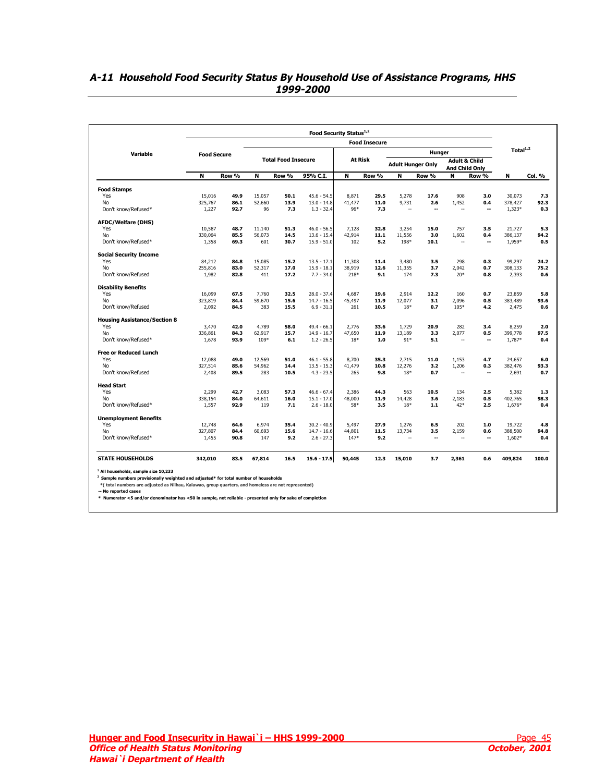|                                     |                    |       |        |                            |               |                | <b>Food Insecure</b> |                          |        |                                                   |                          |             |        |  |  |  |  |
|-------------------------------------|--------------------|-------|--------|----------------------------|---------------|----------------|----------------------|--------------------------|--------|---------------------------------------------------|--------------------------|-------------|--------|--|--|--|--|
| Variable                            | <b>Food Secure</b> |       |        |                            |               |                |                      |                          | Hunger |                                                   |                          | Total $1,2$ |        |  |  |  |  |
|                                     |                    |       |        | <b>Total Food Insecure</b> |               | <b>At Risk</b> |                      | <b>Adult Hunger Only</b> |        | <b>Adult &amp; Child</b><br><b>And Child Only</b> |                          |             |        |  |  |  |  |
|                                     | N                  | Row % | N      | Row %                      | 95% C.I.      | N              | Row %                | N                        | Row %  | N                                                 | Row %                    | N           | Col. % |  |  |  |  |
| <b>Food Stamps</b>                  |                    |       |        |                            |               |                |                      |                          |        |                                                   |                          |             |        |  |  |  |  |
| Yes                                 | 15,016             | 49.9  | 15,057 | 50.1                       | $45.6 - 54.5$ | 8,871          | 29.5                 | 5,278                    | 17.6   | 908                                               | 3.0                      | 30,073      | 7.3    |  |  |  |  |
| No                                  | 325,767            | 86.1  | 52,660 | 13.9                       | $13.0 - 14.8$ | 41,477         | 11.0                 | 9,731                    | 2.6    | 1.452                                             | 0.4                      | 378,427     | 92.3   |  |  |  |  |
| Don't know/Refused*                 | 1,227              | 92.7  | 96     | 7.3                        | $1.3 - 32.4$  | 96*            | 7.3                  | $\sim$                   | ٠.     | $\sim$                                            | --                       | 1,323*      | 0.3    |  |  |  |  |
| <b>AFDC/Welfare (DHS)</b>           |                    |       |        |                            |               |                |                      |                          |        |                                                   |                          |             |        |  |  |  |  |
| Yes                                 | 10,587             | 48.7  | 11,140 | 51.3                       | $46.0 - 56.5$ | 7,128          | 32.8                 | 3,254                    | 15.0   | 757                                               | 3.5                      | 21,727      | 5.3    |  |  |  |  |
| No                                  | 330,064            | 85.5  | 56,073 | 14.5                       | $13.6 - 15.4$ | 42,914         | 11.1                 | 11,556                   | 3.0    | 1,602                                             | 0.4                      | 386,137     | 94.2   |  |  |  |  |
| Don't know/Refused*                 | 1,358              | 69.3  | 601    | 30.7                       | $15.9 - 51.0$ | 102            | 5.2                  | 198*                     | 10.1   | $\sim$                                            | --                       | 1,959*      | 0.5    |  |  |  |  |
| <b>Social Security Income</b>       |                    |       |        |                            |               |                |                      |                          |        |                                                   |                          |             |        |  |  |  |  |
| Yes                                 | 84,212             | 84.8  | 15,085 | 15.2                       | $13.5 - 17.1$ | 11,308         | 11.4                 | 3,480                    | 3.5    | 298                                               | 0.3                      | 99,297      | 24.2   |  |  |  |  |
| No                                  | 255,816            | 83.0  | 52,317 | 17.0                       | $15.9 - 18.1$ | 38,919         | 12.6                 | 11,355                   | 3.7    | 2,042                                             | 0.7                      | 308,133     | 75.2   |  |  |  |  |
| Don't know/Refused                  | 1,982              | 82.8  | 411    | 17.2                       | $7.7 - 34.0$  | 218*           | 9.1                  | 174                      | 7.3    | $20*$                                             | 0.8                      | 2,393       | 0.6    |  |  |  |  |
| <b>Disability Benefits</b>          |                    |       |        |                            |               |                |                      |                          |        |                                                   |                          |             |        |  |  |  |  |
| Yes                                 | 16.099             | 67.5  | 7.760  | 32.5                       | $28.0 - 37.4$ | 4.687          | 19.6                 | 2,914                    | 12.2   | 160                                               | 0.7                      | 23,859      | 5.8    |  |  |  |  |
| No                                  | 323,819            | 84.4  | 59,670 | 15.6                       | $14.7 - 16.5$ | 45,497         | 11.9                 | 12,077                   | 3.1    | 2,096                                             | 0.5                      | 383,489     | 93.6   |  |  |  |  |
| Don't know/Refused                  | 2,092              | 84.5  | 383    | 15.5                       | $6.9 - 31.1$  | 261            | 10.5                 | $18*$                    | 0.7    | 105*                                              | 4.2                      | 2,475       | 0.6    |  |  |  |  |
| <b>Housing Assistance/Section 8</b> |                    |       |        |                            |               |                |                      |                          |        |                                                   |                          |             |        |  |  |  |  |
| Yes                                 | 3,470              | 42.0  | 4.789  | 58.0                       | $49.4 - 66.1$ | 2.776          | 33.6                 | 1.729                    | 20.9   | 282                                               | 3.4                      | 8,259       | 2.0    |  |  |  |  |
| No                                  | 336,861            | 84.3  | 62,917 | 15.7                       | $14.9 - 16.7$ | 47,650         | 11.9                 | 13,189                   | 3.3    | 2,077                                             | 0.5                      | 399,778     | 97.5   |  |  |  |  |
| Don't know/Refused*                 | 1,678              | 93.9  | 109*   | 6.1                        | $1.2 - 26.5$  | 18*            | 1.0                  | $91*$                    | 5.1    | $\sim$                                            | $\overline{\phantom{a}}$ | 1,787*      | 0.4    |  |  |  |  |
| <b>Free or Reduced Lunch</b>        |                    |       |        |                            |               |                |                      |                          |        |                                                   |                          |             |        |  |  |  |  |
| Yes                                 | 12,088             | 49.0  | 12,569 | 51.0                       | $46.1 - 55.8$ | 8,700          | 35.3                 | 2,715                    | 11.0   | 1,153                                             | 4.7                      | 24,657      | 6.0    |  |  |  |  |
| No                                  | 327,514            | 85.6  | 54,962 | 14.4                       | $13.5 - 15.3$ | 41,479         | 10.8                 | 12,276                   | 3.2    | 1,206                                             | 0.3                      | 382,476     | 93.3   |  |  |  |  |
| Don't know/Refused                  | 2,408              | 89.5  | 283    | 10.5                       | $4.3 - 23.5$  | 265            | 9.8                  | $18*$                    | 0.7    | $\sim$                                            | $\overline{\phantom{a}}$ | 2,691       | 0.7    |  |  |  |  |
| <b>Head Start</b>                   |                    |       |        |                            |               |                |                      |                          |        |                                                   |                          |             |        |  |  |  |  |
| Yes                                 | 2,299              | 42.7  | 3,083  | 57.3                       | $46.6 - 67.4$ | 2,386          | 44.3                 | 563                      | 10.5   | 134                                               | 2.5                      | 5,382       | 1.3    |  |  |  |  |
| No                                  | 338,154            | 84.0  | 64,611 | 16.0                       | $15.1 - 17.0$ | 48,000         | 11.9                 | 14,428                   | 3.6    | 2,183                                             | 0.5                      | 402,765     | 98.3   |  |  |  |  |
| Don't know/Refused*                 | 1,557              | 92.9  | 119    | 7.1                        | $2.6 - 18.0$  | 58*            | 3.5                  | $18*$                    | 1.1    | 42*                                               | 2.5                      | 1,676*      | 0.4    |  |  |  |  |
| <b>Unemployment Benefits</b>        |                    |       |        |                            |               |                |                      |                          |        |                                                   |                          |             |        |  |  |  |  |
| Yes                                 | 12,748             | 64.6  | 6,974  | 35.4                       | $30.2 - 40.9$ | 5,497          | 27.9                 | 1,276                    | 6.5    | 202                                               | 1.0                      | 19,722      | 4.8    |  |  |  |  |
| No                                  | 327,807            | 84.4  | 60,693 | 15.6                       | $14.7 - 16.6$ | 44,801         | 11.5                 | 13,734                   | 3.5    | 2,159                                             | 0.6                      | 388,500     | 94.8   |  |  |  |  |
| Don't know/Refused*                 | 1,455              | 90.8  | 147    | 9.2                        | $2.6 - 27.3$  | 147*           | 9.2                  | ٠.                       | ٠.     | $\overline{\phantom{a}}$                          | --                       | 1,602*      | 0.4    |  |  |  |  |
| <b>STATE HOUSEHOLDS</b>             | 342,010            | 83.5  | 67.814 | 16.5                       | $15.6 - 17.5$ | 50,445         | 12.3                 | 15,010                   | 3.7    | 2,361                                             | 0.6                      | 409,824     | 100.0  |  |  |  |  |

## <span id="page-44-0"></span>**A-11 Household Food Security Status By Household Use of Assistance Programs, HHS 1999-2000**

**-- No reported cases \* Numerator <5 and/or denominator has <50 in sample, not reliable - presented only for sake of completion**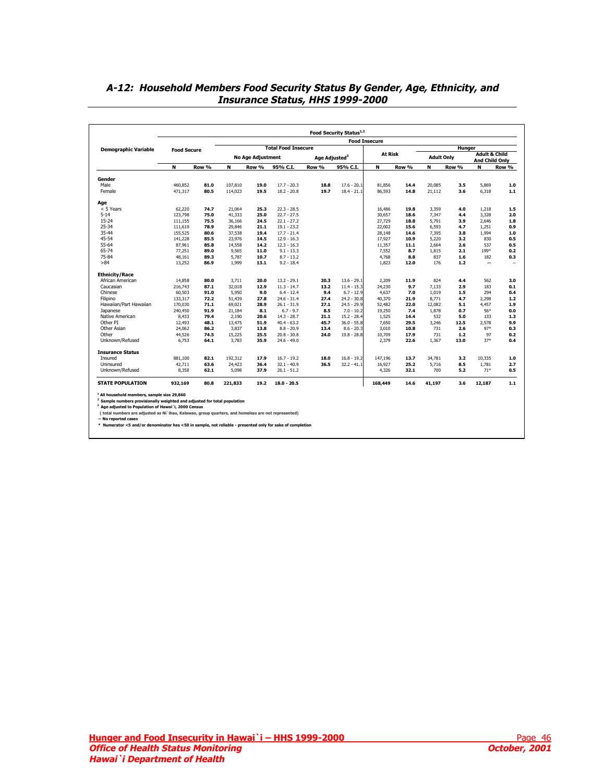|                             |                    |       |         |                          |                            |                           | <b>Food Insecure</b> |                |       |                   |        |                                            |         |  |  |  |  |  |
|-----------------------------|--------------------|-------|---------|--------------------------|----------------------------|---------------------------|----------------------|----------------|-------|-------------------|--------|--------------------------------------------|---------|--|--|--|--|--|
| <b>Demographic Variable</b> | <b>Food Secure</b> |       |         |                          | <b>Total Food Insecure</b> |                           |                      |                |       |                   | Hunger |                                            |         |  |  |  |  |  |
|                             |                    |       |         | <b>No Age Adjustment</b> |                            | Age Adjusted <sup>3</sup> |                      | <b>At Risk</b> |       | <b>Adult Only</b> |        | <b>Adult &amp; Child</b><br>And Child Only |         |  |  |  |  |  |
|                             | N                  | Row % | N       | Row %                    | 95% C.I.                   | Row %                     | 95% C.I.             | N              | Row % | N                 | Row %  | N                                          | Row %   |  |  |  |  |  |
| Gender                      |                    |       |         |                          |                            |                           |                      |                |       |                   |        |                                            |         |  |  |  |  |  |
| Male                        | 460,852            | 81.0  | 107,810 | 19.0                     | $17.7 - 20.3$              | 18.8                      | $17.6 - 20.1$        | 81,856         | 14.4  | 20,085            | 3.5    | 5,869                                      | $1.0\,$ |  |  |  |  |  |
| Female                      | 471,317            | 80.5  | 114,023 | 19.5                     | $18.2 - 20.8$              | 19.7                      | $18.4 - 21.1$        | 86,593         | 14.8  | 21,112            | 3.6    | 6,318                                      | $1.1$   |  |  |  |  |  |
| Age                         |                    |       |         |                          |                            |                           |                      |                |       |                   |        |                                            |         |  |  |  |  |  |
| < 5 Years                   | 62,220             | 74.7  | 21,064  | 25.3                     | $22.3 - 28.5$              |                           |                      | 16,486         | 19.8  | 3,359             | 4.0    | 1,218                                      | 1.5     |  |  |  |  |  |
| $5 - 14$                    | 123,798            | 75.0  | 41,333  | 25.0                     | $22.7 - 27.5$              |                           |                      | 30.657         | 18.6  | 7.347             | 4.4    | 3,328                                      | 2.0     |  |  |  |  |  |
| $15 - 24$                   | 111.155            | 75.5  | 36,166  | 24.5                     | $22.1 - 27.2$              |                           |                      | 27,729         | 18.8  | 5.791             | 3.9    | 2.646                                      | 1.8     |  |  |  |  |  |
| $25 - 34$                   | 111,619            | 78.9  | 29,846  | 21.1                     | $19.1 - 23.2$              |                           |                      | 22,002         | 15.6  | 6.593             | 4.7    | 1,251                                      | 0.9     |  |  |  |  |  |
| 35-44                       | 155,525            | 80.6  | 37,538  | 19.4                     | $17.7 - 21.4$              |                           |                      | 28,148         | 14.6  | 7.395             | 3.8    | 1.994                                      | 1.0     |  |  |  |  |  |
| 45-54                       | 141,228            | 85.5  | 23,976  | 14.5                     | $12.9 - 16.3$              |                           |                      | 17,927         | 10.9  | 5,220             | 3.2    | 830                                        | 0.5     |  |  |  |  |  |
| 55-64                       | 87,961             | 85.8  | 14,558  | 14.2                     | $12.3 - 16.3$              |                           |                      | 11,357         | 11.1  | 2,664             | 2.6    | 537                                        | 0.5     |  |  |  |  |  |
| 65-74                       | 77,251             | 89.0  | 9,565   | 11.0                     | $9.1 - 13.3$               |                           |                      | 7,552          | 8.7   | 1,815             | 2.1    | 199*                                       | 0.2     |  |  |  |  |  |
| 75-84                       | 48,161             | 89.3  | 5,787   | 10.7                     | $8.7 - 13.2$               |                           |                      | 4,768          | 8.8   | 837               | 1.6    | 182                                        | 0.3     |  |  |  |  |  |
| >84                         | 13,252             | 86.9  | 1,999   | 13.1                     | $9.2 - 18.4$               |                           |                      | 1,823          | 12.0  | 176               | 1.2    | $\overline{a}$                             | $\sim$  |  |  |  |  |  |
| <b>Ethnicity/Race</b>       |                    |       |         |                          |                            |                           |                      |                |       |                   |        |                                            |         |  |  |  |  |  |
| African American            | 14,858             | 80.0  | 3,711   | 20.0                     | $13.2 - 29.1$              | 20.3                      | $13.6 - 29.1$        | 2,209          | 11.9  | 824               | 4.4    | 562                                        | 3.0     |  |  |  |  |  |
| Caucasian                   | 216,743            | 87.1  | 32,018  | 12.9                     | $11.3 - 14.7$              | 13.2                      | $11.4 - 15.3$        | 24,230         | 9.7   | 7,133             | 2.9    | 183                                        | 0.1     |  |  |  |  |  |
| Chinese                     | 60,503             | 91.0  | 5,950   | 9.0                      | $6.4 - 12.4$               | 9.4                       | $6.7 - 12.9$         | 4,637          | 7.0   | 1,019             | 1.5    | 294                                        | 0.4     |  |  |  |  |  |
| Filipino                    | 133,317            | 72.2  | 51,439  | 27.8                     | $24.6 - 31.4$              | 27.4                      | $24.2 - 30.8$        | 40,370         | 21.9  | 8.771             | 4.7    | 2,298                                      | $1.2$   |  |  |  |  |  |
| Hawaiian/Part Hawaiian      | 170,030            | 71.1  | 69,021  | 28.9                     | $26.1 - 31.9$              | 27.1                      | $24.5 - 29.9$        | 52,482         | 22.0  | 12,082            | 5.1    | 4,457                                      | 1.9     |  |  |  |  |  |
| Japanese                    | 240,450            | 91.9  | 21.184  | 8.1                      | $6.7 - 9.7$                | 8.5                       | $7.0 - 10.2$         | 19,250         | 7.4   | 1,878             | 0.7    | 56*                                        | 0.0     |  |  |  |  |  |
| Native American             | 8,433              | 79.4  | 2,190   | 20.6                     | $14.3 - 28.7$              | 21.1                      | $15.2 - 28.4$        | 1,525          | 14.4  | 532               | 5.0    | 133                                        | 1.3     |  |  |  |  |  |
| Other PI                    | 12,493             | 48.1  | 13,475  | 51.9                     | $40.4 - 63.2$              | 45.7                      | $36.0 - 55.8$        | 7,650          | 29.5  | 3,246             | 12.5   | 2,578                                      | 9.9     |  |  |  |  |  |
| Other Asian                 | 24,062             | 86.2  | 3,837   | 13.8                     | $8.8 - 20.9$               | 13.4                      | $8.6 - 20.3$         | 3,010          | 10.8  | 731               | 2.6    | $97*$                                      | 0.3     |  |  |  |  |  |
| Other                       | 44,526             | 74.5  | 15,225  | 25.5                     | $20.8 - 30.8$              | 24.0                      | $19.8 - 28.8$        | 10,709         | 17.9  | 731               | 1.2    | 97                                         | 0.2     |  |  |  |  |  |
| Unknown/Refused             | 6,753              | 64.1  | 3,783   | 35.9                     | $24.6 - 49.0$              |                           |                      | 2,379          | 22.6  | 1,367             | 13.0   | $37*$                                      | 0.4     |  |  |  |  |  |
| <b>Insurance Status</b>     |                    |       |         |                          |                            |                           |                      |                |       |                   |        |                                            |         |  |  |  |  |  |
| Insured                     | 881,100            | 82.1  | 192.312 | 17.9                     | $16.7 - 19.2$              | 18.0                      | $16.8 - 19.2$        | 147.196        | 13.7  | 34,781            | 3.2    | 10,335                                     | 1.0     |  |  |  |  |  |
| Uninsured                   | 42,711             | 63.6  | 24,423  | 36.4                     | $32.1 - 40.9$              | 36.5                      | $32.2 - 41.1$        | 16,927         | 25.2  | 5.716             | 8.5    | 1,781                                      | 2.7     |  |  |  |  |  |
| Unknown/Refused             | 8.358              | 62.1  | 5,098   | 37.9                     | $26.1 - 51.2$              |                           |                      | 4,326          | 32.1  | 700               | 5.2    | $71*$                                      | 0.5     |  |  |  |  |  |
|                             | 932,169            | 80.8  | 221,833 | 19.2                     | $18.0 - 20.5$              |                           |                      | 168,449        | 14.6  | 41,197            | 3.6    | 12,187                                     | 1.1     |  |  |  |  |  |

## <span id="page-45-0"></span>**A-12: Household Members Food Security Status By Gender, Age, Ethnicity, and Insurance Status, HHS 1999-2000**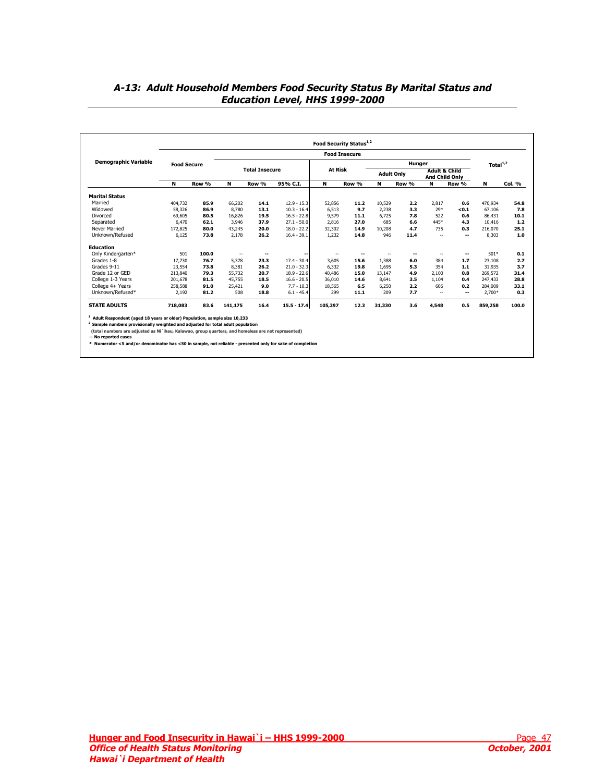## <span id="page-46-0"></span>**A-13: Adult Household Members Food Security Status By Marital Status and Education Level, HHS 1999-2000**

|                             |                    |       |                          |                       |               |                | <b>Food Insecure</b> |                   |        |                                                   |       |             |        |
|-----------------------------|--------------------|-------|--------------------------|-----------------------|---------------|----------------|----------------------|-------------------|--------|---------------------------------------------------|-------|-------------|--------|
| <b>Demographic Variable</b> | <b>Food Secure</b> |       |                          |                       |               |                |                      |                   | Hunger |                                                   |       | Total $1,2$ |        |
|                             |                    |       |                          | <b>Total Insecure</b> |               | <b>At Risk</b> |                      | <b>Adult Only</b> |        | <b>Adult &amp; Child</b><br><b>And Child Only</b> |       |             |        |
|                             | N                  | Row % | N                        | Row %                 | 95% C.I.      | N              | Row %                | N                 | Row %  | N                                                 | Row % | N           | Col. % |
| <b>Marital Status</b>       |                    |       |                          |                       |               |                |                      |                   |        |                                                   |       |             |        |
| Married                     | 404,732            | 85.9  | 66,202                   | 14.1                  | $12.9 - 15.3$ | 52,856         | 11.2                 | 10.529            | 2.2    | 2.817                                             | 0.6   | 470,934     | 54.8   |
| Widowed                     | 58,326             | 86.9  | 8,780                    | 13.1                  | $10.3 - 16.4$ | 6,513          | 9.7                  | 2,238             | 3.3    | $29*$                                             | <0.1  | 67,106      | 7.8    |
| Divorced                    | 69.605             | 80.5  | 16.826                   | 19.5                  | $16.5 - 22.8$ | 9.579          | 11.1                 | 6.725             | 7.8    | 522                                               | 0.6   | 86,431      | 10.1   |
| Separated                   | 6.470              | 62.1  | 3,946                    | 37.9                  | $27.1 - 50.0$ | 2.816          | 27.0                 | 685               | 6.6    | 445*                                              | 4.3   | 10.416      | 1.2    |
| Never Married               | 172.825            | 80.0  | 43,245                   | 20.0                  | $18.0 - 22.2$ | 32,302         | 14.9                 | 10,208            | 4.7    | 735                                               | 0.3   | 216,070     | 25.1   |
| Unknown/Refused             | 6,125              | 73.8  | 2,178                    | 26.2                  | $16.4 - 39.1$ | 1,232          | 14.8                 | 946               | 11.4   | $\sim$                                            | --    | 8,303       | 1.0    |
| <b>Education</b>            |                    |       |                          |                       |               |                |                      |                   |        |                                                   |       |             |        |
| Only Kindergarten*          | 501                | 100.0 | $\overline{\phantom{a}}$ | --                    |               | ۰.             | --                   | -                 | --     | $\sim$                                            | --    | 501*        | 0.1    |
| Grades 1-8                  | 17.730             | 76.7  | 5,378                    | 23.3                  | $17.4 - 30.4$ | 3.605          | 15.6                 | 1,388             | 6.0    | 384                                               | 1.7   | 23,108      | 2.7    |
| Grades 9-11                 | 23,554             | 73.8  | 8,381                    | 26.2                  | $21.0 - 32.3$ | 6.332          | 19.8                 | 1.695             | 5.3    | 354                                               | 1.1   | 31,935      | 3.7    |
| Grade 12 or GED             | 213,840            | 79.3  | 55,732                   | 20.7                  | $18.9 - 22.6$ | 40,486         | 15.0                 | 13.147            | 4.9    | 2,100                                             | 0.8   | 269,572     | 31.4   |
| College 1-3 Years           | 201,678            | 81.5  | 45,755                   | 18.5                  | $16.6 - 20.5$ | 36,010         | 14.6                 | 8,641             | 3.5    | 1,104                                             | 0.4   | 247,433     | 28.8   |
| College 4+ Years            | 258,588            | 91.0  | 25.421                   | 9.0                   | $7.7 - 10.3$  | 18.565         | 6.5                  | 6,250             | 2.2    | 606                                               | 0.2   | 284,009     | 33.1   |
| Unknown/Refused*            | 2,192              | 81.2  | 508                      | 18.8                  | $6.1 - 45.4$  | 299            | 11.1                 | 209               | 7.7    | $\sim$                                            | --    | 2,700*      | 0.3    |
| <b>STATE ADULTS</b>         | 718,083            | 83.6  | 141,175                  | 16.4                  | $15.5 - 17.4$ | 105,297        | 12.3                 | 31,330            | 3.6    | 4,548                                             | 0.5   | 859,258     | 100.0  |

**-- No reported cases \* Numerator <5 and/or denominator has <50 in sample, not reliable - presented only for sake of completion**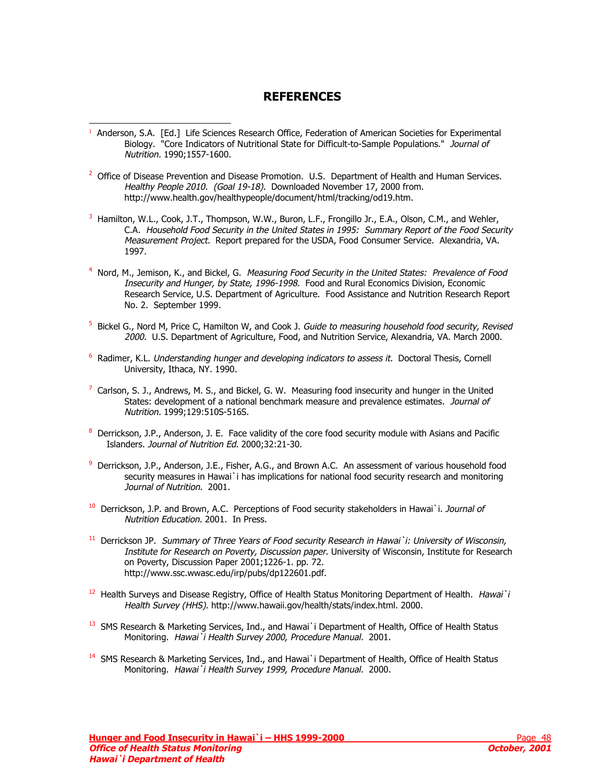## **REFERENCES**

<sup>1</sup> Anderson, S.A. [Ed.] Life Sciences Research Office, Federation of American Societies for Experimental Biology. "Core Indicators of Nutritional State for Difficult-to-Sample Populations." Journal of Nutrition. 1990;1557-1600.

<span id="page-47-0"></span>l

- <sup>2</sup> Office of Disease Prevention and Disease Promotion. U.S. Department of Health and Human Services. Healthy People 2010. (Goal 19-18). Downloaded November 17, 2000 from. http://www.health.gov/healthypeople/document/html/tracking/od19.htm.
- <sup>3</sup> Hamilton, W.L., Cook, J.T., Thompson, W.W., Buron, L.F., Frongillo Jr., E.A., Olson, C.M., and Wehler, C.A. Household Food Security in the United States in 1995: Summary Report of the Food Security Measurement Project. Report prepared for the USDA, Food Consumer Service. Alexandria, VA. 1997.
- <sup>4</sup> Nord, M., Jemison, K., and Bickel, G. Measuring Food Security in the United States: Prevalence of Food Insecurity and Hunger, by State, 1996-1998. Food and Rural Economics Division, Economic Research Service, U.S. Department of Agriculture. Food Assistance and Nutrition Research Report No. 2. September 1999.
- <sup>5</sup> Bickel G., Nord M, Price C, Hamilton W, and Cook J. Guide to measuring household food security, Revised 2000. U.S. Department of Agriculture, Food, and Nutrition Service, Alexandria, VA. March 2000.
- <sup>6</sup> Radimer, K.L. *Understanding hunger and developing indicators to assess it.* Doctoral Thesis, Cornell University, Ithaca, NY. 1990.
- $^7$  Carlson, S. J., Andrews, M. S., and Bickel, G. W. Measuring food insecurity and hunger in the United States: development of a national benchmark measure and prevalence estimates. Journal of Nutrition. 1999;129:510S-516S.
- 8 Derrickson, J.P., Anderson, J. E. Face validity of the core food security module with Asians and Pacific Islanders. Journal of Nutrition Ed. 2000;32:21-30.
- 9 Derrickson, J.P., Anderson, J.E., Fisher, A.G., and Brown A.C. An assessment of various household food security measures in Hawai`i has implications for national food security research and monitoring Journal of Nutrition. 2001.
- $10$  Derrickson, J.P. and Brown, A.C. Perceptions of Food security stakeholders in Hawai`i. Journal of Nutrition Education. 2001. In Press.
- <sup>11</sup> Derrickson JP. Summary of Three Years of Food security Research in Hawai`i: University of Wisconsin, Institute for Research on Poverty, Discussion paper. University of Wisconsin, Institute for Research on Poverty, Discussion Paper 2001;1226-1. pp. 72. http://www.ssc.wwasc.edu/irp/pubs/dp122601.pdf.
- <sup>12</sup> Health Surveys and Disease Registry, Office of Health Status Monitoring Department of Health. Hawai`i Health Survey (HHS). http://www.hawaii.gov/health/stats/index.html. 2000.
- <sup>13</sup> SMS Research & Marketing Services, Ind., and Hawai`i Department of Health, Office of Health Status Monitoring. Hawai`i Health Survey 2000, Procedure Manual. 2001.
- <sup>14</sup> SMS Research & Marketing Services, Ind., and Hawai`i Department of Health, Office of Health Status Monitoring. Hawai`i Health Survey 1999, Procedure Manual. 2000.